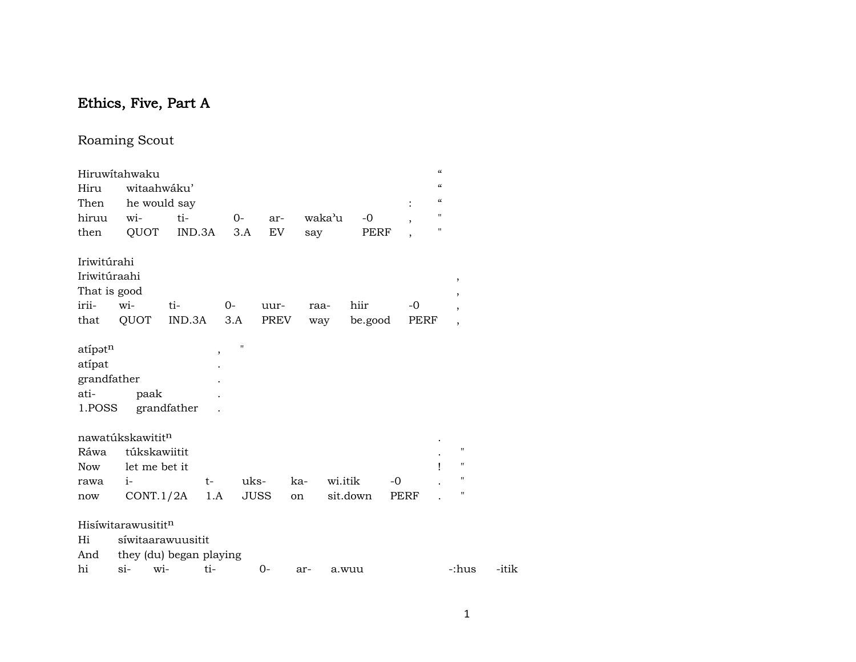# Ethics, Five, Part A

## Roaming Scout

|                                                    | Hiruwitahwaku                  |             |                               |             |        |          |                          | $\mathcal{C}$                          |                          |       |
|----------------------------------------------------|--------------------------------|-------------|-------------------------------|-------------|--------|----------|--------------------------|----------------------------------------|--------------------------|-------|
| Hiru                                               | witaahwáku'                    |             |                               |             |        |          |                          | $\mathcal{C}$                          |                          |       |
| Then                                               | he would say                   |             |                               |             |        |          |                          | $\boldsymbol{\zeta}\boldsymbol{\zeta}$ |                          |       |
| hiruu                                              | wi-                            | ti-         | $O -$                         | ar-         | waka'u | $-0$     | ,                        | 11                                     |                          |       |
| then                                               | QUOT                           | IND.3A      | 3.A                           | EV          | say    | PERF     | $\overline{\phantom{a}}$ | 11                                     |                          |       |
| Iriwitúrahi                                        |                                |             |                               |             |        |          |                          |                                        |                          |       |
| Iriwitúraahi                                       |                                |             |                               |             |        |          |                          |                                        | ,                        |       |
| That is good                                       |                                |             |                               |             |        |          |                          |                                        | $\overline{\phantom{a}}$ |       |
| irii-                                              | wi-                            | ti-         | 0-                            | uur-        | raa-   | hiir     | $-0$                     |                                        | $\overline{\phantom{a}}$ |       |
| that                                               | QUOT                           | IND.3A      | 3.A                           | PREV        | way    | be.good  |                          | PERF                                   | $\overline{ }$           |       |
| atípatn<br>atípat<br>grandfather<br>ati-<br>1.POSS | paak                           | grandfather | $\mathbf{H}$<br>$^\mathrm{,}$ |             |        |          |                          |                                        |                          |       |
|                                                    | nawatúkskawititn               |             |                               |             |        |          |                          |                                        |                          |       |
| Ráwa                                               | túkskawiitit                   |             |                               |             |        |          |                          |                                        | н                        |       |
| <b>Now</b>                                         | let me bet it                  |             |                               |             |        |          |                          | ı                                      | н                        |       |
| rawa                                               | $i-$                           |             | t-                            | uks-        | ka-    | wi.itik  | $-0$                     |                                        | п                        |       |
| now                                                | CONT.1/2A                      |             | 1.A                           | <b>JUSS</b> | on     | sit.down | PERF                     |                                        | п                        |       |
|                                                    | Hisíwitarawusitit <sup>n</sup> |             |                               |             |        |          |                          |                                        |                          |       |
| Hi                                                 | síwitaarawuusitit              |             |                               |             |        |          |                          |                                        |                          |       |
| And                                                | they (du) began playing        |             |                               |             |        |          |                          |                                        |                          |       |
| hi                                                 | wi-<br>si-                     |             | ti-                           | $0-$        | ar-    | a.wuu    |                          |                                        | -:hus                    | -itik |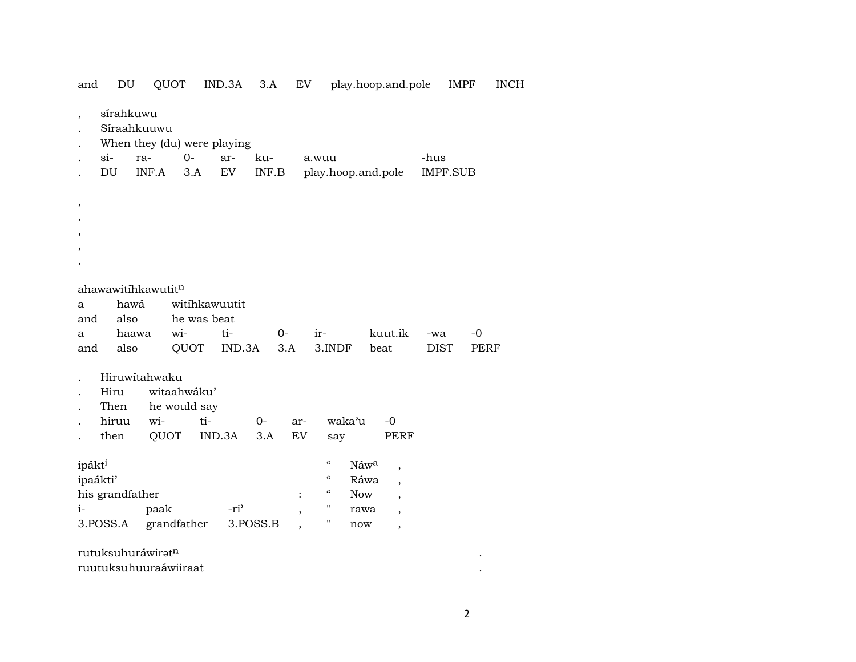| and                            | DU                             | QUOT                                                        |              | IND.3A           | 3.A          |                | EV                                                                                                                       |             | play.hoop.and.pole                                                                       |      | IMPF        |              | <b>INCH</b> |
|--------------------------------|--------------------------------|-------------------------------------------------------------|--------------|------------------|--------------|----------------|--------------------------------------------------------------------------------------------------------------------------|-------------|------------------------------------------------------------------------------------------|------|-------------|--------------|-------------|
| $si-$                          | sírahkuwu<br>Síraahkuuwu<br>DU | When they (du) were playing<br>ra-<br>INF.A                 | $O -$<br>3.A | ar-<br>EV        | ku-<br>INF.B |                | a.wuu                                                                                                                    |             | play.hoop.and.pole                                                                       | -hus | IMPF.SUB    |              |             |
| ,<br>,                         |                                |                                                             |              |                  |              |                |                                                                                                                          |             |                                                                                          |      |             |              |             |
|                                |                                | ahawawitíhkawutitn                                          |              |                  |              |                |                                                                                                                          |             |                                                                                          |      |             |              |             |
| a                              | hawá                           |                                                             |              | witihkawuutit    |              |                |                                                                                                                          |             |                                                                                          |      |             |              |             |
| and                            | also                           |                                                             | he was beat  |                  |              |                |                                                                                                                          |             |                                                                                          |      |             |              |             |
| a<br>and                       | haawa<br>also                  | wi-                                                         | QUOT         | ti-<br>IND.3A    | $0-$         | 3.A            | ir-<br>3.INDF                                                                                                            |             | kuut.ik<br>beat                                                                          | -wa  | <b>DIST</b> | $-0$<br>PERF |             |
|                                | Hiru<br>Then<br>hiruu<br>then  | Hiruwitahwaku<br>witaahwáku'<br>he would say<br>wi-<br>QUOT | ti-          | IND.3A           | $0 -$<br>3.A | ar-<br>EV      | say                                                                                                                      | waka'u      | $-0$<br>PERF                                                                             |      |             |              |             |
| ipákt <sup>i</sup><br>ipaákti' | his grandfather                |                                                             |              |                  |              | $\ddot{\cdot}$ | $\boldsymbol{\mathcal{C}}$<br>$\boldsymbol{\mathcal{C}}$<br>$\boldsymbol{\zeta}\boldsymbol{\zeta}$<br>$\pmb{\mathsf{H}}$ | Náwa<br>Now | $\overline{\phantom{a}}$<br>Ráwa<br>$\overline{\phantom{a}}$<br>$\overline{\phantom{a}}$ |      |             |              |             |
| $i-$<br>3.POSS.A               |                                | paak<br>grandfather                                         |              | -ri <sup>3</sup> | 3.POSS.B     |                | π                                                                                                                        | rawa        | $\overline{\phantom{a}}$                                                                 |      |             |              |             |
|                                |                                |                                                             |              |                  |              |                |                                                                                                                          | now         | $\overline{\phantom{a}}$                                                                 |      |             |              |             |
|                                |                                | rutuksuhuráwiratn                                           |              |                  |              |                |                                                                                                                          |             |                                                                                          |      |             |              |             |
|                                |                                | ruutuksuhuuraáwiiraat                                       |              |                  |              |                |                                                                                                                          |             |                                                                                          |      |             |              |             |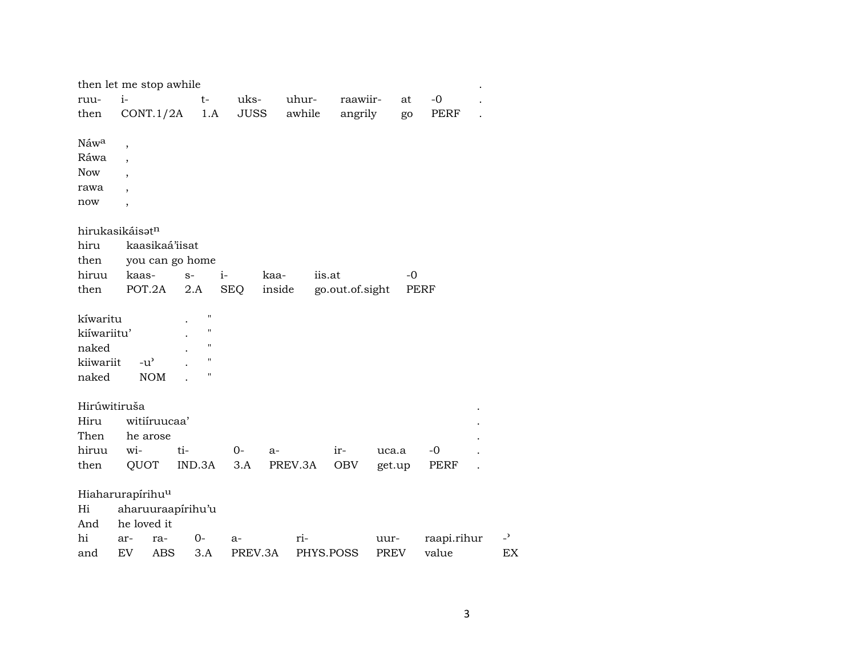|              | then let me stop awhile      |                    |            |         |           |                 |             |      |             |                |
|--------------|------------------------------|--------------------|------------|---------|-----------|-----------------|-------------|------|-------------|----------------|
| ruu-         | $i-$                         | t-                 | uks-       |         | uhur-     | raawiir-        |             | at   | $-0$        |                |
| then         | CONT.1/2A                    | 1.A                | JUSS       |         | awhile    | angrily         |             | go   | PERF        |                |
|              |                              |                    |            |         |           |                 |             |      |             |                |
| Náwa         | $\overline{\phantom{a}}$     |                    |            |         |           |                 |             |      |             |                |
| Ráwa         |                              |                    |            |         |           |                 |             |      |             |                |
| <b>Now</b>   |                              |                    |            |         |           |                 |             |      |             |                |
| rawa         |                              |                    |            |         |           |                 |             |      |             |                |
| now          | $\overline{\phantom{a}}$     |                    |            |         |           |                 |             |      |             |                |
|              |                              |                    |            |         |           |                 |             |      |             |                |
|              | hirukasikáisatn              |                    |            |         |           |                 |             |      |             |                |
| hiru         | kaasikaá'iisat               |                    |            |         |           |                 |             |      |             |                |
| then         |                              | you can go home    |            |         |           |                 |             |      |             |                |
| hiruu        | kaas-                        | $S-$               | $i-$       | kaa-    | iis.at    |                 |             | -0   |             |                |
| then         | POT.2A                       | 2.A                | <b>SEQ</b> | inside  |           | go.out.of.sight |             | PERF |             |                |
| kíwaritu     |                              | $\pmb{\mathsf{H}}$ |            |         |           |                 |             |      |             |                |
| kiíwariitu'  |                              | $\pmb{\mathsf{H}}$ |            |         |           |                 |             |      |             |                |
|              |                              | $\pmb{\mathsf{H}}$ |            |         |           |                 |             |      |             |                |
| naked        |                              | $\mathbf{H}$       |            |         |           |                 |             |      |             |                |
| kiiwariit    | $-u^{\prime}$                | н                  |            |         |           |                 |             |      |             |                |
| naked        | <b>NOM</b>                   |                    |            |         |           |                 |             |      |             |                |
| Hirúwitiruša |                              |                    |            |         |           |                 |             |      |             |                |
| Hiru         | witiíruucaa'                 |                    |            |         |           |                 |             |      |             |                |
| Then         | he arose                     |                    |            |         |           |                 |             |      |             |                |
| hiruu        | wi-                          | ti-                | $0 -$      | $a-$    |           | ir-             | uca.a       |      | $-0$        |                |
| then         | QUOT                         | IND.3A             | 3.A        | PREV.3A |           | OBV             | get.up      |      | PERF        |                |
|              |                              |                    |            |         |           |                 |             |      |             |                |
|              | Hiaharurapírihu <sup>u</sup> |                    |            |         |           |                 |             |      |             |                |
| Hi           | aharuuraapírihu'u            |                    |            |         |           |                 |             |      |             |                |
| And          | he loved it                  |                    |            |         |           |                 |             |      |             |                |
| hi           | ar-<br>ra-                   | $0-$               | $a-$       |         | ri-       |                 | uur-        |      | raapi.rihur | $\overline{z}$ |
| and          | EV<br><b>ABS</b>             | 3.A                | PREV.3A    |         | PHYS.POSS |                 | <b>PREV</b> |      | value       | EX             |
|              |                              |                    |            |         |           |                 |             |      |             |                |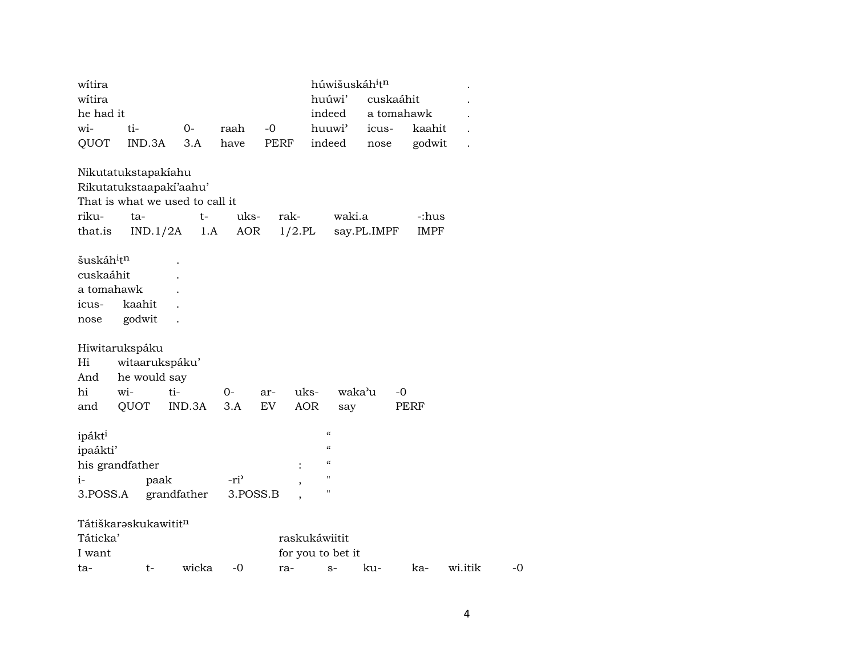| witira                                                                         |                                                                 |                                                                           |                              |             | húwišuskáh <sup>i</sup> t <sup>n</sup>                                                      |             |                      |         |      |
|--------------------------------------------------------------------------------|-----------------------------------------------------------------|---------------------------------------------------------------------------|------------------------------|-------------|---------------------------------------------------------------------------------------------|-------------|----------------------|---------|------|
| witira                                                                         |                                                                 |                                                                           |                              |             | huúwi'                                                                                      |             | cuskaáhit            |         |      |
| he had it                                                                      |                                                                 |                                                                           |                              |             | indeed                                                                                      |             | a tomahawk           |         |      |
| wi-                                                                            | ti-                                                             | $0-$                                                                      | raah                         | $-0$        | huuwi'                                                                                      | icus-       | kaahit               |         |      |
| QUOT                                                                           | IND.3A                                                          | 3.A                                                                       | have                         | <b>PERF</b> | indeed                                                                                      | nose        | godwit               |         |      |
| riku-<br>that.is                                                               | Nikutatukstapakíahu<br>ta-<br>IND.1/2A                          | Rikutatukstaapaki'aahu'<br>That is what we used to call it<br>$t-$<br>1.A | uks-<br>AOR                  | rak-        | waki.a<br>$1/2.$ PL                                                                         | say.PL.IMPF | -:hus<br><b>IMPF</b> |         |      |
| šuskáh <sup>i</sup> t <sup>n</sup><br>cuskaáhit<br>a tomahawk<br>icus-<br>nose | kaahit<br>godwit                                                |                                                                           |                              |             |                                                                                             |             |                      |         |      |
| Hi<br>And<br>hi<br>and                                                         | Hiwitarukspáku<br>witaarukspáku'<br>he would say<br>wi-<br>QUOT | ti-<br>IND.3A                                                             | $0-$<br>3.A                  | ar-<br>EV   | uks-<br><b>AOR</b><br>say                                                                   | waka'u      | -0<br>PERF           |         |      |
| ipákt <sup>i</sup><br>ipaákti'<br>$i-$<br>3.POSS.A                             | his grandfather<br>paak                                         | grandfather                                                               | -ri <sup>3</sup><br>3.POSS.B |             | $\pmb{\zeta}\pmb{\zeta}$<br>$\pmb{\zeta}\pmb{\zeta}$<br>$\pmb{\zeta}\pmb{\zeta}$<br>11<br>н |             |                      |         |      |
| Táticka'<br>I want                                                             | Tátiškarəskukawititn                                            |                                                                           |                              |             | raskukáwiitit<br>for you to bet it                                                          |             |                      |         |      |
| ta-                                                                            | t-                                                              | wicka                                                                     | $-0$                         | ra-         | $S-$                                                                                        | ku-         | ka-                  | wi.itik | $-0$ |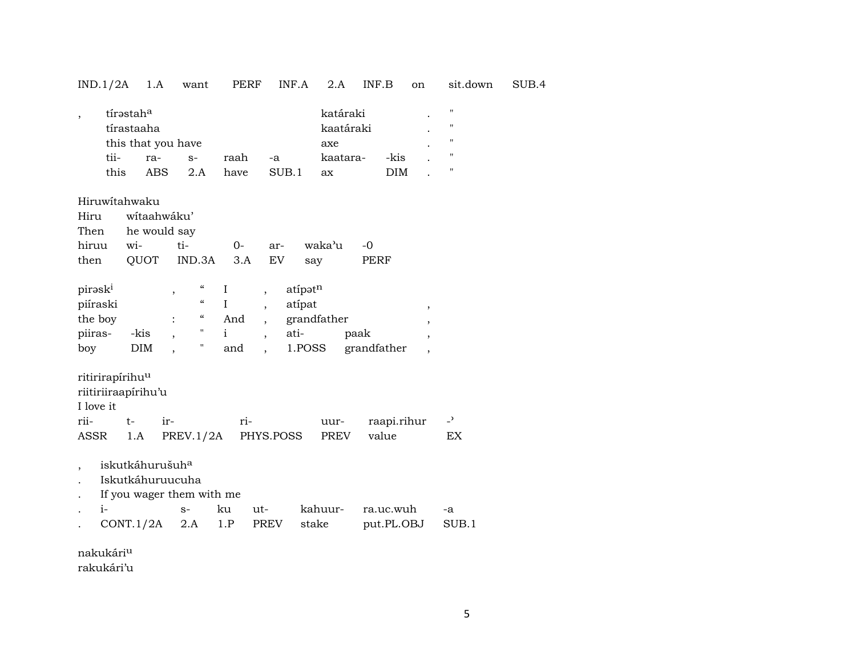## IND.1/2A 1.A want PERF INF.A 2.A INF.B on sit.down SUB.4

| $^{\prime\prime}$ |
|-------------------|
| $^{\prime\prime}$ |
| $^{\prime\prime}$ |
| "                 |
| $^{\prime\prime}$ |
|                   |

## Hiruwítahwaku

| Hiru wítaahwáku' |                             |  |  |                                |      |  |  |  |  |
|------------------|-----------------------------|--|--|--------------------------------|------|--|--|--|--|
|                  | Then he would say           |  |  |                                |      |  |  |  |  |
|                  |                             |  |  | hiruu wi- ti- 0- ar- waka'u -0 |      |  |  |  |  |
|                  | then QUOT IND.3A 3.A EV say |  |  |                                | PERF |  |  |  |  |

| pirask <sup>i</sup> |      | "                  |     | atípət <sup>n</sup> |             |  |
|---------------------|------|--------------------|-----|---------------------|-------------|--|
| piíraski            |      | $\epsilon\epsilon$ |     | atípat              |             |  |
| the boy             |      | "                  | And | grandfather         |             |  |
| piiras-             | -kis | "                  |     | ati-                | paak        |  |
| boy                 | DIM  | "                  | and | 1.POSS              | grandfather |  |

## ritirirapírihu<sup>u</sup>

riitiriiraapírihu'u

I love it

| rii- t- ir- |  | $r_{1-}$                                | uur- raapi.rihur - <sup>&gt;</sup> |     |
|-------------|--|-----------------------------------------|------------------------------------|-----|
|             |  | ASSR 1.A PREV.1/2A PHYS.POSS PREV value |                                    | EX. |

- , iskutkáhurušuh<sup>a</sup>
- . Iskutkáhuruucuha
- . If you wager them with me

| $\sim$ 1- |                              |  |  | ku ut-  kahuur- ra.uc.wuh -a |  |
|-----------|------------------------------|--|--|------------------------------|--|
|           | CONT.1/2A 2.A 1.P PREV stake |  |  | put.PL.OBJ SUB.1             |  |

nakukáriµ

rakukári'u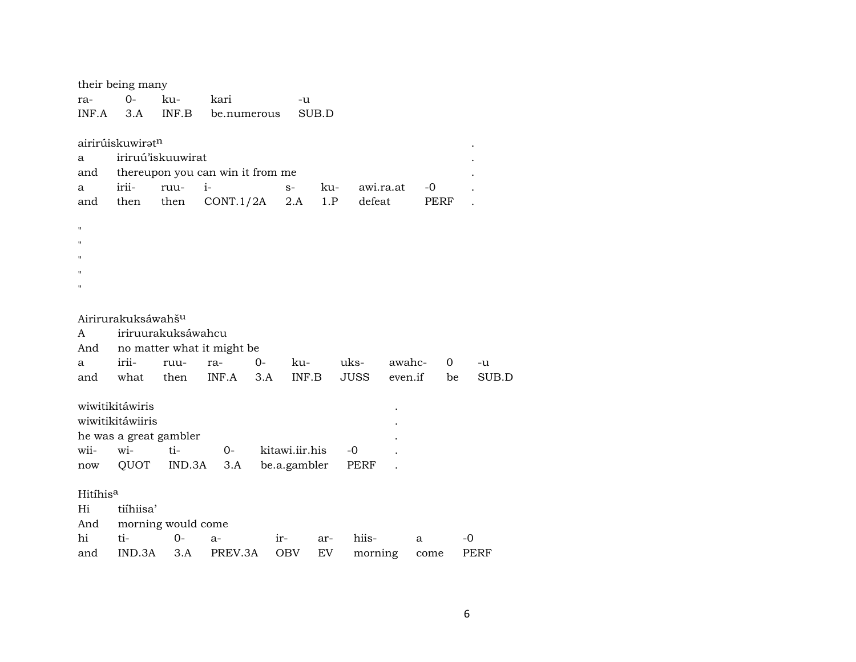|                      | their being many               |                    |                                  |                |       |     |             |         |             |             |
|----------------------|--------------------------------|--------------------|----------------------------------|----------------|-------|-----|-------------|---------|-------------|-------------|
| ra-                  | $O -$                          | ku-                | kari                             |                | -u    |     |             |         |             |             |
| INF.A                | 3.A                            | INF.B              | be.numerous                      |                | SUB.D |     |             |         |             |             |
|                      |                                |                    |                                  |                |       |     |             |         |             |             |
|                      | airirúiskuwirət <sup>n</sup>   |                    |                                  |                |       |     |             |         |             |             |
| a                    |                                | iriruú'iskuuwirat  |                                  |                |       |     |             |         |             |             |
| and                  |                                |                    | thereupon you can win it from me |                |       |     |             |         |             |             |
| a                    | irii-                          | ruu-               | $i-$                             | $S-$           |       | ku- | awi.ra.at   |         | -0          |             |
| and                  | then                           | then               | CONT.1/2A                        |                | 2.A   | 1.P | defeat      |         | <b>PERF</b> |             |
|                      |                                |                    |                                  |                |       |     |             |         |             |             |
| $\mathbf{H}$         |                                |                    |                                  |                |       |     |             |         |             |             |
| п                    |                                |                    |                                  |                |       |     |             |         |             |             |
| п                    |                                |                    |                                  |                |       |     |             |         |             |             |
| п                    |                                |                    |                                  |                |       |     |             |         |             |             |
| Ħ                    |                                |                    |                                  |                |       |     |             |         |             |             |
|                      |                                |                    |                                  |                |       |     |             |         |             |             |
|                      | Airirurakuksáwahš <sup>u</sup> |                    |                                  |                |       |     |             |         |             |             |
| A                    |                                | iriruurakuksáwahcu |                                  |                |       |     |             |         |             |             |
| And                  |                                |                    | no matter what it might be       |                |       |     |             |         |             |             |
| a                    | irii-                          | ruu-               | ra-                              | $0-$           | ku-   |     | uks-        | awahc-  | 0           | -u          |
| and                  | what                           | then               | INF.A                            | 3.A            | INF.B |     | <b>JUSS</b> | even.if | be          | SUB.D       |
|                      |                                |                    |                                  |                |       |     |             |         |             |             |
|                      | wiwitikitáwiris                |                    |                                  |                |       |     |             |         |             |             |
|                      | wiwitikitáwiiris               |                    |                                  |                |       |     |             |         |             |             |
|                      | he was a great gambler         |                    |                                  |                |       |     |             |         |             |             |
| wii-                 | wi-                            | ti-                | $0-$                             | kitawi.iir.his |       |     | $-0$        |         |             |             |
| now                  | QUOT                           | IND.3A             | 3.A                              | be.a.gambler   |       |     | <b>PERF</b> |         |             |             |
|                      |                                |                    |                                  |                |       |     |             |         |             |             |
| Hitíhis <sup>a</sup> |                                |                    |                                  |                |       |     |             |         |             |             |
| Hi                   | tiíhiisa'                      |                    |                                  |                |       |     |             |         |             |             |
| And                  |                                | morning would come |                                  |                |       |     |             |         |             |             |
| hi                   | ti-                            | $O -$              | a-                               | $ir-$          |       | ar- | hiis-       | a       |             | -0          |
| and                  | IND.3A                         | 3.A                | PREV.3A                          | <b>OBV</b>     |       | EV  | morning     |         | come        | <b>PERF</b> |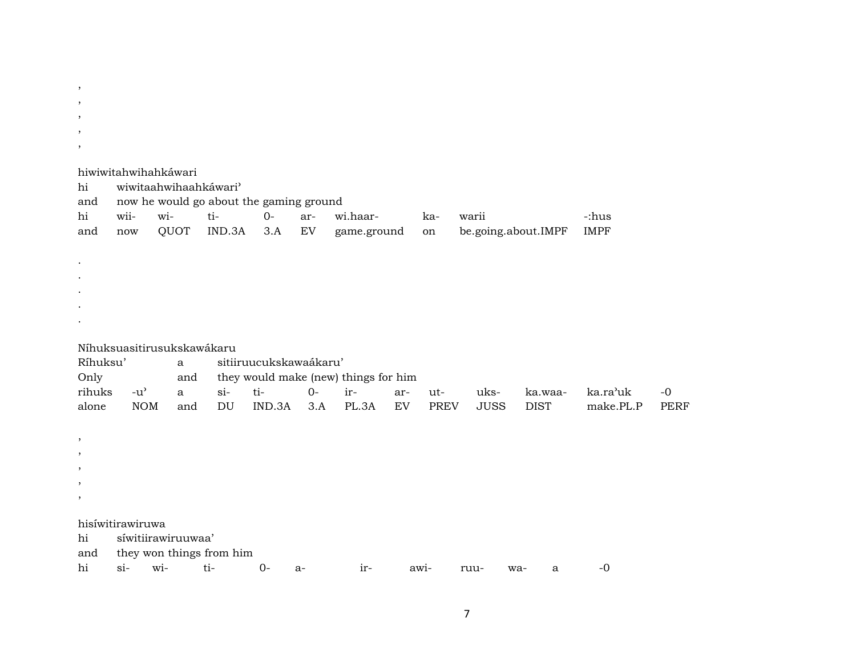, , , , , hiwiwitahwihahkáwari hi wiwitaahwihaahkáwari" and now he would go about the gaming ground hi wii- wi- ti- 0- ar- wi.haar- ka- warii -:hus and now QUOT IND.3A 3.A EV game.ground on be.going.about.IMPF IMPF . . . . . Níhuksuasitirusukskawákaru Ríhuksu' a sitiiruucukskawaákaru' Only and they would make (new) things for him rihuks -u" a si- ti- 0- ir- ar- ut- uks- ka.waa- ka.ra"uk -0 alone NOM and DU IND.3A 3.A PL.3A EV PREV JUSS DIST make.PL.P PERF , , , ,

hisíwitirawiruwa

,

hi síwitiirawiruuwaa'

and they won things from him

hi si- wi- ti- 0- a- ir- awi- ruu- wa- a -0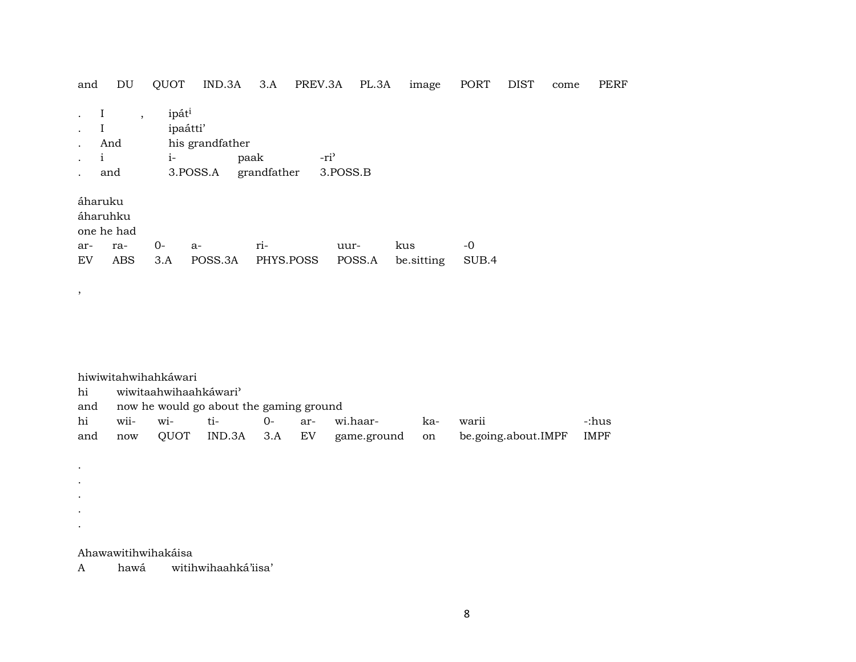| and                  | DU                                          | QUOT                                  | IND.3A                      | 3.A                 | PREV.3A                      | PL.3A  | image             | PORT          | <b>DIST</b> | come | <b>PERF</b> |
|----------------------|---------------------------------------------|---------------------------------------|-----------------------------|---------------------|------------------------------|--------|-------------------|---------------|-------------|------|-------------|
| 1                    | $\cdot$<br>And<br>and                       | ipát <sup>i</sup><br>ipaátti'<br>$i-$ | his grandfather<br>3.POSS.A | paak<br>grandfather | -ri <sup>3</sup><br>3.POSS.B |        |                   |               |             |      |             |
| áharuku<br>ar-<br>EV | áharuhku<br>one he had<br>ra-<br><b>ABS</b> | $0-$<br>3.A                           | $a-$<br>POSS.3A             | ri-<br>PHYS.POSS    | uur-                         | POSS.A | kus<br>be.sitting | $-0$<br>SUB.4 |             |      |             |

|     |                                         | hiwiwitahwihahkáwari  |               |        |       |                |     |                     |             |  |  |
|-----|-----------------------------------------|-----------------------|---------------|--------|-------|----------------|-----|---------------------|-------------|--|--|
| hi  |                                         | wiwitaahwihaahkáwari' |               |        |       |                |     |                     |             |  |  |
| and | now he would go about the gaming ground |                       |               |        |       |                |     |                     |             |  |  |
| hi  | wii-                                    | $W1 -$                | ti-           | $()$ - | $ar-$ | wi.haar-       | ka- | warii               | -:hus       |  |  |
| and | now                                     | OUOT                  | IND.3A 3.A EV |        |       | game.ground on |     | be.going.about.IMPF | <b>IMPF</b> |  |  |

Ahawawitihwihakáisa

 $\,$  ,

 $\sim$  $\sim$  $\sim$  $\mathcal{L}^{\pm}$  $\sim$ 

hawá witihwihaahká'iisa'  $\mathbf{A}$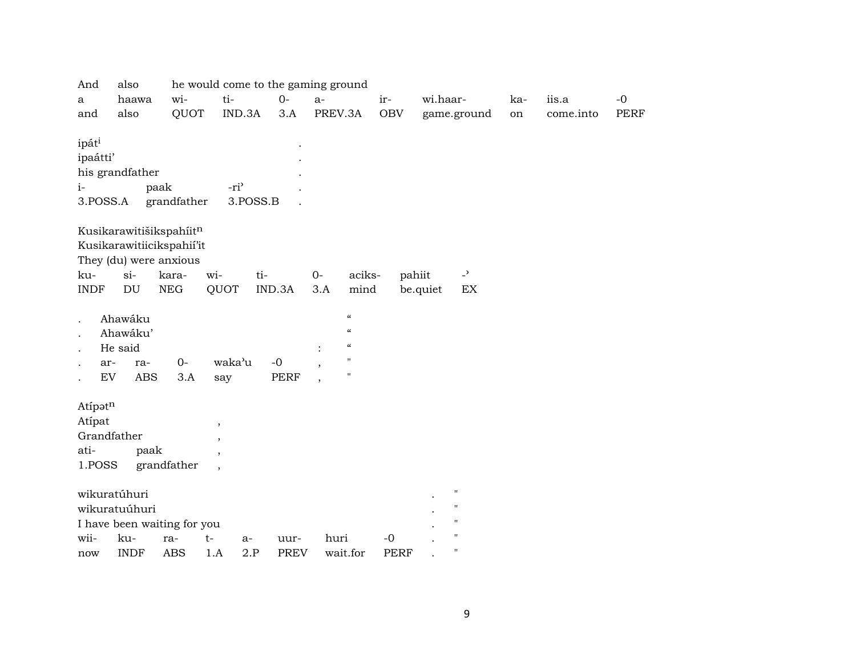| And                  | also                        |             |                          |             | he would come to the gaming ground             |             |                          |     |           |             |
|----------------------|-----------------------------|-------------|--------------------------|-------------|------------------------------------------------|-------------|--------------------------|-----|-----------|-------------|
| a                    | haawa                       | wi-         | ti-                      | $O -$       | $a-$                                           | ir-         | wi.haar-                 | ka- | iis.a     | $-0$        |
| and                  | also                        | QUOT        | IND.3A                   | 3.A         | PREV.3A                                        | <b>OBV</b>  | game.ground              | on  | come.into | <b>PERF</b> |
|                      |                             |             |                          |             |                                                |             |                          |     |           |             |
| ipát <sup>i</sup>    |                             |             |                          |             |                                                |             |                          |     |           |             |
| ipaátti'             |                             |             |                          |             |                                                |             |                          |     |           |             |
|                      | his grandfather             |             |                          |             |                                                |             |                          |     |           |             |
| $i-$                 |                             | paak        | -ri <sup>3</sup>         |             |                                                |             |                          |     |           |             |
| 3.POSS.A             |                             | grandfather | 3.POSS.B                 |             |                                                |             |                          |     |           |             |
|                      |                             |             |                          |             |                                                |             |                          |     |           |             |
|                      | Kusikarawitišikspahiitn     |             |                          |             |                                                |             |                          |     |           |             |
|                      | Kusikarawitiicikspahii'it   |             |                          |             |                                                |             |                          |     |           |             |
|                      | They (du) were anxious      |             |                          |             |                                                |             |                          |     |           |             |
| ku-                  | $si-$                       | kara-       | wi-                      | ti-         | aciks-<br>$0-$                                 |             | $\overline{a}$<br>pahiit |     |           |             |
| <b>INDF</b>          | DU                          | <b>NEG</b>  | QUOT                     | IND.3A      | 3.A<br>mind                                    |             | be.quiet<br>EX           |     |           |             |
|                      |                             |             |                          |             |                                                |             |                          |     |           |             |
|                      | Ahawáku                     |             |                          |             | $\mathcal{C}$                                  |             |                          |     |           |             |
|                      | Ahawáku'                    |             |                          |             | $\boldsymbol{\mathcal{C}}$                     |             |                          |     |           |             |
|                      | He said                     |             |                          |             | $\mathcal{C}\mathcal{C}$                       |             |                          |     |           |             |
|                      | ar-<br>ra-                  | $O -$       | waka'u                   | $-0$        | $\mathbf{H}$<br>$\cdot$                        |             |                          |     |           |             |
|                      | ${\rm EV}$<br><b>ABS</b>    | 3.A         | say                      | <b>PERF</b> | $\pmb{\mathsf{H}}$<br>$\overline{\phantom{a}}$ |             |                          |     |           |             |
|                      |                             |             |                          |             |                                                |             |                          |     |           |             |
| Atipatn              |                             |             |                          |             |                                                |             |                          |     |           |             |
| Atipat               |                             |             | $\cdot$                  |             |                                                |             |                          |     |           |             |
|                      | Grandfather                 |             | $\overline{\phantom{a}}$ |             |                                                |             |                          |     |           |             |
| ati-                 | paak                        |             | $\overline{\phantom{a}}$ |             |                                                |             |                          |     |           |             |
| 1.POSS               |                             | grandfather | $\overline{\phantom{a}}$ |             |                                                |             |                          |     |           |             |
|                      |                             |             |                          |             |                                                |             |                          |     |           |             |
|                      | wikuratúhuri                |             |                          |             |                                                |             | $\pmb{\mathsf{H}}$       |     |           |             |
|                      | wikuratuúhuri               |             |                          |             |                                                |             | П                        |     |           |             |
|                      | I have been waiting for you |             |                          |             |                                                |             | П                        |     |           |             |
| wii-                 | ku-                         | ra-         | $t-$<br>a-               | uur-        | huri                                           | $-0$        | $\mathbf{H}$             |     |           |             |
| $\operatorname{now}$ | <b>INDF</b>                 | <b>ABS</b>  | 2.P<br>1.A               | <b>PREV</b> | wait.for                                       | <b>PERF</b> | $\mathbf{H}$             |     |           |             |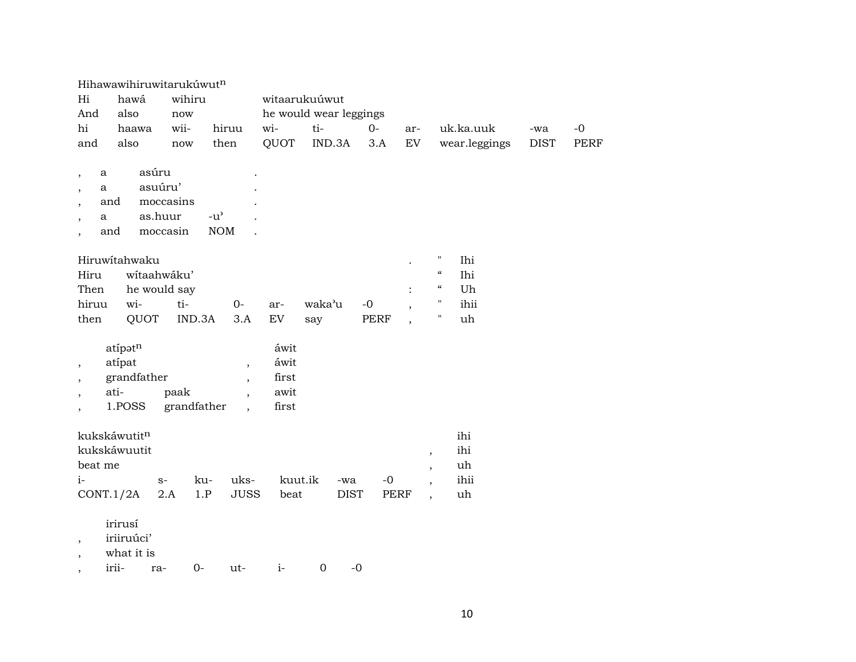| Hi<br>And                                                                         | Hihawawihiruwitarukuwutn<br>hawá<br>also                                                  | wihiru<br>now                 |                                                                  |                                              | witaarukuúwut<br>he would wear leggings |             |                          |                                                                                                    |             |             |
|-----------------------------------------------------------------------------------|-------------------------------------------------------------------------------------------|-------------------------------|------------------------------------------------------------------|----------------------------------------------|-----------------------------------------|-------------|--------------------------|----------------------------------------------------------------------------------------------------|-------------|-------------|
| hi                                                                                | haawa                                                                                     | wii-                          | hiruu                                                            | wi-                                          | ti-                                     | $0-$        | ar-                      | uk.ka.uuk                                                                                          | -wa         | $-0$        |
| and                                                                               | also                                                                                      | now                           | then                                                             | QUOT                                         | IND.3A                                  | 3.A         | <b>EV</b>                | wear.leggings                                                                                      | <b>DIST</b> | <b>PERF</b> |
| a<br>$\overline{\phantom{a}}$<br>a<br>$\overline{ }$<br>a<br>Hiru<br>Then         | asúru<br>asuúru'<br>and<br>as.huur<br>and<br>Hiruwitahwaku<br>wítaahwáku'<br>he would say | moccasins<br>moccasin         | $-u^{\prime}$<br><b>NOM</b>                                      |                                              |                                         |             |                          | $\pmb{\mathsf{H}}$<br>Ihi<br>$\boldsymbol{\mathcal{C}}$<br>Ihi<br>$\boldsymbol{\mathcal{C}}$<br>Uh |             |             |
| hiruu                                                                             | wi-                                                                                       | ti-                           | $0-$                                                             | ar-                                          | waka'u                                  | $-0$        | $\overline{\phantom{a}}$ | $\pmb{\mathsf{H}}$<br>ihii                                                                         |             |             |
| then<br>$^\mathrm{^\mathrm{o}}$<br>$\overline{\phantom{a}}$<br>$\cdot$<br>$\cdot$ | QUOT<br>atípatn<br>atípat<br>grandfather<br>ati-<br>1.POSS                                | IND.3A<br>paak<br>grandfather | 3.A<br>,<br>$\overline{\phantom{a}}$<br>$\overline{\phantom{a}}$ | EV<br>áwit<br>áwit<br>first<br>awit<br>first | say                                     | <b>PERF</b> |                          | н<br>uh                                                                                            |             |             |
| beat me                                                                           | kukskáwutitn<br>kukskáwuutit                                                              |                               |                                                                  |                                              |                                         |             | $\, ,$<br>$\, ,$         | ihi<br>ihi<br>uh                                                                                   |             |             |
| $i-$                                                                              |                                                                                           | $S-$                          | uks-<br>ku-                                                      |                                              | kuut.ik<br>-wa                          | $-o$        | $\overline{\phantom{a}}$ | ihii                                                                                               |             |             |
| CONT.1/2A                                                                         |                                                                                           | 2.A                           | <b>JUSS</b><br>1.P                                               | beat                                         | <b>DIST</b>                             | <b>PERF</b> | $\overline{\phantom{a}}$ | uh                                                                                                 |             |             |
| $\overline{\phantom{a}}$                                                          | irirusí<br>iriiruúci'                                                                     |                               |                                                                  |                                              |                                         |             |                          |                                                                                                    |             |             |

, what it is

, irii- ra- 0- ut- i- 0 -0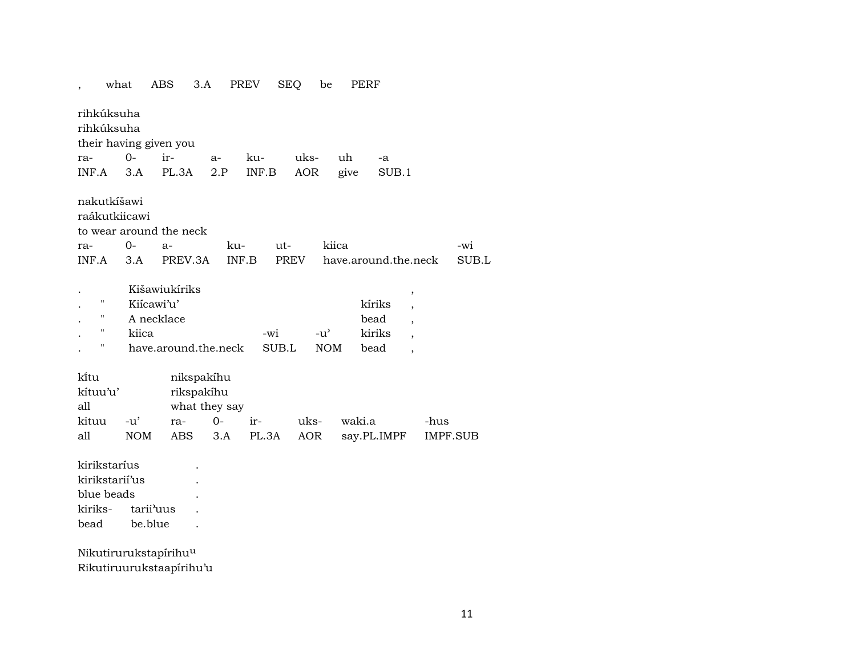|                         | what                     | ABS                                                                        | 3.A                                       | <b>PREV</b>  | SEQ          | be                                              | PERF                             |      |          |
|-------------------------|--------------------------|----------------------------------------------------------------------------|-------------------------------------------|--------------|--------------|-------------------------------------------------|----------------------------------|------|----------|
|                         | rihkúksuha<br>rihkúksuha |                                                                            |                                           |              |              |                                                 |                                  |      |          |
|                         |                          | their having given you                                                     |                                           |              |              |                                                 |                                  |      |          |
| ra-                     | $O -$                    | ir-                                                                        | a-                                        | ku-          | uks-         | uh                                              | -a                               |      |          |
| INF.A                   | 3.A                      | PL.3A                                                                      | 2.P                                       | INF.B        | AOR          | give                                            | SUB.1                            |      |          |
|                         | nakutkíšawi              |                                                                            |                                           |              |              |                                                 |                                  |      |          |
|                         | raákutkiicawi            |                                                                            |                                           |              |              |                                                 |                                  |      |          |
|                         |                          | to wear around the neck                                                    |                                           |              |              |                                                 |                                  |      |          |
| ra-                     | $0-$                     | $a-$                                                                       |                                           | ku-          | ut-          | kiica                                           |                                  |      | -wi      |
| INF.A                   | 3.A                      |                                                                            | PREV.3A                                   | INF.B        | PREV         |                                                 | have.around.the.neck             |      | SUB.L    |
| Ħ<br>Н<br>н<br>Π        |                          | Kišawiukíriks<br>Kiícawi'u'<br>A necklace<br>kiica<br>have.around.the.neck |                                           |              | -wi<br>SUB.L | $-u$ <sup><math>\sim</math></sup><br><b>NOM</b> | kíriks<br>bead<br>kiriks<br>bead | ,    |          |
| kītu<br>kítuu'u'<br>all |                          |                                                                            | nikspakíhu<br>rikspakíhu<br>what they say |              |              |                                                 |                                  |      |          |
| kituu                   | $-u'$                    | ra-                                                                        | $O -$                                     | ir-          | uks-         |                                                 | waki.a                           | -hus |          |
| all                     | <b>NOM</b>               | <b>ABS</b>                                                                 |                                           | 3.A<br>PL.3A |              | <b>AOR</b>                                      | say.PL.IMPF                      |      | IMPF.SUB |
|                         | kirikstaríus             |                                                                            |                                           |              |              |                                                 |                                  |      |          |
|                         | kirikstarií'us           |                                                                            |                                           |              |              |                                                 |                                  |      |          |
|                         | blue beads               |                                                                            |                                           |              |              |                                                 |                                  |      |          |
| kiriks-                 |                          | tarii'uus                                                                  |                                           |              |              |                                                 |                                  |      |          |
| bead                    |                          | be.blue                                                                    |                                           |              |              |                                                 |                                  |      |          |
|                         |                          |                                                                            |                                           |              |              |                                                 |                                  |      |          |
|                         |                          | Nikutirurukstapírihuu                                                      |                                           |              |              |                                                 |                                  |      |          |
|                         |                          | Rikutiruurukstaapírihu'u                                                   |                                           |              |              |                                                 |                                  |      |          |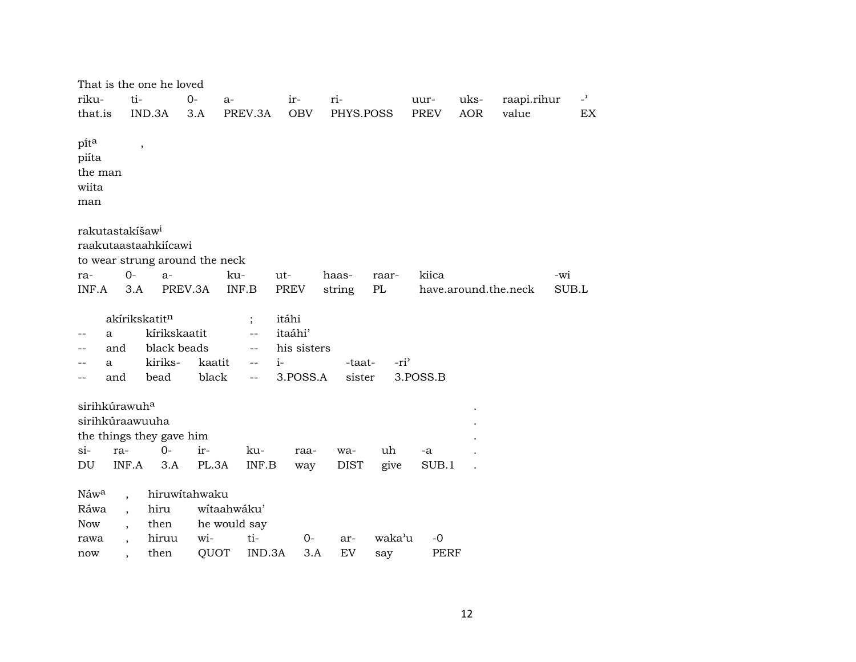| That is the one he loved               |               |                                    |             |             |                  |             |            |                      |                |
|----------------------------------------|---------------|------------------------------------|-------------|-------------|------------------|-------------|------------|----------------------|----------------|
| ti-<br>riku-                           | $O -$         | a-                                 | ir-         | ri-         |                  | uur-        | uks-       | raapi.rihur          | $\overline{a}$ |
| that.is                                | IND.3A<br>3.A | PREV.3A                            | <b>OBV</b>  | PHYS.POSS   |                  | <b>PREV</b> | <b>AOR</b> | value                | EX             |
|                                        |               |                                    |             |             |                  |             |            |                      |                |
| pita<br>$\overline{\phantom{a}}$       |               |                                    |             |             |                  |             |            |                      |                |
| piíta                                  |               |                                    |             |             |                  |             |            |                      |                |
| the man                                |               |                                    |             |             |                  |             |            |                      |                |
| wiita                                  |               |                                    |             |             |                  |             |            |                      |                |
| man                                    |               |                                    |             |             |                  |             |            |                      |                |
| rakutastakíšaw <sup>i</sup>            |               |                                    |             |             |                  |             |            |                      |                |
| raakutaastaahkiícawi                   |               |                                    |             |             |                  |             |            |                      |                |
| to wear strung around the neck         |               |                                    |             |             |                  |             |            |                      |                |
| $0-$<br>ra-                            | $a-$          | ku-                                | ut-         | haas-       | raar-            | kiica       |            |                      | -wi            |
| INF.A<br>3.A                           | PREV.3A       | INF.B                              | PREV        | string      | PL               |             |            | have.around.the.neck | SUB.L          |
|                                        |               |                                    |             |             |                  |             |            |                      |                |
| akírikskatitn                          |               | $\vdots$                           | itáhi       |             |                  |             |            |                      |                |
| a                                      | kírikskaatit  | $\overline{\phantom{a}}$           | itaáhi'     |             |                  |             |            |                      |                |
| and                                    | black beads   | $\overline{\phantom{m}}$           | his sisters |             |                  |             |            |                      |                |
| a<br>--                                | kiriks-       | kaatit<br>$\overline{\phantom{a}}$ | $i-$        | -taat-      | -ri <sup>3</sup> |             |            |                      |                |
| and<br>$\qquad \qquad -$               | bead          | black<br>$\overline{\phantom{m}}$  | 3.POSS.A    | sister      |                  | 3.POSS.B    |            |                      |                |
|                                        |               |                                    |             |             |                  |             |            |                      |                |
| sirihkúrawuh <sup>a</sup>              |               |                                    |             |             |                  |             |            |                      |                |
| sirihkúraawuuha                        |               |                                    |             |             |                  |             |            |                      |                |
| the things they gave him               |               |                                    |             |             |                  |             |            |                      |                |
| $si-$<br>ra-                           | $O -$<br>ir-  | ku-                                | raa-        | wa-         | uh               | -a          |            |                      |                |
| INF.A<br>DU                            | 3.A           | PL.3A<br>INF.B                     | way         | <b>DIST</b> | give             | SUB.1       |            |                      |                |
| Náwa<br>$\ddot{\phantom{0}}$           | hiruwitahwaku |                                    |             |             |                  |             |            |                      |                |
| Ráwa                                   | hiru          | wítaahwáku'                        |             |             |                  |             |            |                      |                |
| <b>Now</b><br>$\overline{\phantom{a}}$ | then          | he would say                       |             |             |                  |             |            |                      |                |
| rawa                                   | hiruu         | ti-<br>wi-                         | 0-          | ar-         | waka'u           | $-0$        |            |                      |                |
| now                                    | then          | QUOT<br>IND.3A                     | 3.A         | EV          | say              | PERF        |            |                      |                |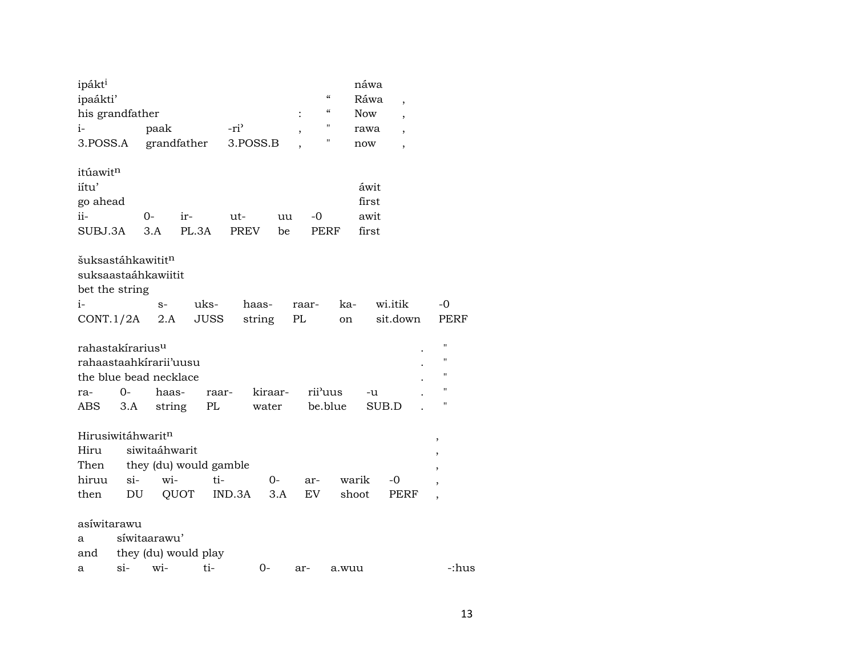| ipákt <sup>i</sup><br>ipaákti'<br>his grandfather<br>$i-$<br>3.POSS.A                           |             | paak                 | grandfather                           | -ri <sup>3</sup><br>3.POSS.B | $\ddot{\cdot}$<br>$\, ,$ | $\boldsymbol{\zeta}\boldsymbol{\zeta}$<br>$\epsilon$<br>11<br>11 |                | náwa<br>Ráwa<br><b>Now</b><br>rawa<br>now | $\overline{ }$<br>$\cdot$<br>$\overline{ }$ |                                                                                           |  |
|-------------------------------------------------------------------------------------------------|-------------|----------------------|---------------------------------------|------------------------------|--------------------------|------------------------------------------------------------------|----------------|-------------------------------------------|---------------------------------------------|-------------------------------------------------------------------------------------------|--|
| itúawitn<br>iítu'<br>go ahead<br>$ii-$<br>SUBJ.3A                                               |             | $0-$<br>3.A          | $ir-$<br>PL.3A                        | ut-<br>PREV                  | uu<br>be                 | $-0$<br>PERF                                                     |                | áwit<br>first<br>awit<br>first            |                                             |                                                                                           |  |
| šuksastáhkawitit <sup>n</sup><br>suksaastaáhkawiitit<br>bet the string<br>i-<br>CONT.1/2A $2.A$ |             | $S-$                 | uks-<br><b>JUSS</b>                   | haas-<br>string              | PL                       | raar-                                                            | ka-<br>on      |                                           | wi.itik<br>sit.down                         | -0<br>PERF                                                                                |  |
| rahastakírarius <sup>u</sup><br>rahaastaahkirarii'uusu<br>the blue bead necklace<br>ra-<br>ABS  | 0-<br>3.A   | haas-<br>string      | raar-<br>PL                           | water                        | kiraar-                  | rii'uus<br>be.blue                                               |                | -u<br>SUB.D                               |                                             | $\pmb{\mathsf{H}}$<br>$\pmb{\mathsf{H}}$<br>$\pmb{\mathsf{H}}$<br>$\pmb{\mathsf{H}}$<br>Н |  |
| Hirusiwitáhwaritn<br>Hiru<br>Then<br>hiruu<br>then                                              | $si-$<br>DU | siwitaáhwarit<br>wi- | they (du) would gamble<br>ti-<br>QUOT | IND.3A                       | 0-<br>3.A                | ar-<br>EV                                                        | warik<br>shoot |                                           | $-0$<br>PERF                                | $\pmb{\mathcal{I}}$<br>$\overline{\phantom{a}}$                                           |  |
| asíwitarawu<br>a<br>and<br>a                                                                    | $si$ -      | síwitaarawu'<br>wi-  | they (du) would play<br>ti-           | $0-$                         |                          | ar-                                                              | a.wuu          |                                           |                                             | -:hus                                                                                     |  |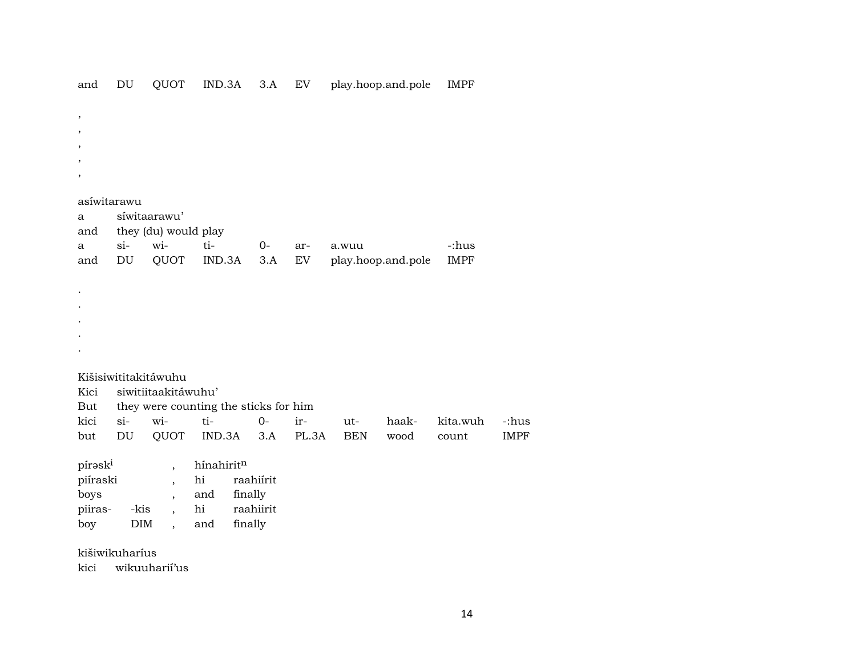| $\, ,$        |            |                          |                                       |           |       |            |                    |             |             |
|---------------|------------|--------------------------|---------------------------------------|-----------|-------|------------|--------------------|-------------|-------------|
| ,             |            |                          |                                       |           |       |            |                    |             |             |
| $^\mathrm{,}$ |            |                          |                                       |           |       |            |                    |             |             |
| $^\mathrm{,}$ |            |                          |                                       |           |       |            |                    |             |             |
| $^\mathrm{,}$ |            |                          |                                       |           |       |            |                    |             |             |
|               |            |                          |                                       |           |       |            |                    |             |             |
| asíwitarawu   |            |                          |                                       |           |       |            |                    |             |             |
| a             |            | síwitaarawu'             |                                       |           |       |            |                    |             |             |
| and           |            | they (du) would play     |                                       |           |       |            |                    |             |             |
| a             | $si-$      | wi-                      | ti-                                   | $0-$      | ar-   | a.wuu      |                    | -:hus       |             |
| and           | DU         | QUOT                     | IND.3A                                | 3.A       | EV    |            | play.hoop.and.pole | <b>IMPF</b> |             |
|               |            |                          |                                       |           |       |            |                    |             |             |
|               |            |                          |                                       |           |       |            |                    |             |             |
|               |            |                          |                                       |           |       |            |                    |             |             |
|               |            |                          |                                       |           |       |            |                    |             |             |
|               |            |                          |                                       |           |       |            |                    |             |             |
|               |            |                          |                                       |           |       |            |                    |             |             |
|               |            |                          |                                       |           |       |            |                    |             |             |
|               |            | Kišisiwititakitáwuhu     |                                       |           |       |            |                    |             |             |
| Kici          |            | siwitiitaakitáwuhu'      |                                       |           |       |            |                    |             |             |
| But           |            |                          | they were counting the sticks for him |           |       |            |                    |             |             |
| kici          | $si-$      | wi-                      | ti-                                   | $0-$      | ir-   | ut-        | haak-              | kita.wuh    | -:hus       |
| but           | DU         | QUOT                     | IND.3A                                | 3.A       | PL.3A | <b>BEN</b> | wood               | count       | <b>IMPF</b> |
|               |            |                          |                                       |           |       |            |                    |             |             |
| píraski       |            | $\overline{ }$ ,         | hínahiritn                            |           |       |            |                    |             |             |
| piíraski      |            | $\overline{\phantom{a}}$ | hi                                    | raahiírit |       |            |                    |             |             |
| boys          |            | $\overline{ }$ ,         | and                                   | finally   |       |            |                    |             |             |
| piiras-       | -kis       | $\overline{\phantom{a}}$ | hi                                    | raahiirit |       |            |                    |             |             |
| boy           | <b>DIM</b> | $\ddot{\phantom{0}}$     | and                                   | finally   |       |            |                    |             |             |
|               |            |                          |                                       |           |       |            |                    |             |             |

and DU QUOT IND.3A 3.A EV play.hoop.and.pole IMPF

kišiwikuharíus

kici wikuuharií'us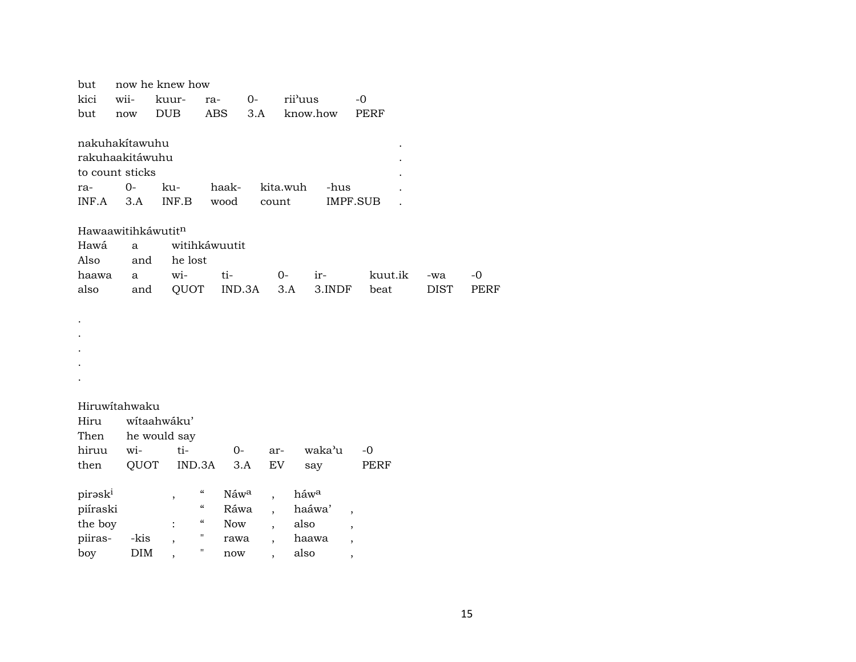| but      |                                         | now he knew how |                           |                          |          |          |                          |             |             |
|----------|-----------------------------------------|-----------------|---------------------------|--------------------------|----------|----------|--------------------------|-------------|-------------|
| kici     | wii-<br>rii'uus<br>kuur-<br>$0-$<br>ra- |                 |                           |                          | $-0$     |          |                          |             |             |
| but      | now                                     | <b>DUB</b>      | <b>ABS</b>                | 3.A                      |          | know.how | <b>PERF</b>              |             |             |
|          |                                         |                 |                           |                          |          |          |                          |             |             |
|          | nakuhakítawuhu                          |                 |                           |                          |          |          |                          |             |             |
|          | rakuhaakitáwuhu                         |                 |                           |                          |          |          |                          |             |             |
|          | to count sticks                         |                 |                           |                          |          |          |                          |             |             |
| ra-      | $O -$                                   | ku-             | haak-                     |                          | kita.wuh | -hus     |                          |             |             |
| INF.A    | 3.A                                     | INF.B           | wood                      | count                    |          |          | <b>IMPF.SUB</b>          |             |             |
|          |                                         |                 |                           |                          |          |          |                          |             |             |
|          | Hawaawitihkáwutitn                      |                 |                           |                          |          |          |                          |             |             |
| Hawá     | a                                       |                 | witihkáwuutit             |                          |          |          |                          |             |             |
| Also     | and                                     | he lost         |                           |                          |          |          |                          |             |             |
| haawa    | a                                       | wi-             | ti-                       |                          | $0-$     | ir-      | kuut.ik                  | -wa         | -0          |
| also     | and                                     | QUOT            | IND.3A                    |                          | 3.A      | 3.INDF   | beat                     | <b>DIST</b> | <b>PERF</b> |
|          |                                         |                 |                           |                          |          |          |                          |             |             |
|          |                                         |                 |                           |                          |          |          |                          |             |             |
|          |                                         |                 |                           |                          |          |          |                          |             |             |
|          |                                         |                 |                           |                          |          |          |                          |             |             |
|          |                                         |                 |                           |                          |          |          |                          |             |             |
|          |                                         |                 |                           |                          |          |          |                          |             |             |
|          |                                         |                 |                           |                          |          |          |                          |             |             |
|          | Hiruwitahwaku                           |                 |                           |                          |          |          |                          |             |             |
| Hiru     |                                         | wítaahwáku'     |                           |                          |          |          |                          |             |             |
| Then     |                                         | he would say    |                           |                          |          |          |                          |             |             |
| hiruu    | wi-                                     | ti-             | $0-$                      | ar-                      |          | waka'u   | $-0$                     |             |             |
| then     | QUOT                                    | IND.3A          |                           | 3.A                      | EV       | say      | <b>PERF</b>              |             |             |
|          |                                         |                 |                           |                          |          |          |                          |             |             |
| piraski  |                                         | ,               | $\zeta\zeta$<br>Náwa      |                          |          | háwa     |                          |             |             |
| piíraski |                                         |                 | 4<br>Ráwa                 |                          |          | haáwa'   | $\overline{\phantom{a}}$ |             |             |
| the boy  |                                         |                 | $\epsilon\epsilon$<br>Now | $\overline{\phantom{a}}$ |          | also     |                          |             |             |
| piiras-  | -kis                                    |                 | П<br>rawa<br>Π            | $\overline{\phantom{a}}$ |          | haawa    |                          |             |             |
| boy      | <b>DIM</b>                              | $\cdot$         | now                       | $\ddot{\phantom{0}}$     |          | also     | $\overline{\phantom{a}}$ |             |             |
|          |                                         |                 |                           |                          |          |          |                          |             |             |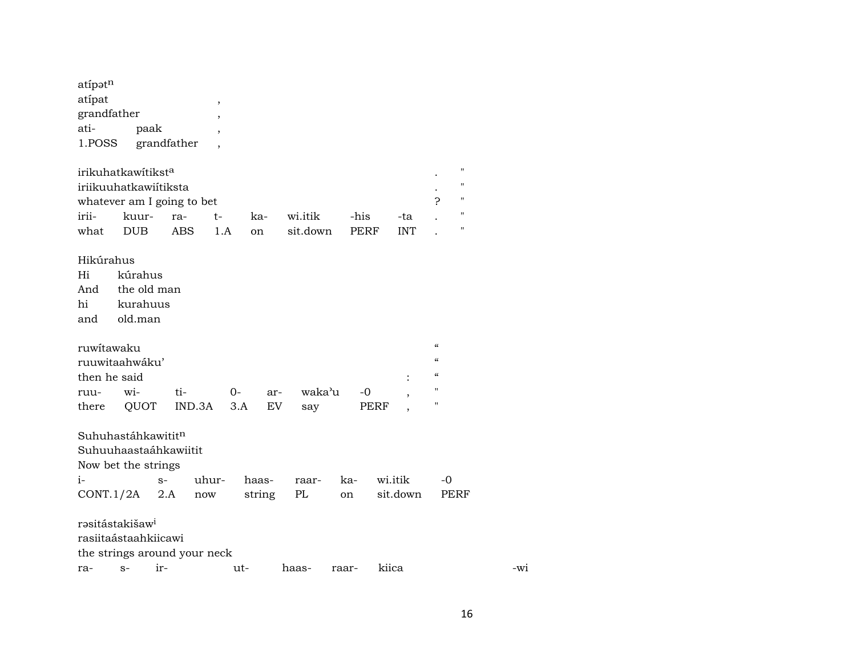| atípatn<br>atípat<br>grandfather<br>ati-<br>1.POSS                                  |            | paak        | grandfather          | $\,$<br>, |        |          |             |            |                                        |                                          |
|-------------------------------------------------------------------------------------|------------|-------------|----------------------|-----------|--------|----------|-------------|------------|----------------------------------------|------------------------------------------|
| irikuhatkawítikst <sup>a</sup>                                                      |            |             |                      |           |        |          |             |            |                                        | $\pmb{\mathsf{H}}$                       |
| iriikuuhatkawiítiksta                                                               |            |             |                      |           |        |          |             |            |                                        | $\pmb{\mathsf{H}}$                       |
| whatever am I going to bet                                                          |            |             |                      |           |        |          |             |            | ?                                      | $\pmb{\mathsf{H}}$                       |
| irii-                                                                               | kuur-      |             | ra-                  | t-        | ka-    | wi.itik  | -his        | -ta        |                                        | $\pmb{\mathsf{H}}$<br>$\pmb{\mathsf{H}}$ |
| what                                                                                | <b>DUB</b> |             | <b>ABS</b>           | 1.A       | on     | sit.down | <b>PERF</b> | <b>INT</b> |                                        |                                          |
| Hikúrahus                                                                           |            |             |                      |           |        |          |             |            |                                        |                                          |
| Hi                                                                                  | kúrahus    |             |                      |           |        |          |             |            |                                        |                                          |
| And                                                                                 |            | the old man |                      |           |        |          |             |            |                                        |                                          |
| hi                                                                                  |            | kurahuus    |                      |           |        |          |             |            |                                        |                                          |
| and                                                                                 | old.man    |             |                      |           |        |          |             |            |                                        |                                          |
|                                                                                     |            |             |                      |           |        |          |             |            | $\boldsymbol{\zeta}\boldsymbol{\zeta}$ |                                          |
| ruwitawaku                                                                          |            |             |                      |           |        |          |             |            | $\mathcal{C}\mathcal{C}$               |                                          |
| ruuwitaahwáku'<br>then he said                                                      |            |             |                      |           |        |          |             |            | $\mathcal{C}\mathcal{C}$               |                                          |
| ruu-                                                                                | wi-        |             | ti-                  | 0-        | ar-    | waka'u   | -0          |            | п                                      |                                          |
| there                                                                               | QUOT       |             | IND.3A               | 3.A       | EV     | say      |             | PERF       | $\pmb{\mathsf{H}}$                     |                                          |
|                                                                                     |            |             |                      |           |        |          |             |            |                                        |                                          |
| Suhuhastáhkawititn                                                                  |            |             |                      |           |        |          |             |            |                                        |                                          |
| Suhuuhaastaáhkawiitit                                                               |            |             |                      |           |        |          |             |            |                                        |                                          |
| Now bet the strings                                                                 |            |             |                      |           |        |          |             |            |                                        |                                          |
| $i-$                                                                                |            | $S-$        | uhur-                |           | haas-  | raar-    | ka-         | wi.itik    | -0                                     |                                          |
| CONT.1/2A                                                                           |            | 2.A         | $\operatorname{now}$ |           | string | PL       | on          | sit.down   |                                        | PERF                                     |
| rəsitástakišaw <sup>i</sup><br>rasiitaástaahkiicawi<br>the strings around your neck |            |             |                      |           |        |          |             |            |                                        |                                          |
| ra- s- ir-                                                                          |            |             |                      | $11t-$    |        | haas-    | raar-       | kiica      |                                        |                                          |

-wi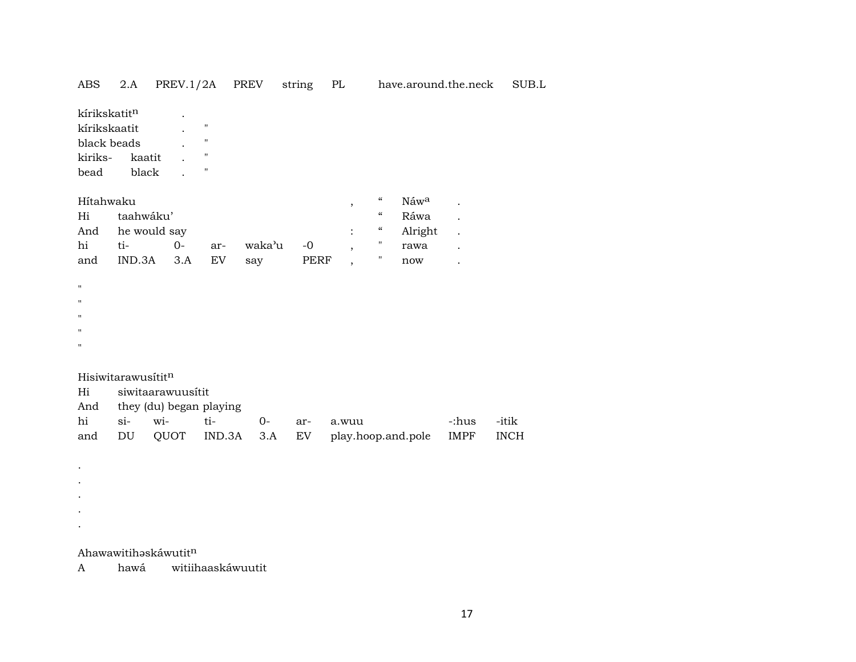| ABS                                                                                       | 2.A                |                                              | PREV.1/2A PREV                                                                       |        | string PL |                          |                    |         | have.around.the.neck | SUB.L       |
|-------------------------------------------------------------------------------------------|--------------------|----------------------------------------------|--------------------------------------------------------------------------------------|--------|-----------|--------------------------|--------------------|---------|----------------------|-------------|
| kírikskatitn<br>kírikskaatit<br>black beads<br>kiriks-<br>bead                            | kaatit<br>black    |                                              | $\pmb{\mathsf{H}}$<br>$\pmb{\mathsf{H}}$<br>$\pmb{\mathsf{H}}$<br>$\pmb{\mathsf{H}}$ |        |           |                          |                    |         |                      |             |
| Hítahwaku                                                                                 |                    |                                              |                                                                                      |        |           | ,                        | $\epsilon\epsilon$ | Náwa    |                      |             |
| Hi                                                                                        | taahwáku'          |                                              |                                                                                      |        |           |                          | $\epsilon\epsilon$ | Ráwa    |                      |             |
| And                                                                                       |                    | he would say                                 |                                                                                      |        |           |                          | $\epsilon\epsilon$ | Alright | $\ddot{\phantom{a}}$ |             |
| hi                                                                                        | ti-                | $0-$                                         | ar-                                                                                  | waka'u | $-0$      | $\overline{\phantom{a}}$ |                    | rawa    |                      |             |
| and                                                                                       | IND.3A             | 3.A                                          | <b>EV</b>                                                                            | say    | PERF      | $\overline{ }$           | Ħ                  | now     |                      |             |
| $\pmb{\mathsf{H}}$<br>$\pmb{\mathsf{H}}$<br>$\pmb{\mathsf{H}}$<br>п<br>$\pmb{\mathsf{H}}$ |                    |                                              |                                                                                      |        |           |                          |                    |         |                      |             |
|                                                                                           | Hisiwitarawusititn |                                              |                                                                                      |        |           |                          |                    |         |                      |             |
| Hi<br>And                                                                                 |                    | siwitaarawuusitit<br>they (du) began playing |                                                                                      |        |           |                          |                    |         |                      |             |
| hi                                                                                        | si-                | wi-                                          | ti-                                                                                  | $0-$   | ar-       | a.wuu                    |                    |         | -:hus                | -itik       |
| and                                                                                       | DU                 | QUOT                                         | IND.3A                                                                               | 3.A    | EV        | play.hoop.and.pole       |                    |         | IMPF                 | <b>INCH</b> |
|                                                                                           |                    |                                              |                                                                                      |        |           |                          |                    |         |                      |             |

Ahawawitihaskáwutitn

 $\langle \cdot \rangle$  $\sim$ 

witiihaaskáwuutit hawá  $\mathbf{A}$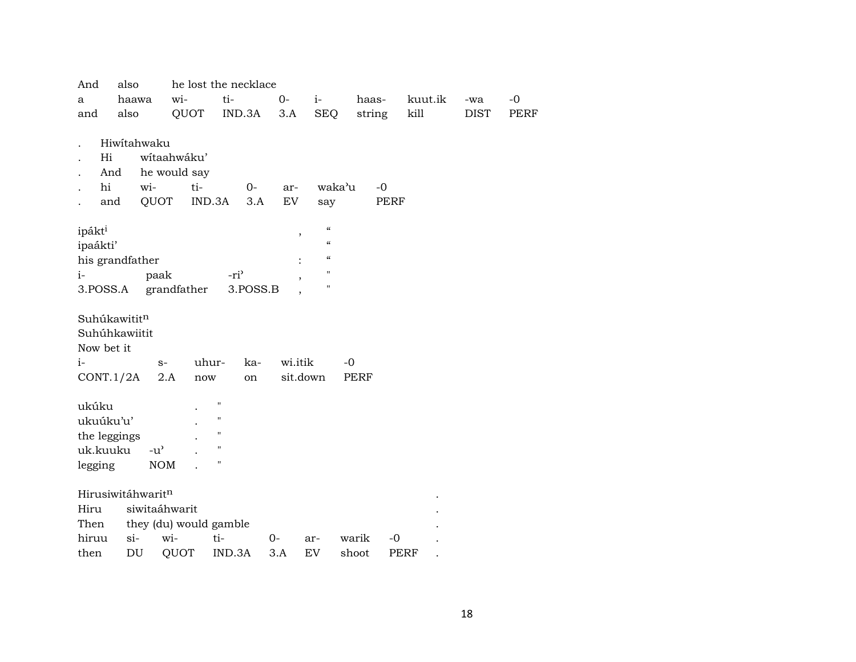| And                         | also  |               |               | he lost the necklace   |          |         |                                           |             |             |         |             |             |
|-----------------------------|-------|---------------|---------------|------------------------|----------|---------|-------------------------------------------|-------------|-------------|---------|-------------|-------------|
| a                           |       | haawa         | wi-           | ti-                    |          | $0-$    | $i-$                                      |             | haas-       | kuut.ik | -wa         | $-0$        |
| and                         | also  |               | QUOT          |                        | IND.3A   | 3.A     | <b>SEQ</b>                                |             | string      | kill    | <b>DIST</b> | <b>PERF</b> |
|                             |       |               |               |                        |          |         |                                           |             |             |         |             |             |
|                             |       | Hiwitahwaku   |               |                        |          |         |                                           |             |             |         |             |             |
| Hi                          |       |               | wítaahwáku'   |                        |          |         |                                           |             |             |         |             |             |
|                             | And   |               | he would say  |                        |          |         |                                           |             |             |         |             |             |
| hi                          |       | wi-           | ti-           |                        | $O -$    | ar-     |                                           | waka'u      | $-0$        |         |             |             |
|                             | and   | QUOT          |               | IND.3A                 | 3.A      | EV      | say                                       |             | PERF        |         |             |             |
|                             |       |               |               |                        |          |         | $\boldsymbol{\mathcal{C}}$                |             |             |         |             |             |
| ipákti                      |       |               |               |                        |          |         | $\pmb{\mathcal{I}}$<br>$\epsilon\epsilon$ |             |             |         |             |             |
| ipaákti'<br>his grandfather |       |               |               |                        |          |         | $\epsilon\epsilon$                        |             |             |         |             |             |
| $i-$                        |       | paak          |               | -ri <sup>3</sup>       |          |         | 11                                        |             |             |         |             |             |
| 3.POSS.A                    |       |               | grandfather   |                        | 3.POSS.B |         | н                                         |             |             |         |             |             |
|                             |       |               |               |                        |          |         |                                           |             |             |         |             |             |
| Suhúkawititn                |       |               |               |                        |          |         |                                           |             |             |         |             |             |
| Suhúhkawiitit               |       |               |               |                        |          |         |                                           |             |             |         |             |             |
| Now bet it                  |       |               |               |                        |          |         |                                           |             |             |         |             |             |
| $i-$                        |       | $S-$          |               | uhur-                  | ka-      | wi.itik |                                           | $-0$        |             |         |             |             |
| CONT.1/2A                   |       |               | 2.A           | now                    | on       |         | sit.down                                  | <b>PERF</b> |             |         |             |             |
|                             |       |               |               |                        |          |         |                                           |             |             |         |             |             |
| ukúku                       |       |               |               | н                      |          |         |                                           |             |             |         |             |             |
| ukuúku'u'                   |       |               |               | 11                     |          |         |                                           |             |             |         |             |             |
| the leggings                |       |               |               | $\mathbf{H}$           |          |         |                                           |             |             |         |             |             |
| uk.kuuku                    |       | $-u^{\prime}$ |               | $\mathbf{H}$           |          |         |                                           |             |             |         |             |             |
| legging                     |       | $\rm{NOM}$    |               | 11                     |          |         |                                           |             |             |         |             |             |
| Hirusiwitáhwaritn           |       |               |               |                        |          |         |                                           |             |             |         |             |             |
| Hiru                        |       |               | siwitaáhwarit |                        |          |         |                                           |             |             |         |             |             |
| Then                        |       |               |               | they (du) would gamble |          |         |                                           |             |             |         |             |             |
| hiruu                       | $si-$ |               | wi-           | ti-                    |          | 0-      | ar-                                       | warik       | $-0$        |         |             |             |
| then                        |       | DU            | QUOT          | IND.3A                 |          | 3.A     | EV                                        | shoot       | <b>PERF</b> |         |             |             |
|                             |       |               |               |                        |          |         |                                           |             |             |         |             |             |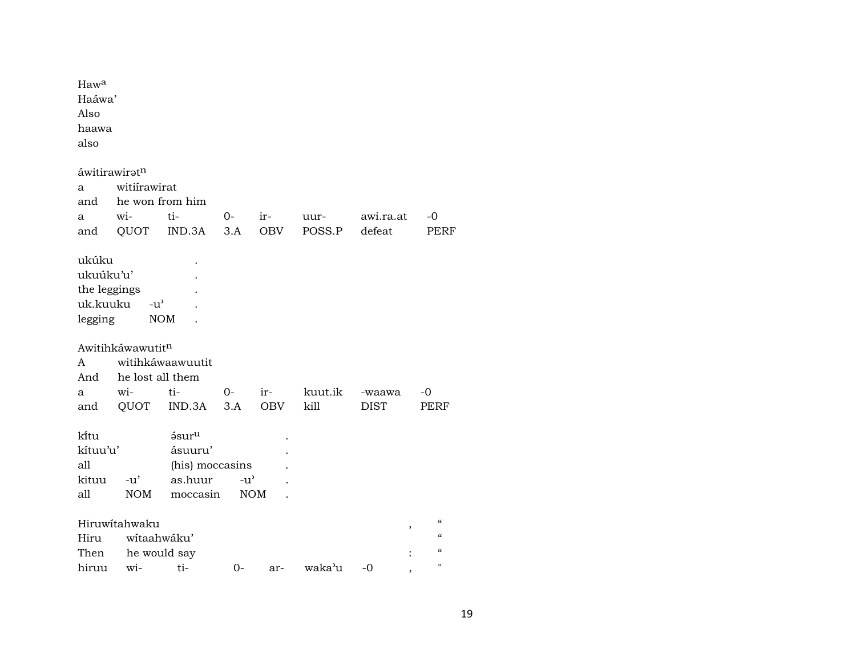| Haw <sup>a</sup><br>Haáwa'<br>Also<br>haawa<br>also                               |                                                                                    |                                   |               |                   |                 |                       |                                                                                                        |
|-----------------------------------------------------------------------------------|------------------------------------------------------------------------------------|-----------------------------------|---------------|-------------------|-----------------|-----------------------|--------------------------------------------------------------------------------------------------------|
| áwitirawiratn                                                                     |                                                                                    |                                   |               |                   |                 |                       |                                                                                                        |
| a                                                                                 | witiirawirat                                                                       |                                   |               |                   |                 |                       |                                                                                                        |
| and                                                                               | he won from him                                                                    |                                   |               |                   |                 |                       |                                                                                                        |
| a                                                                                 | wi-                                                                                | ti-                               | $0-$          | ir-               | uur-            | awi.ra.at             | -0                                                                                                     |
| and                                                                               | QUOT                                                                               | IND.3A                            | 3.A           | <b>OBV</b>        | POSS.P          | defeat                | PERF                                                                                                   |
| ukúku<br>ukuúku'u'<br>the leggings<br>uk.kuuku<br>legging<br>A<br>And<br>a<br>and | $-u^{\prime}$<br><b>NOM</b><br>Awitihkáwawutitn<br>he lost all them<br>wi-<br>QUOT | witihkáwaawuutit<br>ti-<br>IND.3A | $O -$<br>3.A  | ir-<br><b>OBV</b> | kuut.ik<br>kill | -waawa<br><b>DIST</b> | -0<br>PERF                                                                                             |
| kītu                                                                              |                                                                                    | ásur <sup>u</sup>                 |               |                   |                 |                       |                                                                                                        |
| kítuu'u'                                                                          |                                                                                    | ásuuru'                           |               |                   |                 |                       |                                                                                                        |
| all                                                                               |                                                                                    | (his) moccasins                   |               |                   |                 |                       |                                                                                                        |
| kituu                                                                             | $-u'$                                                                              | as.huur                           | $-u^{\prime}$ |                   |                 |                       |                                                                                                        |
| all                                                                               | <b>NOM</b>                                                                         | moccasin                          |               | <b>NOM</b>        |                 |                       |                                                                                                        |
| Hiru<br>Then                                                                      | Hiruwitahwaku<br>wítaahwáku'<br>he would say                                       |                                   |               |                   |                 | ,                     | $\pmb{\zeta}\pmb{\zeta}$<br>$\mathcal{C}\mathcal{C}$<br>$\mathcal{C}\mathcal{C}$<br>$\pmb{\mathsf{H}}$ |
| hiruu                                                                             | wi-                                                                                | ti-                               | 0-            | ar-               | waka'u          | -0                    |                                                                                                        |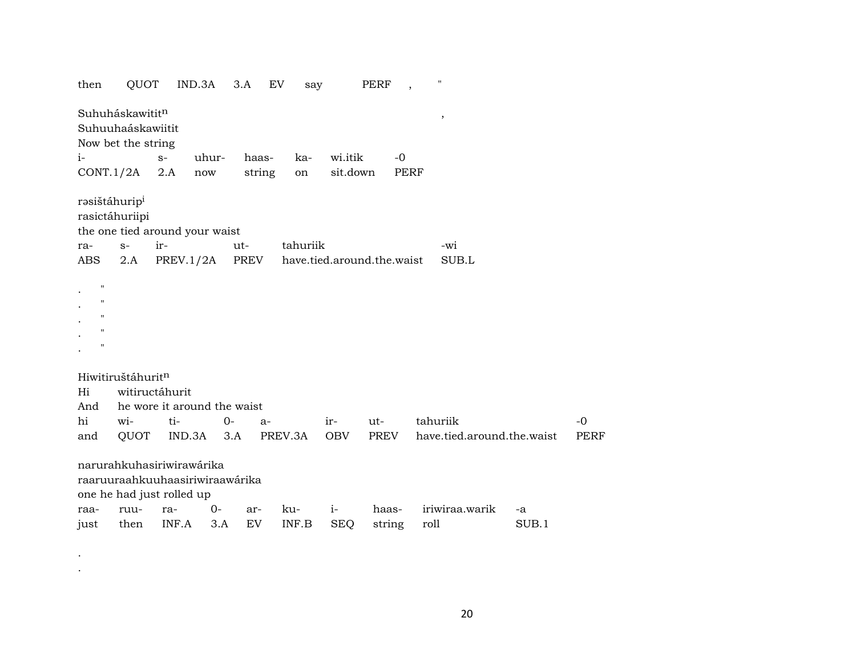| then                                                                                           | QUOT                                                                                              |                             | IND.3A               | 3.A    | EV<br>say |                            | PERF   | $\cdot$     | .,                         |       |             |
|------------------------------------------------------------------------------------------------|---------------------------------------------------------------------------------------------------|-----------------------------|----------------------|--------|-----------|----------------------------|--------|-------------|----------------------------|-------|-------------|
|                                                                                                | Suhuháskawititn<br>Suhuuhaáskawiitit<br>Now bet the string                                        |                             |                      |        |           |                            |        |             | $^\mathrm{^\mathrm{o}}$    |       |             |
| $i-$                                                                                           |                                                                                                   | $S-$                        | uhur-                | haas-  | ka-       | wi.itik                    | $-0$   |             |                            |       |             |
|                                                                                                | CONT.1/2A                                                                                         | 2.A                         | $\operatorname{now}$ | string | on        | sit.down                   |        | <b>PERF</b> |                            |       |             |
|                                                                                                |                                                                                                   |                             |                      |        |           |                            |        |             |                            |       |             |
|                                                                                                | rasištáhurip <sup>i</sup><br>rasictáhuriipi                                                       |                             |                      |        |           |                            |        |             |                            |       |             |
|                                                                                                | the one tied around your waist                                                                    |                             |                      |        |           |                            |        |             |                            |       |             |
| ra-                                                                                            | $S-$                                                                                              | ir-                         |                      | ut-    | tahuriik  |                            |        |             | -wi                        |       |             |
| ABS                                                                                            | 2.A                                                                                               | PREV.1/2A                   |                      | PREV   |           | have.tied.around.the.waist |        |             | SUB.L                      |       |             |
| $\pmb{\mathsf{H}}$<br>$\pmb{\mathsf{H}}$<br>$\mathbf{H}$<br>$\mathbf{H}$<br>$\pmb{\mathsf{H}}$ |                                                                                                   |                             |                      |        |           |                            |        |             |                            |       |             |
|                                                                                                | Hiwitiruštáhuritn                                                                                 |                             |                      |        |           |                            |        |             |                            |       |             |
| Hi                                                                                             |                                                                                                   | witiructáhurit              |                      |        |           |                            |        |             |                            |       |             |
| And                                                                                            |                                                                                                   | he wore it around the waist |                      |        |           |                            |        |             |                            |       |             |
| hi                                                                                             | wi-                                                                                               | ti-                         | $0-$                 | $a-$   |           | ir-                        | ut-    | tahuriik    |                            |       | $-0$        |
| and                                                                                            | QUOT                                                                                              | IND.3A                      |                      | 3.A    | PREV.3A   | <b>OBV</b>                 | PREV   |             | have.tied.around.the.waist |       | <b>PERF</b> |
| raa-                                                                                           | narurahkuhasiriwirawárika<br>raaruuraahkuuhaasiriwiraawárika<br>one he had just rolled up<br>ruu- | ra-                         | $0-$                 | ar-    | ku-       | $i-$                       | haas-  |             | iriwiraa.warik             | -a    |             |
| just                                                                                           | then                                                                                              | INF.A                       | 3.A                  | EV     | INF.B     | <b>SEQ</b>                 | string | roll        |                            | SUB.1 |             |
|                                                                                                |                                                                                                   |                             |                      |        |           |                            |        |             |                            |       |             |

. .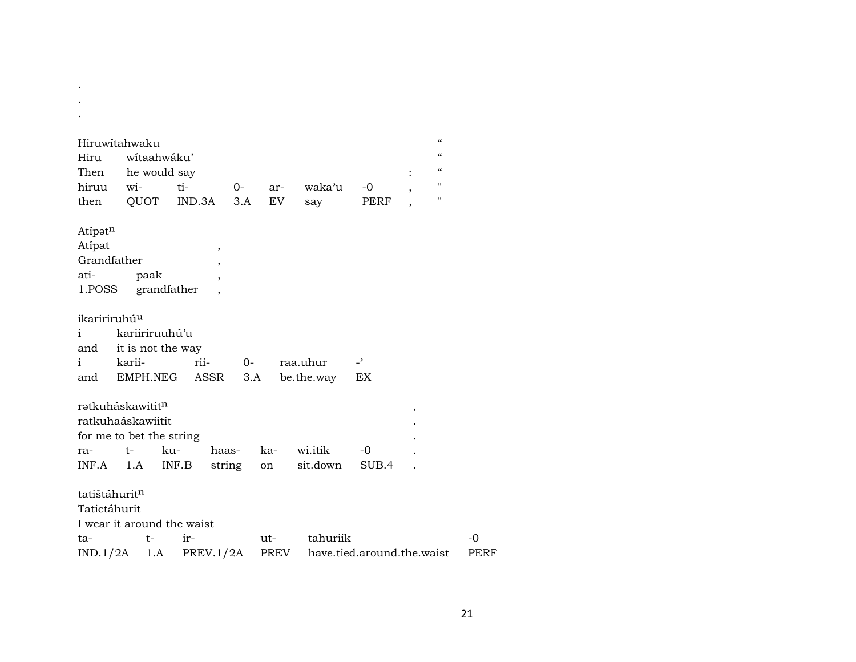| Hiruwitahwaku                |        |                   |           |        |      |            |                            | $\boldsymbol{\mathcal{C}}$ |  |
|------------------------------|--------|-------------------|-----------|--------|------|------------|----------------------------|----------------------------|--|
| Hiru                         |        | wítaahwáku'       |           |        |      |            |                            | $\epsilon$                 |  |
| Then                         |        | he would say      |           |        |      |            |                            | $\epsilon$                 |  |
| hiruu                        | wi-    |                   | ti-       | $O -$  | ar-  | waka'u     | $-0$                       | н<br>,                     |  |
| then                         |        | QUOT              | IND.3A    | 3.A    | EV.  | say        | PERF                       | п                          |  |
| Atipatn                      |        |                   |           |        |      |            |                            |                            |  |
| Atipat                       |        |                   |           | ,      |      |            |                            |                            |  |
| Grandfather                  |        |                   |           | ,      |      |            |                            |                            |  |
| ati-                         |        | paak              |           | ,      |      |            |                            |                            |  |
| 1.POSS grandfather           |        |                   |           |        |      |            |                            |                            |  |
|                              |        |                   |           |        |      |            |                            |                            |  |
| ikaririruhú <sup>u</sup>     |        |                   |           |        |      |            |                            |                            |  |
| i                            |        | kariiriruuhú'u    |           |        |      |            |                            |                            |  |
| and                          |        | it is not the way |           |        |      |            |                            |                            |  |
| $\mathbf{i}$                 | karii- |                   | rii-      | $O -$  |      | raa.uhur   | $\overline{\phantom{a}}$   |                            |  |
| and                          |        | EMPH.NEG          | ASSR      | 3.A    |      | be.the.way | EX                         |                            |  |
| rətkuháskawitit <sup>n</sup> |        |                   |           |        |      |            |                            |                            |  |
| ratkuhaáskawiitit            |        |                   |           |        |      |            |                            | $\, ,$                     |  |
|                              |        |                   |           |        |      |            |                            |                            |  |
| for me to bet the string     | t-     | ku-               |           | haas-  | ka-  | wi.itik    | -0                         |                            |  |
| ra-<br>INF.A                 |        |                   |           |        |      | sit.down   | SUB.4                      |                            |  |
|                              | 1.A    |                   | INF.B     | string | on   |            |                            |                            |  |
| tatištáhurit <sup>n</sup>    |        |                   |           |        |      |            |                            |                            |  |
| Tatictáhurit                 |        |                   |           |        |      |            |                            |                            |  |
| I wear it around the waist   |        |                   |           |        |      |            |                            |                            |  |
| ta-                          |        | t-                | $ir-$     |        | ut-  | tahuriik   |                            |                            |  |
| IND.1/2A                     |        | 1.A               | PREV.1/2A |        | PREV |            | have.tied.around.the.waist |                            |  |

 $\mathcal{A}^{\mathcal{A}}$  $\sim$ 

 $-0$  ${\tt PERF}$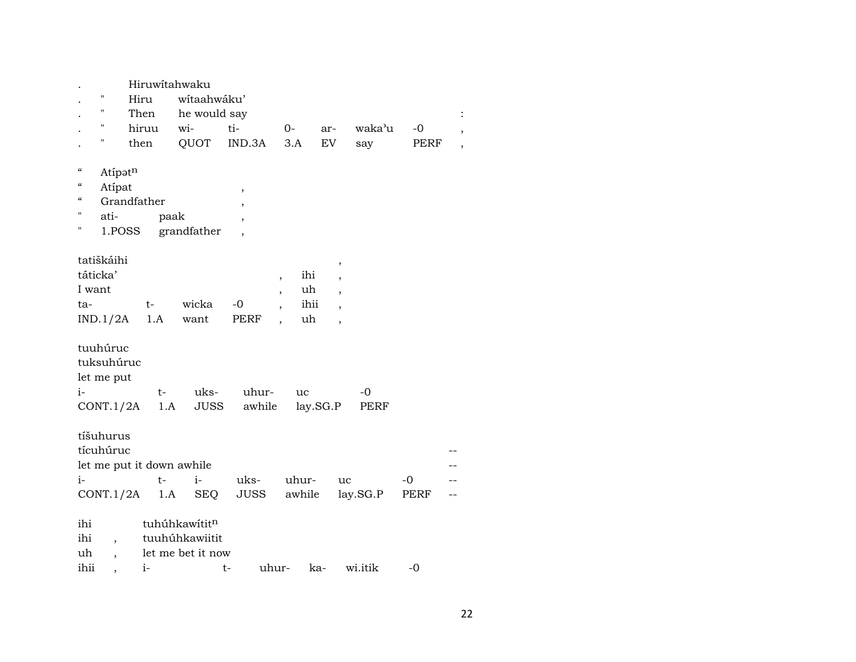|                          |                    |       |      | Hiruwitahwaku             |                          |                          |          |          |             |  |
|--------------------------|--------------------|-------|------|---------------------------|--------------------------|--------------------------|----------|----------|-------------|--|
|                          | $\pmb{\mathsf{H}}$ | Hiru  |      | wítaahwáku'               |                          |                          |          |          |             |  |
|                          | $\pmb{\mathsf{H}}$ | Then  |      | he would say              |                          |                          |          |          |             |  |
|                          | п                  | hiruu |      | wi-                       | ti-                      | $O-$                     | ar-      | waka'u   | $-0$        |  |
|                          | $\mathbf{H}$       | then  |      | QUOT                      | IND.3A                   | 3.A                      | EV       | say      | <b>PERF</b> |  |
|                          |                    |       |      |                           |                          |                          |          |          |             |  |
| $\mathcal{C}\mathcal{C}$ | Atipatn            |       |      |                           |                          |                          |          |          |             |  |
| "                        | Atípat             |       |      |                           | ,                        |                          |          |          |             |  |
| $\epsilon$               | Grandfather        |       |      |                           | $\overline{ }$           |                          |          |          |             |  |
| н                        | ati-               |       | paak |                           | $\overline{\phantom{a}}$ |                          |          |          |             |  |
| н                        | 1.POSS             |       |      | grandfather               | $\overline{ }$           |                          |          |          |             |  |
|                          |                    |       |      |                           |                          |                          |          |          |             |  |
|                          | tatiškáihi         |       |      |                           |                          |                          | $\, ,$   |          |             |  |
|                          | táticka'           |       |      |                           |                          | $\overline{\phantom{a}}$ | ihi      |          |             |  |
| I want                   |                    |       |      |                           |                          | $\overline{\phantom{a}}$ | uh       |          |             |  |
| ta-                      |                    |       | t-   | wicka                     | -0                       | $\overline{\phantom{a}}$ | ihii     |          |             |  |
|                          | IND.1/2A           |       | 1.A  | want                      | PERF                     | $\overline{\phantom{a}}$ | uh<br>,  |          |             |  |
|                          |                    |       |      |                           |                          |                          |          |          |             |  |
|                          | tuuhúruc           |       |      |                           |                          |                          |          |          |             |  |
|                          | tuksuhúruc         |       |      |                           |                          |                          |          |          |             |  |
|                          | let me put         |       |      |                           |                          |                          |          |          |             |  |
| i-                       |                    |       | t-   | uks-                      | uhur-                    | uc                       |          | -0       |             |  |
|                          | CONT.1/2A          |       | 1.A  | JUSS                      | awhile                   |                          | lay.SG.P | PERF     |             |  |
|                          |                    |       |      |                           |                          |                          |          |          |             |  |
|                          | tíšuhurus          |       |      |                           |                          |                          |          |          |             |  |
|                          | tícuhúruc          |       |      |                           |                          |                          |          |          |             |  |
|                          |                    |       |      | let me put it down awhile |                          |                          |          |          |             |  |
| $i-$                     |                    |       | t-   | $i-$                      | uks-                     | uhur-                    |          | uc       | -0          |  |
|                          |                    |       |      | 1.A SEQ                   | JUSS                     | awhile                   |          | lay.SG.P | PERF        |  |
|                          | CONT.1/2A          |       |      |                           |                          |                          |          |          |             |  |
| ihi                      |                    |       |      | tuhúhkawítitn             |                          |                          |          |          |             |  |
|                          |                    |       |      |                           |                          |                          |          |          |             |  |
| ihi                      |                    |       |      | tuuhúhkawiitit            |                          |                          |          |          |             |  |
| uh                       |                    |       |      | let me bet it now         |                          |                          |          |          |             |  |
| ihii                     |                    | $i-$  |      |                           | t-                       | uhur-                    | ka-      | wi.itik  | -0          |  |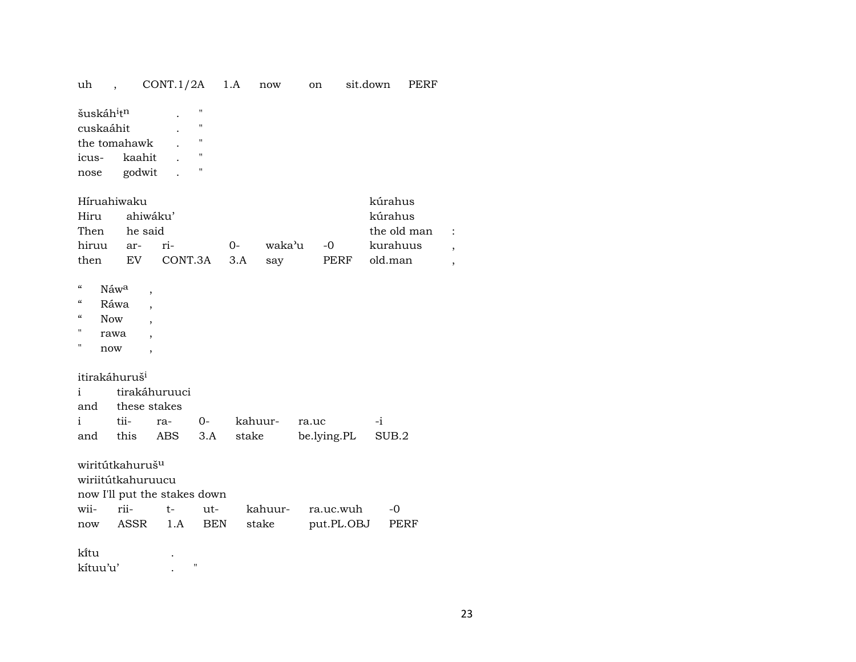| uh                                                                                                              | $\overline{\phantom{a}}$                                         | CONT.1/2A                                   | 1.A                                                      |                  | now              |       | on                      | sit.down | PERF                                          |                                            |
|-----------------------------------------------------------------------------------------------------------------|------------------------------------------------------------------|---------------------------------------------|----------------------------------------------------------|------------------|------------------|-------|-------------------------|----------|-----------------------------------------------|--------------------------------------------|
| šuskáh <sup>i</sup> t <sup>n</sup><br>cuskaáhit<br>icus-<br>nose                                                | the tomahawk<br>kaahit<br>godwit                                 |                                             | "<br>"<br>$\pmb{\mathsf{H}}$<br>$\pmb{\mathsf{H}}$<br>11 |                  |                  |       |                         |          |                                               |                                            |
| Hiru<br>Then<br>hiruu                                                                                           | Híruahiwaku<br>ahiwáku'<br>he said<br>ar-                        | ri-                                         |                                                          | $O-$             | waka'u           |       | $-0$                    |          | kúrahus<br>kúrahus<br>the old man<br>kurahuus | $\ddot{\cdot}$<br>$\overline{\phantom{a}}$ |
| then                                                                                                            | EV                                                               | CONT.3A                                     |                                                          | 3.A              | say              |       | PERF                    |          | old.man                                       | $\overline{\phantom{a}}$                   |
| $\mathcal{C}\mathcal{C}$<br>$\mathcal{C}\mathcal{C}$<br>$\mathcal{C}\mathcal{C}$<br><b>Now</b><br>П<br>Η<br>now | Náwa<br>Ráwa<br>rawa<br>itirakáhuruš <sup>i</sup>                |                                             |                                                          |                  |                  |       |                         |          |                                               |                                            |
| i.                                                                                                              |                                                                  | tirakáhuruuci                               |                                                          |                  |                  |       |                         |          |                                               |                                            |
| and<br>i<br>and                                                                                                 | these stakes<br>tii-<br>this                                     | ra-<br>ABS                                  | $0-$<br>3.A                                              | kahuur-<br>stake |                  | ra.uc | be.lying.PL             | $-i$     | SUB.2                                         |                                            |
| wii-<br>now                                                                                                     | wiritútkahuruš <sup>u</sup><br>wiriitútkahuruucu<br>rii-<br>ASSR | now I'll put the stakes down<br>$t-$<br>1.A | ut-<br><b>BEN</b>                                        |                  | kahuur-<br>stake |       | ra.uc.wuh<br>put.PL.OBJ |          | $-0$<br>PERF                                  |                                            |
| ki̇̃tu<br>kítuu'u'                                                                                              |                                                                  | $\pmb{\mathsf{H}}$                          |                                                          |                  |                  |       |                         |          |                                               |                                            |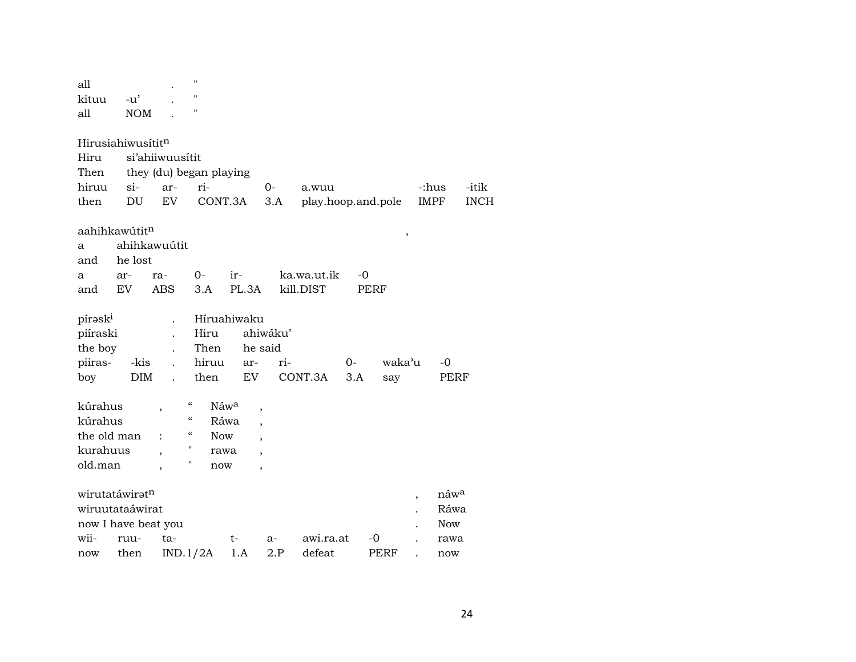| all                 |                               |                          | $\pmb{\mathsf{H}}$                                   |             |                          |                    |       |        |                          |            |             |
|---------------------|-------------------------------|--------------------------|------------------------------------------------------|-------------|--------------------------|--------------------|-------|--------|--------------------------|------------|-------------|
| kituu               | $-u'$                         |                          | $\blacksquare$                                       |             |                          |                    |       |        |                          |            |             |
| all                 | <b>NOM</b>                    |                          | $\pmb{\mathsf{H}}$                                   |             |                          |                    |       |        |                          |            |             |
|                     |                               |                          |                                                      |             |                          |                    |       |        |                          |            |             |
|                     | Hirusiahiwusitit <sup>n</sup> |                          |                                                      |             |                          |                    |       |        |                          |            |             |
| Hiru                |                               | si'ahiiwuusitit          |                                                      |             |                          |                    |       |        |                          |            |             |
| Then                |                               | they (du) began playing  |                                                      |             |                          |                    |       |        |                          |            |             |
| hiruu               | $si-$                         | ar-                      | ri-                                                  |             | $0-$                     | a.wuu              |       |        | -:hus                    |            | -itik       |
| then                | DU                            | EV                       | CONT.3A                                              |             | 3.A                      | play.hoop.and.pole |       |        | <b>IMPF</b>              |            | <b>INCH</b> |
|                     |                               |                          |                                                      |             |                          |                    |       |        |                          |            |             |
|                     | aahihkawútit <sup>n</sup>     |                          |                                                      |             |                          |                    |       | ,      |                          |            |             |
| a                   |                               | ahihkawuútit             |                                                      |             |                          |                    |       |        |                          |            |             |
| and                 | he lost                       |                          |                                                      |             |                          |                    |       |        |                          |            |             |
| a                   | ar-                           | ra-                      | $0-$                                                 | ir-         |                          | ka.wa.ut.ik        | -0    |        |                          |            |             |
| and                 | EV                            | <b>ABS</b>               | 3.A                                                  | PL.3A       |                          | kill.DIST          |       | PERF   |                          |            |             |
|                     |                               |                          |                                                      |             |                          |                    |       |        |                          |            |             |
| pírask <sup>i</sup> |                               |                          |                                                      | Híruahiwaku |                          |                    |       |        |                          |            |             |
| piíraski            |                               |                          | Hiru                                                 |             | ahiwáku'                 |                    |       |        |                          |            |             |
| the boy             |                               |                          | Then                                                 |             | he said                  |                    |       |        |                          |            |             |
| piiras-             | -kis                          |                          | hiruu                                                | ar-         | ri-                      |                    | $0 -$ | waka'u |                          | $-0$       |             |
| boy                 | <b>DIM</b>                    |                          | then                                                 | EV          |                          | CONT.3A            | 3.A   | say    |                          | PERF       |             |
|                     |                               |                          |                                                      |             |                          |                    |       |        |                          |            |             |
| kúrahus             |                               | $\overline{\phantom{a}}$ | $\boldsymbol{\zeta}\boldsymbol{\zeta}$<br>Náwa       |             | $\overline{\phantom{a}}$ |                    |       |        |                          |            |             |
| kúrahus             |                               |                          | $\boldsymbol{\zeta}\boldsymbol{\zeta}$               | Ráwa        | $\overline{\phantom{a}}$ |                    |       |        |                          |            |             |
| the old man         |                               |                          | $\boldsymbol{\zeta}\boldsymbol{\zeta}$<br><b>Now</b> |             |                          |                    |       |        |                          |            |             |
| kurahuus            |                               |                          | п<br>rawa                                            |             | $\overline{\phantom{a}}$ |                    |       |        |                          |            |             |
| old.man             |                               | $\overline{\phantom{a}}$ | П<br>now                                             |             | $\overline{\phantom{a}}$ |                    |       |        |                          |            |             |
|                     |                               |                          |                                                      |             |                          |                    |       |        |                          |            |             |
|                     | wirutatáwirat <sup>n</sup>    |                          |                                                      |             |                          |                    |       |        | $\overline{\phantom{a}}$ | náwa       |             |
|                     | wiruutataáwirat               |                          |                                                      |             |                          |                    |       |        |                          | Ráwa       |             |
|                     | now I have beat you           |                          |                                                      |             |                          |                    |       |        |                          | <b>Now</b> |             |
| wii-                | ruu-                          | ta-                      |                                                      | t-          | a-                       | awi.ra.at          |       | $-0$   |                          | rawa       |             |
| now                 | then                          |                          | IND.1/2A                                             | 1.A         | 2.P                      | defeat             |       | PERF   |                          | now        |             |
|                     |                               |                          |                                                      |             |                          |                    |       |        |                          |            |             |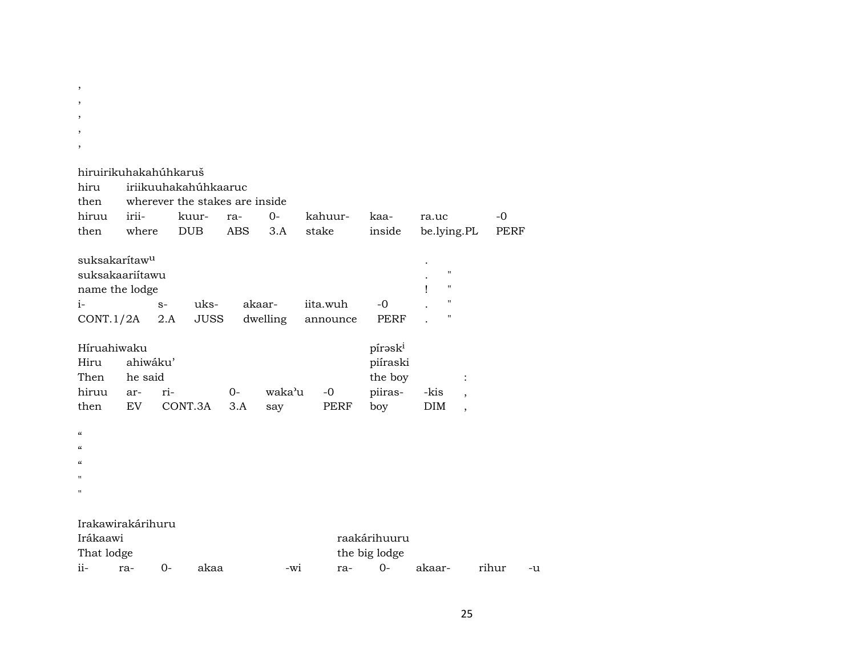| $\overline{\phantom{a}}$<br>$\, ,$                                                  |                            |             |                                                                 |            |          |                      |                                           |                                                                                           |                          |       |    |
|-------------------------------------------------------------------------------------|----------------------------|-------------|-----------------------------------------------------------------|------------|----------|----------------------|-------------------------------------------|-------------------------------------------------------------------------------------------|--------------------------|-------|----|
| hiruirikuhakahúhkaruš<br>hiru<br>then<br>hiruu                                      | irii-                      |             | iriikuuhakahúhkaaruc<br>wherever the stakes are inside<br>kuur- | ra-        | $O -$    | kahuur-              | kaa-                                      | ra.uc                                                                                     |                          | $-0$  |    |
| then                                                                                | where                      |             | <b>DUB</b>                                                      | <b>ABS</b> | 3.A      | stake                | inside                                    | be.lying.PL                                                                               |                          | PERF  |    |
| suksakarítaw <sup>u</sup><br>suksakaariítawu<br>name the lodge<br>$i-$<br>CONT.1/2A |                            | $S-$<br>2.A | uks-<br><b>JUSS</b>                                             | akaar-     | dwelling | iita.wuh<br>announce | $-0$<br><b>PERF</b>                       | $\pmb{\mathsf{H}}$<br>$\pmb{\mathsf{H}}$<br>ı<br>$\pmb{\mathsf{H}}$<br>$\pmb{\mathsf{H}}$ |                          |       |    |
| Híruahiwaku<br>Hiru<br>Then<br>hiruu                                                | ahiwáku'<br>he said<br>ar- | ri-         |                                                                 | $O -$      | waka'u   | $-0$                 | pírəski<br>piíraski<br>the boy<br>piiras- | -kis                                                                                      | $\overline{\phantom{a}}$ |       |    |
| then<br>$\mu$<br>$\epsilon$<br>$\epsilon$<br>$\mathbf{H}$<br>п                      | EV.                        |             | CONT.3A                                                         | 3.A        | say      | PERF                 | boy                                       | <b>DIM</b>                                                                                | $\overline{\phantom{a}}$ |       |    |
| Irakawirakárihuru<br>Irákaawi                                                       |                            |             |                                                                 |            |          |                      | raakárihuuru                              |                                                                                           |                          |       |    |
| That lodge                                                                          |                            |             |                                                                 |            |          |                      | the big lodge                             |                                                                                           |                          |       |    |
| ii-                                                                                 | ra-                        | $0-$        | akaa                                                            |            | -wi      | ra-                  | $0-$                                      | akaar-                                                                                    |                          | rihur | -u |

, , ,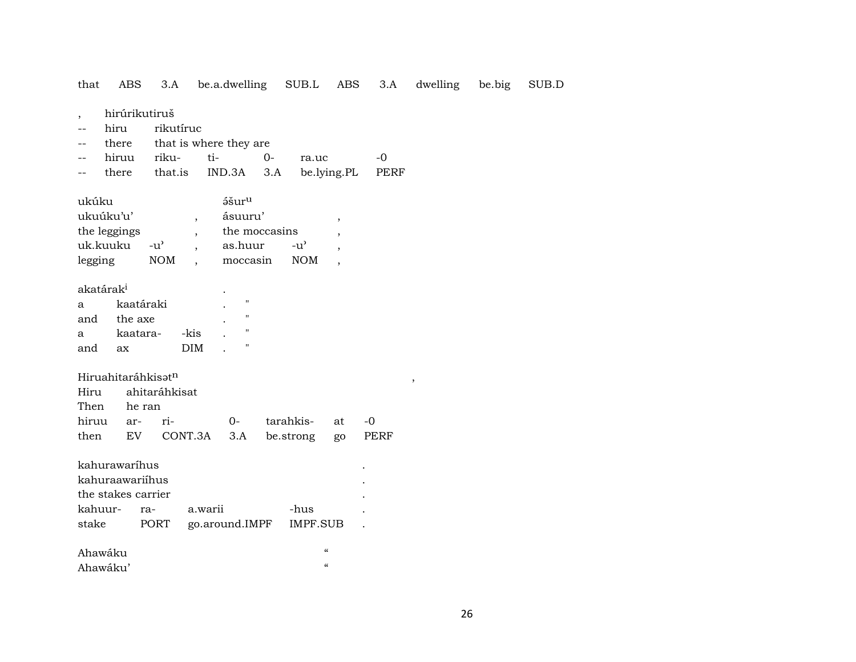3.A be.a.dwelling SUB.L ABS 3.A dwelling that ABS be.big SUB.D

- hirúrikutiruš  $\overline{\phantom{a}}$
- hiru rikutíruc  $\sim$   $\sim$
- there that is where they are  $\mathbf{u}$

|  |  | -- hiruu riku- ti-     0-     ra.uc         -0 |  |
|--|--|------------------------------------------------|--|
|  |  | -- there that.is IND.3A 3.A be.lying.PL PERF   |  |

| akatárak <sup>i</sup> |           |      |   |
|-----------------------|-----------|------|---|
| a                     | kaatáraki |      | п |
| and                   | the axe   |      | п |
| a                     | kaatara-  | -kis | п |
| and                   | яx        | DIM  | " |

#### Hiruahitaráhkisatn

|             | Hiru ahitaráhkisat |                                       |  |
|-------------|--------------------|---------------------------------------|--|
| Then he ran |                    |                                       |  |
|             |                    |                                       |  |
|             |                    | then EV CONT.3A 3.A be.strong go PERF |  |

| kahurawaríhus      |                         |         |  |  |  |  |  |  |  |  |
|--------------------|-------------------------|---------|--|--|--|--|--|--|--|--|
| kahuraawariihus    |                         |         |  |  |  |  |  |  |  |  |
| the stakes carrier |                         |         |  |  |  |  |  |  |  |  |
|                    |                         | -hus    |  |  |  |  |  |  |  |  |
| PORT               | go.around.IMPF IMPF.SUB |         |  |  |  |  |  |  |  |  |
|                    | ra-                     | a warii |  |  |  |  |  |  |  |  |

| Ahawáku  |  |
|----------|--|
| Ahawáku' |  |

 $\rightarrow$ 

 $\alpha$  $\ddot{\phantom{a}}$  $\bullet$ 

 $\ddot{\phantom{a}}$ 

 $\sim$   $\sim$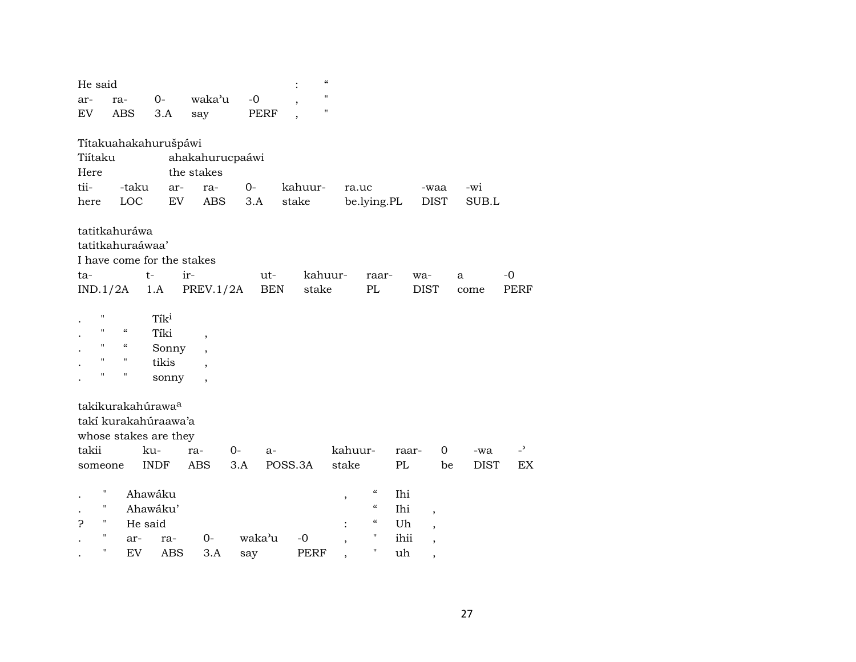| He said |                    |                          |                               |                          |             |            | $\mathcal{C}$      |                                        |       |                          |             |                          |
|---------|--------------------|--------------------------|-------------------------------|--------------------------|-------------|------------|--------------------|----------------------------------------|-------|--------------------------|-------------|--------------------------|
| ar-     | ra-                |                          | $0-$                          | waka'u                   | $-0$        |            | $\bar{\mathbf{H}}$ |                                        |       |                          |             |                          |
| EV      |                    | <b>ABS</b>               | 3.A                           | say                      | <b>PERF</b> |            | $\pmb{\mathsf{H}}$ |                                        |       |                          |             |                          |
|         |                    |                          | Títakuahakahurušpáwi          |                          |             |            |                    |                                        |       |                          |             |                          |
| Tiítaku |                    |                          |                               | ahakahurucpaáwi          |             |            |                    |                                        |       |                          |             |                          |
| Here    |                    |                          |                               | the stakes               |             |            |                    |                                        |       |                          |             |                          |
| tii-    |                    | -taku                    | ar-                           | ra-                      | $0-$        | kahuur-    |                    | ra.uc                                  |       | -waa                     | -wi         |                          |
| here    |                    | LOC                      | EV                            | <b>ABS</b>               | 3.A         | stake      |                    | be.lying.PL                            |       | <b>DIST</b>              | SUB.L       |                          |
|         |                    | tatitkahuráwa            |                               |                          |             |            |                    |                                        |       |                          |             |                          |
|         |                    | tatitkahuraáwaa'         |                               |                          |             |            |                    |                                        |       |                          |             |                          |
|         |                    |                          | I have come for the stakes    |                          |             |            |                    |                                        |       |                          |             |                          |
| ta-     |                    | $t-$                     |                               | ir-                      | ut-         |            | kahuur-            | raar-                                  | wa-   |                          | a           | -0                       |
|         | IND.1/2A           |                          | 1.A                           | PREV.1/2A                |             | <b>BEN</b> | stake              | $\mathbf{P}\mathbf{L}$                 |       | <b>DIST</b>              | come        | <b>PERF</b>              |
|         | $\mathbf{H}$       |                          | Tik <sup>i</sup>              |                          |             |            |                    |                                        |       |                          |             |                          |
|         | $\mathbf{H}$       | $\mathcal{C}\mathcal{C}$ | Tíki                          | $\overline{\phantom{a}}$ |             |            |                    |                                        |       |                          |             |                          |
|         | $\mathbf{H}$       | $\mathcal{C}\mathcal{C}$ | Sonny                         | $\overline{\phantom{a}}$ |             |            |                    |                                        |       |                          |             |                          |
|         | $\pmb{\mathsf{H}}$ | $\pmb{\mathsf{H}}$       | tikis                         | $\overline{\phantom{a}}$ |             |            |                    |                                        |       |                          |             |                          |
|         | $\pmb{\mathsf{H}}$ | $\pmb{\mathsf{H}}$       | sonny                         | $\overline{\phantom{a}}$ |             |            |                    |                                        |       |                          |             |                          |
|         |                    |                          | takikurakahúrawa <sup>a</sup> |                          |             |            |                    |                                        |       |                          |             |                          |
|         |                    |                          | takí kurakahúraawa'a          |                          |             |            |                    |                                        |       |                          |             |                          |
|         |                    |                          | whose stakes are they         |                          |             |            |                    |                                        |       |                          |             |                          |
| takii   |                    |                          | ku-                           | ra-                      | 0-          | $a-$       |                    | kahuur-                                | raar- | 0                        | -wa         | $\overline{\phantom{0}}$ |
|         | someone            |                          | <b>INDF</b>                   | $\operatorname{ABS}$     | 3.A         | POSS.3A    | stake              |                                        | PL    | be                       | <b>DIST</b> | EX                       |
|         | 11                 |                          | Ahawáku                       |                          |             |            | $\, ,$             | $\boldsymbol{\zeta}\boldsymbol{\zeta}$ | Ihi   |                          |             |                          |
|         | 11                 |                          | Ahawáku'                      |                          |             |            |                    | $\boldsymbol{\zeta}\boldsymbol{\zeta}$ | Ihi   | $\overline{\phantom{a}}$ |             |                          |
| P       | 11                 | He said                  |                               |                          |             |            |                    | $\mathcal{C}\mathcal{C}$               | Uh    | $\overline{\phantom{a}}$ |             |                          |
|         | 11                 | ar-                      | ra-                           | $0-$                     | waka'u      | $-0$       |                    | $\pmb{\mathsf{H}}$                     | ihii  |                          |             |                          |
|         | 11                 | EV                       | <b>ABS</b>                    | 3.A                      | say         | PERF       |                    | 11                                     | uh    | ,                        |             |                          |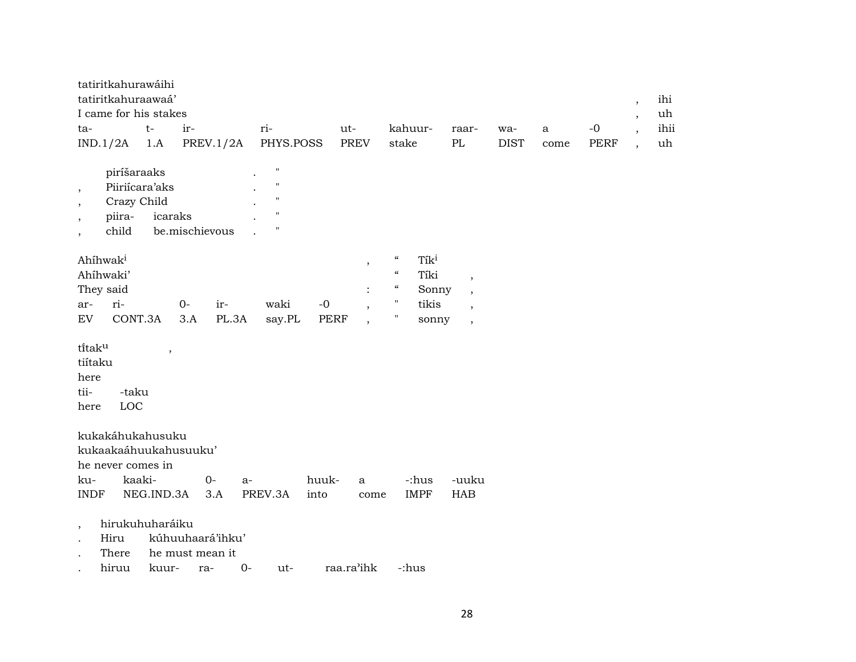| tatiritkahurawáihi    |       |                                    |       |      |         |       |             |      |      |      |
|-----------------------|-------|------------------------------------|-------|------|---------|-------|-------------|------|------|------|
| tatiritkahuraawaá'    |       |                                    |       |      |         |       |             |      |      | ihi  |
| I came for his stakes |       |                                    |       |      |         |       |             |      |      | uh   |
| ta-                   | $t -$ | $ir-$                              | $ri-$ | ut-  | kahuur- | raar- | wa-         | a a  | $-0$ | ihii |
|                       |       | $IND.1/2A$ 1.A PREV.1/2A PHYS.POSS |       | PREV | stake   | PL.   | <b>DIST</b> | come | PERF | uh   |

| piríšaraaks    |                | н           |
|----------------|----------------|-------------|
| Piiriícara'aks |                | ш           |
| Crazy Child    |                | п           |
| piira-         | icaraks        | $^{\prime}$ |
| child          | be mischievous |             |

| Ahíhwak <sup>i</sup> |                   |            |      |        |      | $\epsilon$ | Tik <sup>i</sup> |  |
|----------------------|-------------------|------------|------|--------|------|------------|------------------|--|
| Ahíhwaki'            |                   | $\epsilon$ | Tíki |        |      |            |                  |  |
| They said            |                   |            |      |        |      | $\epsilon$ | Sonny            |  |
| ar-                  | $ri-$             | $O -$      | ir-  | waki   | $-0$ | "          | tikis            |  |
| EV                   | CONT.3A 3.A PL.3A |            |      | say.PL | PERF | п          | sonny            |  |

tītak $^{\mathrm{u}}$  , tiítaku here tii- -taku here LOC

kukakáhukahusuku kukaakaáhuukahusuuku' he never comes in ku- kaaki- 0- a- huuk- a -:hus -uuku INDF NEG.IND.3A 3.A PREV.3A into come IMPF HAB

- , hirukuhuharáiku
- . Hiru kúhuuhaará'ihku'
- . There he must mean it
- . hiruu kuur- ra- 0- ut- raa.ra"ihk -:hus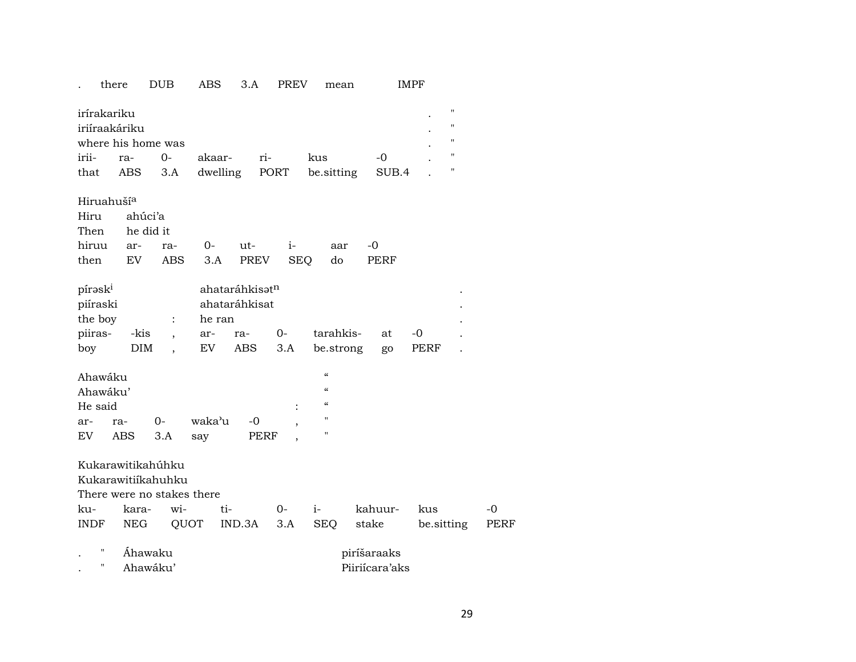## . there DUB ABS 3.A PREV mean IMPF

| irírakariku   |                    |            |                                             |           |  |
|---------------|--------------------|------------|---------------------------------------------|-----------|--|
| iriíraakáriku |                    |            |                                             |           |  |
|               | where his home was |            |                                             |           |  |
|               | irii- ra- 0-       | akaar- ri- | kus                                         | $ \Omega$ |  |
|               |                    |            | that ABS 3.A dwelling PORT be sitting SUB.4 |           |  |

#### Hiruahuší<sup>a</sup>

| Hiru ahúci'a   |  |  |  |                                  |  |  |  |  |  |  |  |
|----------------|--|--|--|----------------------------------|--|--|--|--|--|--|--|
| Then he did it |  |  |  |                                  |  |  |  |  |  |  |  |
|                |  |  |  | hiruu ar- ra- 0- ut- i- aar -0   |  |  |  |  |  |  |  |
|                |  |  |  | then EV ABS 3.A PREV SEQ do PERF |  |  |  |  |  |  |  |

| $\rm p$ írəs $\rm k^{\scriptscriptstyle 1}$ |      |        | ahataráhkisət <sup>n</sup> |  |              |  |       |  |  |
|---------------------------------------------|------|--------|----------------------------|--|--------------|--|-------|--|--|
| piíraski                                    |      |        | ahataráhkisat              |  |              |  |       |  |  |
| the boy                                     |      | he ran |                            |  |              |  |       |  |  |
| piiras-                                     | -kis |        | , ar- ra- 0-               |  | tarahkis- at |  | $-()$ |  |  |
| boy                                         | DIM  |        | EV ABS 3.A                 |  | be.strong go |  | PERF  |  |  |

| Ahawáku                |     |       |        |      |   | $\epsilon$        |  |  |  |  |
|------------------------|-----|-------|--------|------|---|-------------------|--|--|--|--|
| $\epsilon$<br>Ahawáku' |     |       |        |      |   |                   |  |  |  |  |
| He said                |     |       |        |      | ٠ | "                 |  |  |  |  |
| ar-                    | ra- | $O -$ | waka'u | $-0$ |   | $^{\prime\prime}$ |  |  |  |  |
| EV.                    | ABS | 3.A   | sav    | PERF |   | $^{\prime\prime}$ |  |  |  |  |

| Kukarawitikahúhku          |  |  |  |  |                                    |                 |           |  |  |  |
|----------------------------|--|--|--|--|------------------------------------|-----------------|-----------|--|--|--|
| Kukarawitiikahuhku         |  |  |  |  |                                    |                 |           |  |  |  |
| There were no stakes there |  |  |  |  |                                    |                 |           |  |  |  |
|                            |  |  |  |  | kahuur- kus                        |                 | $-\Omega$ |  |  |  |
|                            |  |  |  |  | INDF NEG OUOT IND.3A 3.A SEO stake | be sitting PERF |           |  |  |  |
|                            |  |  |  |  |                                    |                 |           |  |  |  |

|  | Ahawaku  | piríšaraaks    |
|--|----------|----------------|
|  | Ahawaku' | Piiriícara'aks |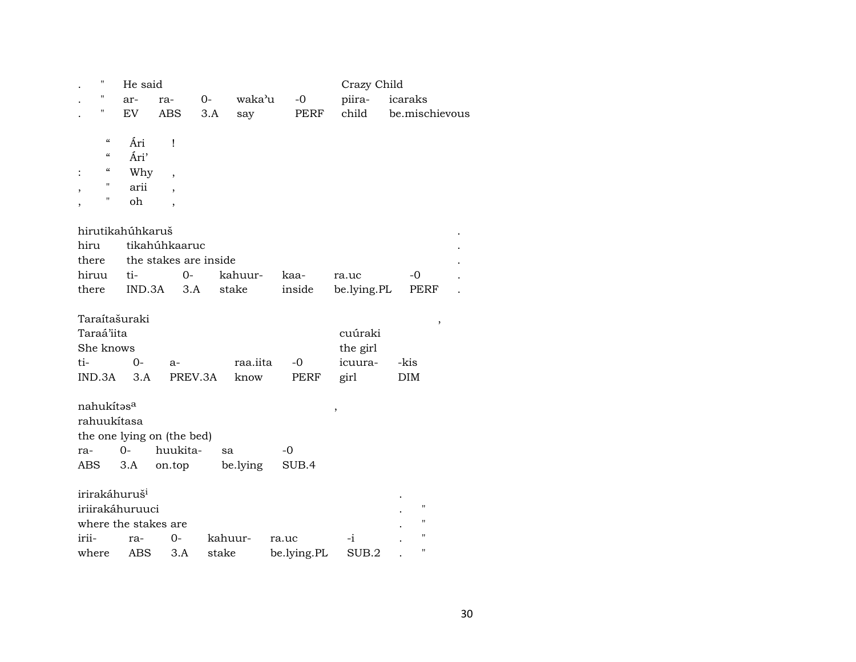|       | 11                                     | He said                   |                            |         |          |             | Crazy Child |                |  |  |  |  |
|-------|----------------------------------------|---------------------------|----------------------------|---------|----------|-------------|-------------|----------------|--|--|--|--|
|       | П                                      | ar-                       | ra-                        | 0-      | waka'u   | $-0$        | piira-      | icaraks        |  |  |  |  |
|       | Н                                      | EV                        | <b>ABS</b>                 | 3.A     | say      | PERF        | child       | be.mischievous |  |  |  |  |
|       |                                        |                           |                            |         |          |             |             |                |  |  |  |  |
|       | $\boldsymbol{\zeta}\boldsymbol{\zeta}$ | Ári                       | Ţ                          |         |          |             |             |                |  |  |  |  |
|       | $\boldsymbol{\zeta}\boldsymbol{\zeta}$ | Ári'                      |                            |         |          |             |             |                |  |  |  |  |
|       | 4                                      | Why                       | $\overline{\phantom{a}}$   |         |          |             |             |                |  |  |  |  |
|       | н                                      | arii                      |                            |         |          |             |             |                |  |  |  |  |
|       | П                                      | oh                        |                            |         |          |             |             |                |  |  |  |  |
|       |                                        |                           |                            |         |          |             |             |                |  |  |  |  |
|       |                                        | hirutikahúhkaruš          |                            |         |          |             |             |                |  |  |  |  |
| hiru  |                                        |                           | tikahúhkaaruc              |         |          |             |             |                |  |  |  |  |
| there |                                        |                           | the stakes are inside      |         |          |             |             |                |  |  |  |  |
| hiruu |                                        | ti-                       | $0-$                       |         | kahuur-  | kaa-        | ra.uc       | $-0$           |  |  |  |  |
| there |                                        | IND.3A                    |                            | 3.A     | stake    | inside      | be.lying.PL | PERF           |  |  |  |  |
|       |                                        |                           |                            |         |          |             |             |                |  |  |  |  |
|       |                                        | Taraítašuraki             |                            |         |          |             |             | ,              |  |  |  |  |
|       | Taraá'iita                             |                           |                            |         |          |             | cuúraki     |                |  |  |  |  |
|       | She knows                              |                           |                            |         |          |             | the girl    |                |  |  |  |  |
| ti-   |                                        | $0-$                      | $a-$                       |         | raa.iita | -0          | icuura-     | -kis           |  |  |  |  |
|       | IND.3A                                 | 3.A                       |                            | PREV.3A | know     | PERF        | girl        | DIM            |  |  |  |  |
|       |                                        |                           |                            |         |          |             |             |                |  |  |  |  |
|       | nahukítasa                             |                           |                            |         |          |             | ,           |                |  |  |  |  |
|       |                                        | rahuukítasa               |                            |         |          |             |             |                |  |  |  |  |
|       |                                        |                           | the one lying on (the bed) |         |          |             |             |                |  |  |  |  |
| ra-   |                                        | $0 -$                     | huukita-                   |         | sa       | -0          |             |                |  |  |  |  |
| ABS   |                                        | 3.A                       | on.top                     |         | be.lying | SUB.4       |             |                |  |  |  |  |
|       |                                        |                           |                            |         |          |             |             |                |  |  |  |  |
|       |                                        | irirakáhuruš <sup>i</sup> |                            |         |          |             |             |                |  |  |  |  |
|       |                                        | iriirakáhuruuci           |                            |         |          |             |             | н              |  |  |  |  |
|       |                                        | where the stakes are      |                            |         |          |             |             | п              |  |  |  |  |
| irii- |                                        | ra-                       | $0-$                       |         | kahuur-  | ra.uc       | -i          | н              |  |  |  |  |
| where |                                        | ABS                       | 3.A                        |         | stake    | be.lying.PL | SUB.2       | п              |  |  |  |  |
|       |                                        |                           |                            |         |          |             |             |                |  |  |  |  |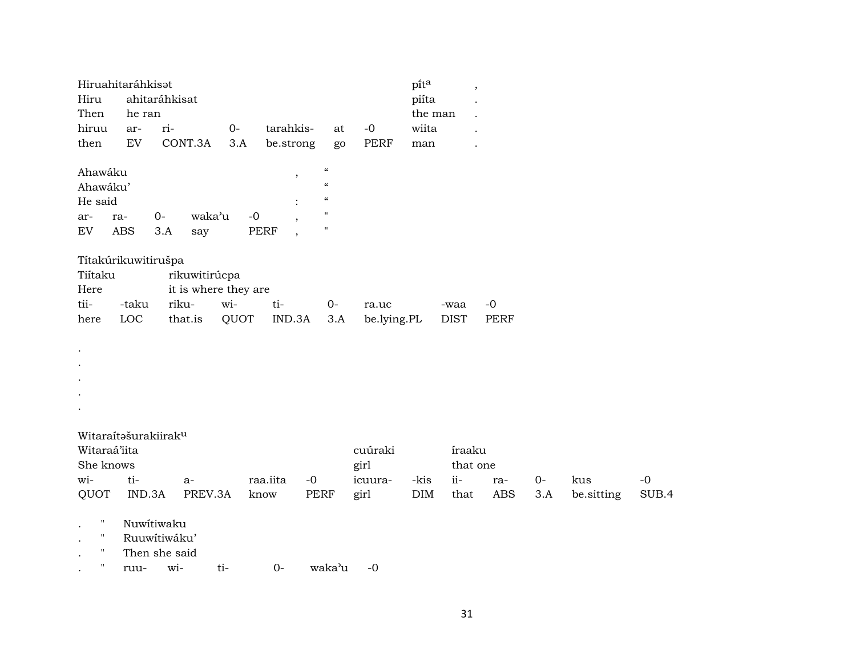|                    | Hiruahitaráhkisat                |                     |                      |                          |                              |             | pita       | $\overline{\phantom{a}}$ |            |      |            |       |
|--------------------|----------------------------------|---------------------|----------------------|--------------------------|------------------------------|-------------|------------|--------------------------|------------|------|------------|-------|
| Hiru               |                                  | ahitaráhkisat       |                      |                          |                              |             | piíta      |                          |            |      |            |       |
| Then               | he ran                           |                     |                      |                          |                              |             | the man    |                          |            |      |            |       |
| hiruu              | ar-                              | ri-                 | $0-$                 | tarahkis-                | at                           | $-0$        | wiita      |                          |            |      |            |       |
| then               | EV                               | CONT.3A             | 3.A                  | be.strong                | go                           | <b>PERF</b> | man        |                          |            |      |            |       |
| Ahawáku            |                                  |                     |                      | $\overline{\phantom{a}}$ | $\mathcal{C}\mathcal{C}$     |             |            |                          |            |      |            |       |
| Ahawáku'           |                                  |                     |                      |                          | $\epsilon\epsilon$           |             |            |                          |            |      |            |       |
| He said            |                                  |                     |                      |                          | $\mathcal{C}\mathcal{C}$     |             |            |                          |            |      |            |       |
| ar-<br>EV          | ra-<br><b>ABS</b>                | $O -$<br>3.A<br>say | $-0$<br>waka'u       | <b>PERF</b>              | $\mathbf{H}$<br>$\mathbf{H}$ |             |            |                          |            |      |            |       |
|                    | Títakúrikuwitirušpa              |                     |                      |                          |                              |             |            |                          |            |      |            |       |
| Tiítaku            |                                  | rikuwitirúcpa       |                      |                          |                              |             |            |                          |            |      |            |       |
| Here               |                                  |                     | it is where they are |                          |                              |             |            |                          |            |      |            |       |
| tii-               | -taku                            | riku-               | wi-                  | ti-                      | $O -$                        | ra.uc       |            | -waa                     | $-0$       |      |            |       |
| here               | LOC                              | that.is             | QUOT                 | IND.3A                   | 3.A                          | be.lying.PL |            | <b>DIST</b>              | PERF       |      |            |       |
|                    |                                  |                     |                      |                          |                              |             |            |                          |            |      |            |       |
| $\bullet$          |                                  |                     |                      |                          |                              |             |            |                          |            |      |            |       |
| $\cdot$            |                                  |                     |                      |                          |                              |             |            |                          |            |      |            |       |
|                    |                                  |                     |                      |                          |                              |             |            |                          |            |      |            |       |
|                    |                                  |                     |                      |                          |                              |             |            |                          |            |      |            |       |
|                    |                                  |                     |                      |                          |                              |             |            |                          |            |      |            |       |
|                    |                                  |                     |                      |                          |                              |             |            |                          |            |      |            |       |
|                    | Witaraítašurakiirak <sup>u</sup> |                     |                      |                          |                              |             |            |                          |            |      |            |       |
| Witaraá'iita       |                                  |                     |                      |                          |                              | cuúraki     |            | íraaku                   |            |      |            |       |
| She knows          |                                  |                     |                      |                          |                              | girl        |            | that one                 |            |      |            |       |
| wi-                | ti-                              | a-                  |                      | raa.iita                 | $-0$                         | icuura-     | -kis       | ii-                      | ra-        | $0-$ | kus        | $-0$  |
| QUOT               | IND.3A                           | PREV.3A             |                      | know                     | <b>PERF</b>                  | girl        | <b>DIM</b> | that                     | <b>ABS</b> | 3.A  | be.sitting | SUB.4 |
| н                  | Nuwitiwaku                       |                     |                      |                          |                              |             |            |                          |            |      |            |       |
|                    |                                  | Ruuwítiwáku'        |                      |                          |                              |             |            |                          |            |      |            |       |
| $\pmb{\mathsf{H}}$ |                                  | Then she said       |                      |                          |                              |             |            |                          |            |      |            |       |
| п                  | ruu-                             | wi-                 | ti-                  | $0-$                     | waka'u                       | $-0$        |            |                          |            |      |            |       |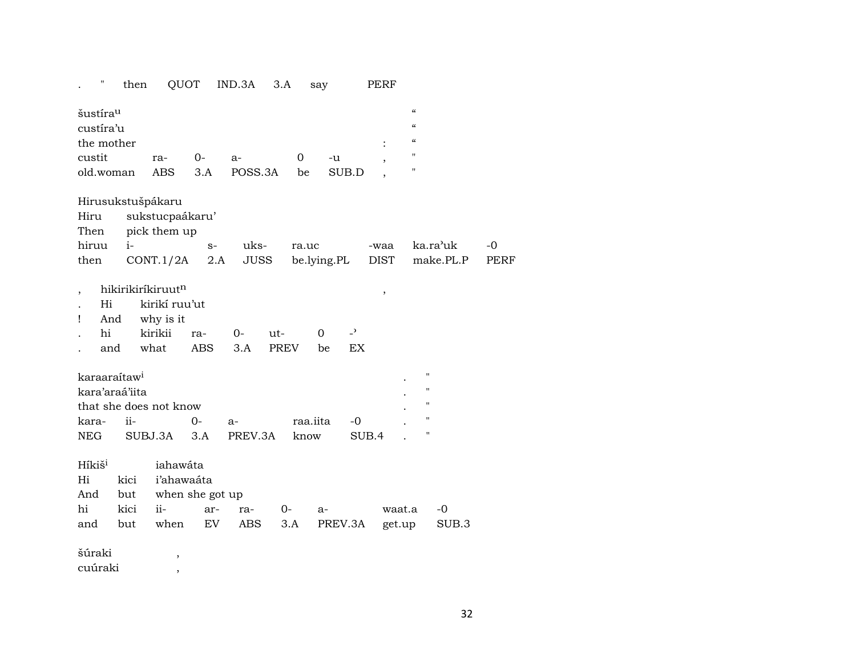| П                                                                      | then                       | QUOT                                                               |                              | IND.3A              | 3.A                | say             |                      | PERF                |                                                                                                            |                       |                     |
|------------------------------------------------------------------------|----------------------------|--------------------------------------------------------------------|------------------------------|---------------------|--------------------|-----------------|----------------------|---------------------|------------------------------------------------------------------------------------------------------------|-----------------------|---------------------|
| šustíra <sup>u</sup><br>custíra'u<br>the mother<br>custit<br>old.woman |                            | ra-<br><b>ABS</b>                                                  | $0-$<br>3.A                  | a-<br>POSS.3A       | 0<br>be            | -u              | SUB.D                |                     | $\mathcal{C}$<br>$\epsilon\epsilon$<br>$\boldsymbol{\zeta}\boldsymbol{\zeta}$<br>11<br>$\mathbf{H}$        |                       |                     |
| Hiru<br>Then<br>hiruu<br>then                                          | Hirusukstušpákaru<br>$i-$  | sukstucpaákaru'<br>pick them up<br>CONT.1/2A                       | $S-$<br>2.A                  | uks-<br><b>JUSS</b> | ra.uc              | be.lying.PL     |                      | -waa<br><b>DIST</b> |                                                                                                            | ka.ra'uk<br>make.PL.P | $-0$<br><b>PERF</b> |
| Hi<br>Ţ<br>And<br>hi<br>and                                            |                            | hikirikiríkiruutn<br>kirikí ruu'ut<br>why is it<br>kirikii<br>what | ra-<br><b>ABS</b>            | $0-$<br>3.A         | ut-<br><b>PREV</b> | 0<br>be         | $\overline{a}$<br>EX | ,                   |                                                                                                            |                       |                     |
| karaaraítaw <sup>i</sup><br>kara-<br><b>NEG</b>                        | kara'araá'iita<br>ii-      | that she does not know<br>SUBJ.3A                                  | $0-$<br>3.A                  | a-<br>PREV.3A       | know               | raa.iita        | -0<br>SUB.4          |                     | $\pmb{\mathsf{H}}$<br>$\pmb{\mathsf{H}}$<br>$\pmb{\mathsf{H}}$<br>$\pmb{\mathsf{H}}$<br>$\pmb{\mathsf{H}}$ |                       |                     |
| Híkiš <sup>i</sup><br>Hi<br>And<br>hi<br>and                           | kici<br>but<br>kici<br>but | iahawáta<br>i'ahawaáta<br>$ii -$<br>when                           | when she got up<br>ar-<br>EV | ra-<br>ABS          | $0-$<br>3.A        | $a-$<br>PREV.3A |                      | waat.a<br>get.up    |                                                                                                            | $-0$<br>SUB.3         |                     |
| šúraki<br>cuúraki                                                      |                            | $\,$<br>$\overline{\phantom{a}}$                                   |                              |                     |                    |                 |                      |                     |                                                                                                            |                       |                     |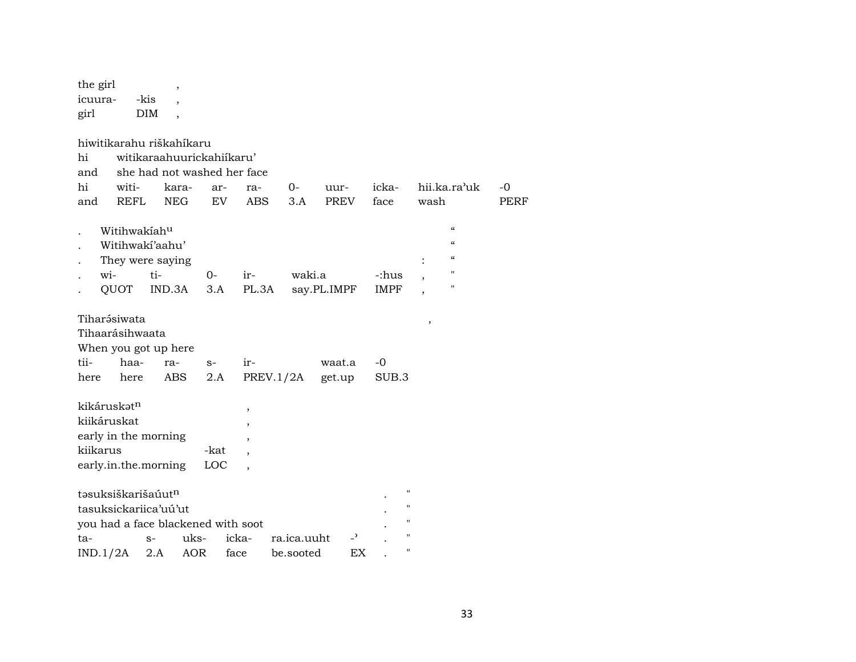| the girl                |             |                                    | $\, ,$                   |      |                          |             |             |                          |             |                    |                |                          |
|-------------------------|-------------|------------------------------------|--------------------------|------|--------------------------|-------------|-------------|--------------------------|-------------|--------------------|----------------|--------------------------|
| icuura-                 |             | -kis                               |                          |      |                          |             |             |                          |             |                    |                |                          |
| girl                    |             | DIM                                | $\overline{\phantom{a}}$ |      |                          |             |             |                          |             |                    |                |                          |
|                         |             |                                    |                          |      |                          |             |             |                          |             |                    |                |                          |
|                         |             | hiwitikarahu riškahíkaru           |                          |      |                          |             |             |                          |             |                    |                |                          |
| hi                      |             | witikaraahuurickahiikaru'          |                          |      |                          |             |             |                          |             |                    |                |                          |
| and                     |             | she had not washed her face        |                          |      |                          |             |             |                          |             |                    |                |                          |
| hi                      | witi-       |                                    | kara-                    | ar-  | ra-                      | $0-$        | uur-        |                          | icka-       |                    |                | hii.ka.ra'uk             |
| and                     | <b>REFL</b> |                                    | <b>NEG</b>               | EV   | <b>ABS</b>               | 3.A         |             | <b>PREV</b>              | face        |                    | wash           |                          |
|                         |             |                                    |                          |      |                          |             |             |                          |             |                    |                | $\pmb{\zeta}\pmb{\zeta}$ |
|                         |             | Witihwakiah <sup>u</sup>           |                          |      |                          |             |             |                          |             |                    |                | $\pmb{\zeta}\pmb{\zeta}$ |
|                         |             | Witihwaki'aahu'                    |                          |      |                          |             |             |                          |             |                    |                | $\mathcal{C}$            |
|                         |             | They were saying                   |                          |      |                          |             |             |                          |             |                    | $\ddot{\cdot}$ | п                        |
| wi-                     |             | ti-                                |                          | 0-   | ir-                      |             | waki.a      |                          | -:hus       |                    | ,              | п                        |
|                         | QUOT        | IND.3A                             |                          | 3.A  | PL.3A                    |             | say.PL.IMPF |                          | <b>IMPF</b> |                    |                |                          |
| Tiharə́siwata           |             |                                    |                          |      |                          |             |             |                          |             |                    |                |                          |
| Tihaarásihwaata         |             |                                    |                          |      |                          |             |             |                          |             |                    | $\, ,$         |                          |
|                         |             | When you got up here               |                          |      |                          |             |             |                          |             |                    |                |                          |
| tii-                    | haa-        | ra-                                |                          | $S-$ | ir-                      |             | waat.a      |                          | $-0$        |                    |                |                          |
| here                    | here        | <b>ABS</b>                         |                          | 2.A  |                          | PREV.1/2A   | get.up      |                          | SUB.3       |                    |                |                          |
|                         |             |                                    |                          |      |                          |             |             |                          |             |                    |                |                          |
| kikáruskat <sup>n</sup> |             |                                    |                          |      | ,                        |             |             |                          |             |                    |                |                          |
| kiikáruskat             |             |                                    |                          |      | $\overline{\phantom{a}}$ |             |             |                          |             |                    |                |                          |
|                         |             | early in the morning               |                          |      |                          |             |             |                          |             |                    |                |                          |
| kiikarus                |             |                                    |                          | -kat |                          |             |             |                          |             |                    |                |                          |
|                         |             | early.in.the.morning               |                          | LOC  |                          |             |             |                          |             |                    |                |                          |
|                         |             |                                    |                          |      |                          |             |             |                          |             |                    |                |                          |
|                         |             | təsuksiškarišaúut <sup>n</sup>     |                          |      |                          |             |             |                          |             | $^{\prime\prime}$  |                |                          |
|                         |             | tasuksickariica'uú'ut              |                          |      |                          |             |             |                          |             | $\pmb{\mathsf{H}}$ |                |                          |
|                         |             | you had a face blackened with soot |                          |      |                          |             |             |                          |             | $\pmb{\mathsf{H}}$ |                |                          |
| ta-                     |             | $S-$                               | uks-                     |      | icka-                    | ra.ica.uuht |             | $\overline{\phantom{a}}$ |             | $\pmb{\mathsf{H}}$ |                |                          |
| IND.1/2A                |             | 2.A                                | AOR                      | face |                          | be.sooted   |             | EX                       |             | $\pmb{\mathsf{H}}$ |                |                          |

 $\mbox{-}0$ PERF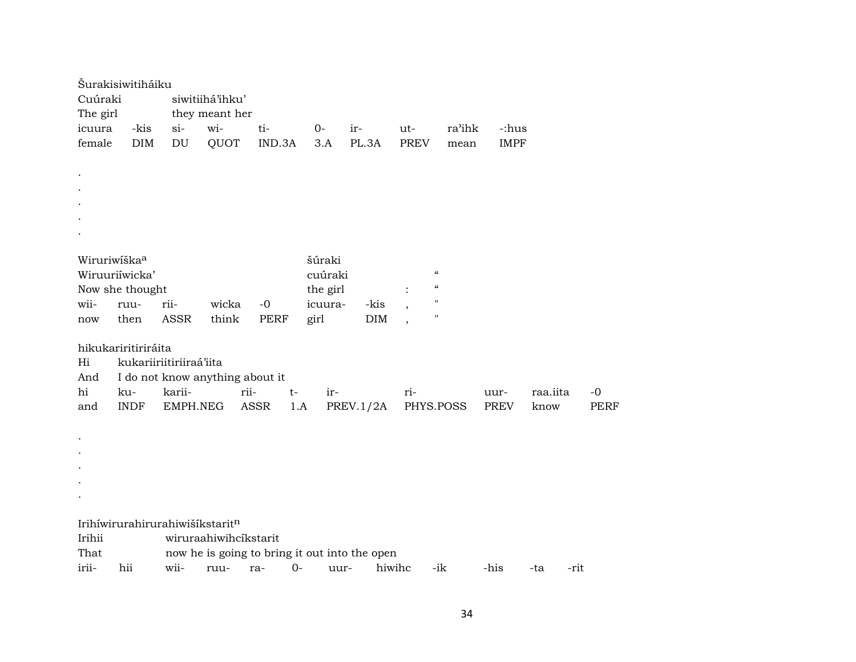|                            | Šurakisiwitiháiku               |                         |                                 |                                               |          |            |                          |        |             |          |             |
|----------------------------|---------------------------------|-------------------------|---------------------------------|-----------------------------------------------|----------|------------|--------------------------|--------|-------------|----------|-------------|
| Cuúraki<br>siwitiihá'ihku' |                                 |                         |                                 |                                               |          |            |                          |        |             |          |             |
| The girl                   |                                 |                         | they meant her                  |                                               |          |            |                          |        |             |          |             |
| icuura                     | -kis                            | $si$ -                  | wi-                             | ti-                                           | $0-$     | ir-        | ut-                      | ra'ihk | -:hus       |          |             |
| female                     | <b>DIM</b>                      | DU                      | QUOT                            | IND.3A                                        | 3.A      | PL.3A      | <b>PREV</b>              | mean   | <b>IMPF</b> |          |             |
|                            |                                 |                         |                                 |                                               |          |            |                          |        |             |          |             |
| $\bullet$                  |                                 |                         |                                 |                                               |          |            |                          |        |             |          |             |
|                            |                                 |                         |                                 |                                               |          |            |                          |        |             |          |             |
|                            |                                 |                         |                                 |                                               |          |            |                          |        |             |          |             |
|                            |                                 |                         |                                 |                                               |          |            |                          |        |             |          |             |
|                            |                                 |                         |                                 |                                               |          |            |                          |        |             |          |             |
| Wiruriwíška <sup>a</sup>   |                                 |                         |                                 |                                               | šúraki   |            |                          |        |             |          |             |
|                            | Wiruuriíwicka'                  |                         |                                 |                                               | cuúraki  |            | $\mathcal{C}\mathcal{C}$ |        |             |          |             |
|                            | Now she thought                 |                         |                                 |                                               | the girl |            | $\mathcal{C}\mathcal{C}$ |        |             |          |             |
| wii-                       | ruu-                            | rii-                    | wicka                           | $-0$                                          | icuura-  | -kis       | $\pmb{\mathsf{H}}$       |        |             |          |             |
| now                        | then                            | <b>ASSR</b>             | think                           | <b>PERF</b>                                   | girl     | <b>DIM</b> | $\pmb{\mathsf{H}}$       |        |             |          |             |
|                            |                                 |                         |                                 |                                               |          |            |                          |        |             |          |             |
|                            | hikukariritiriráita             |                         |                                 |                                               |          |            |                          |        |             |          |             |
| Hi                         |                                 | kukariiriitiriiraá'iita |                                 |                                               |          |            |                          |        |             |          |             |
| And                        |                                 |                         | I do not know anything about it |                                               |          |            |                          |        |             |          |             |
| hi                         | ku-                             | karii-                  |                                 | rii-<br>$t-$                                  | ir-      |            | ri-                      |        | uur-        | raa.iita | $-0$        |
| and                        | <b>INDF</b>                     | EMPH.NEG                |                                 | ASSR<br>1.A                                   |          | PREV.1/2A  | PHYS.POSS                |        | PREV        | know     | <b>PERF</b> |
|                            |                                 |                         |                                 |                                               |          |            |                          |        |             |          |             |
| $\cdot$                    |                                 |                         |                                 |                                               |          |            |                          |        |             |          |             |
|                            |                                 |                         |                                 |                                               |          |            |                          |        |             |          |             |
|                            |                                 |                         |                                 |                                               |          |            |                          |        |             |          |             |
|                            |                                 |                         |                                 |                                               |          |            |                          |        |             |          |             |
|                            |                                 |                         |                                 |                                               |          |            |                          |        |             |          |             |
|                            |                                 |                         |                                 |                                               |          |            |                          |        |             |          |             |
|                            | Irihíwirurahirurahiwišíkstaritn |                         |                                 |                                               |          |            |                          |        |             |          |             |
| Irihii                     |                                 |                         | wiruraahiwihcíkstarit           |                                               |          |            |                          |        |             |          |             |
| That                       |                                 |                         |                                 | now he is going to bring it out into the open |          |            |                          |        |             |          |             |
| irii-                      | hii                             | wii-                    | ruu-                            | $0-$<br>ra-                                   | uur-     |            | hiwihc                   | -ik    | -his        | -ta      | -rit        |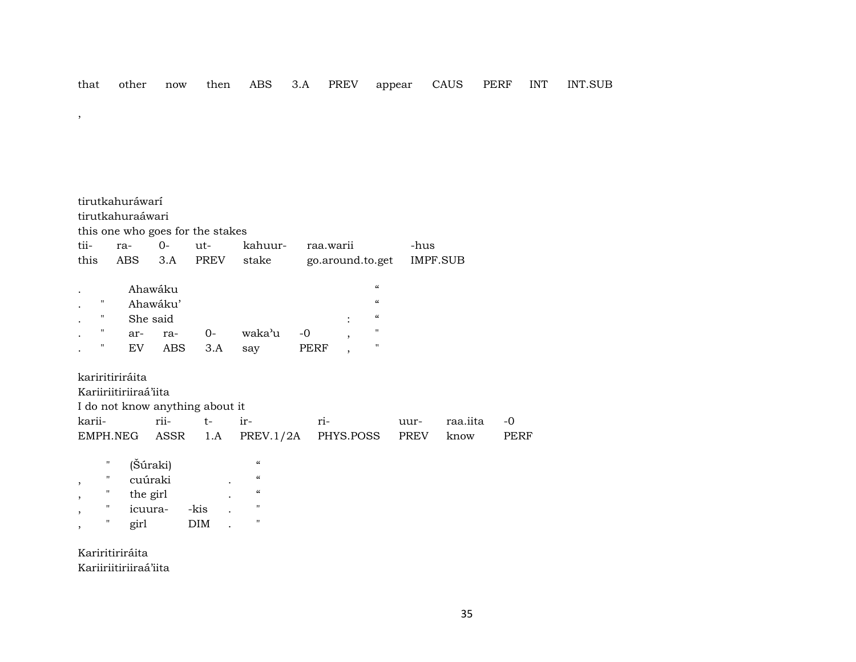|  |  |  |  |  |  |  | that other now then ABS 3.A PREV appear CAUS PERF INT INT.SUB |  |  |  |  |
|--|--|--|--|--|--|--|---------------------------------------------------------------|--|--|--|--|
|--|--|--|--|--|--|--|---------------------------------------------------------------|--|--|--|--|

tirutkahuráwarí tirutkahuraáwari this one who goes for the stakes tii- ra- 0- ut- kahuur- raa.warii -hus this ABS 3.A PREV stake go.around.to.get IMPF.SUB . Ahawáku " . " Ahawáku' " . " She said : " . " ar- ra- 0- waka"u -0 , " . " EV ABS 3.A say PERF , " kariritiriráita Kariiriitiriiraá'iita I do not know anything about it karii- rii- t- ir- ri- uur- raa.iita -0 EMPH.NEG ASSR 1.A PREV.1/2A PHYS.POSS PREV know PERF " (Šúraki) "  $^{\prime\prime}$  cuúraki .

|   | cuuraki  |      |   |            |
|---|----------|------|---|------------|
| " | the girl |      | ٠ | $\epsilon$ |
| " | icuura-  | -kis |   | н          |
| " | girl     | DIM  |   |            |

Kariritiriráita Kariiriitiriiraá'iita

,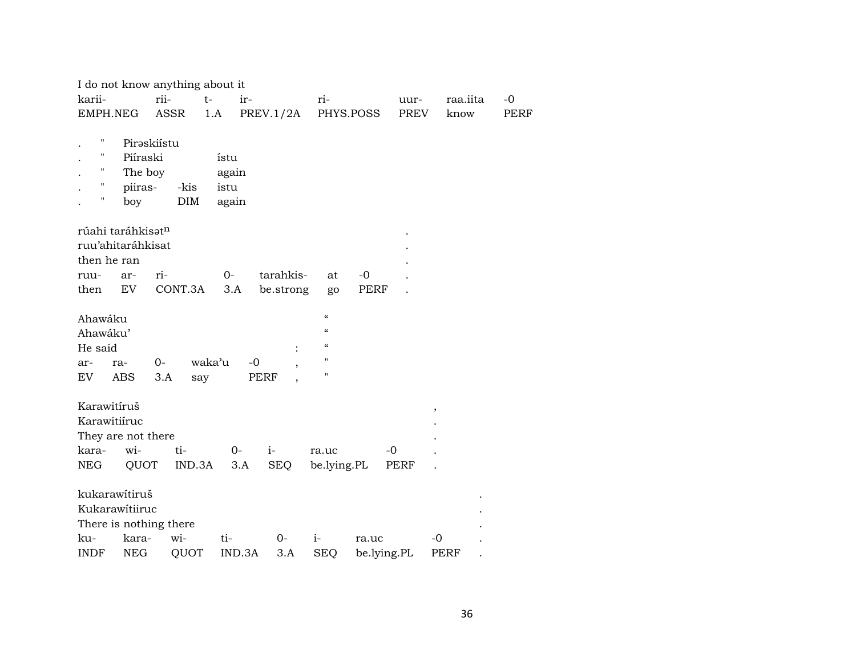| I do not know anything about it                                  |                                                          |                                |                     |                                                                                                 |             |          |      |
|------------------------------------------------------------------|----------------------------------------------------------|--------------------------------|---------------------|-------------------------------------------------------------------------------------------------|-------------|----------|------|
| karii-                                                           | rii-                                                     | $t-$<br>ir-                    |                     | ri-                                                                                             | uur-        | raa.iita | $-0$ |
| EMPH.NEG                                                         | ASSR                                                     | 1.A                            | PREV.1/2A           | PHYS.POSS                                                                                       | PREV        | know     | PERF |
| Н<br>П<br>Η<br>Ħ<br>piiras-<br>Ħ<br>boy                          | Piraskiístu<br>Piíraski<br>The boy<br>-kis<br><b>DIM</b> | ístu<br>again<br>istu<br>again |                     |                                                                                                 |             |          |      |
| rúahi taráhkisatn<br>ruu'ahitaráhkisat<br>then he ran            |                                                          |                                |                     |                                                                                                 |             |          |      |
| ar-<br>ruu-                                                      | ri-                                                      | $0-$                           | tarahkis-           | at                                                                                              | $-0$        |          |      |
| EV<br>then                                                       | CONT.3A                                                  | 3.A                            | be.strong           | go                                                                                              | PERF        |          |      |
| Ahawáku<br>Ahawáku'<br>He said<br>ar-<br>ra-<br>EV<br><b>ABS</b> | $0-$<br>3.A<br>say                                       | waka'u<br>$-0$<br>PERF         | $\ddot{\cdot}$<br>, | $\boldsymbol{\zeta}\boldsymbol{\zeta}$<br>$\epsilon\epsilon$<br>$\epsilon$<br>$\mathbf{H}$<br>н |             |          |      |
| Karawitíruš                                                      |                                                          |                                |                     |                                                                                                 |             | ,        |      |
| Karawitiíruc                                                     |                                                          |                                |                     |                                                                                                 |             |          |      |
| They are not there                                               |                                                          |                                |                     |                                                                                                 |             |          |      |
| wi-<br>kara-                                                     | ti-                                                      | $O -$                          | $i-$                | ra.uc                                                                                           | $-0$        |          |      |
| NEG<br>QUOT                                                      | IND.3A                                                   | 3.A                            | <b>SEQ</b>          | be.lying.PL                                                                                     | PERF        |          |      |
| kukarawítiruš<br>Kukarawítiiruc<br>There is nothing there        |                                                          |                                |                     |                                                                                                 |             |          |      |
| kara-<br>ku-                                                     | wi-                                                      | ti-                            | $0-$                | $i-$                                                                                            | ra.uc       | -0       |      |
| <b>NEG</b><br><b>INDF</b>                                        | QUOT                                                     | IND.3A                         | 3.A                 | <b>SEQ</b>                                                                                      | be.lying.PL | PERF     |      |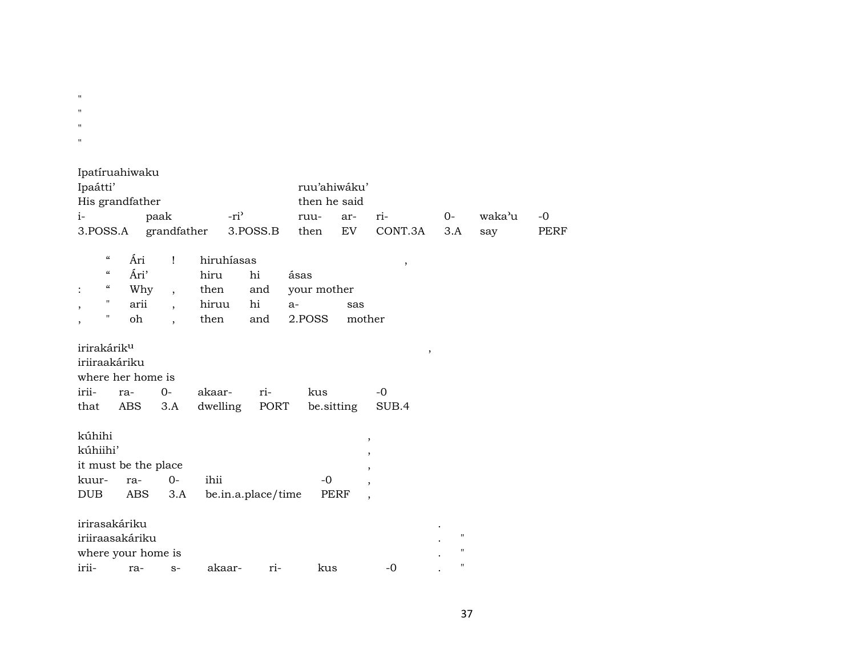$\mathbf{u}$  $\mathbf{u}$  .  $\mathbf{u}$  $\mathbf{u}$ 

|      | Ipatíruahiwaku                                |            |                          |            |                    |                              |            |                          |                    |                     |      |
|------|-----------------------------------------------|------------|--------------------------|------------|--------------------|------------------------------|------------|--------------------------|--------------------|---------------------|------|
|      | Ipaátti'                                      |            |                          |            |                    | ruu'ahiwáku'<br>then he said |            |                          |                    |                     |      |
|      | His grandfather                               |            |                          |            |                    |                              |            |                          |                    |                     |      |
| $i-$ |                                               |            | paak                     | $-ri^2$    |                    | ruu-                         | ar-<br>EV  | ri-<br>CONT.3A           | $O -$<br>3.A       | waka <sup>3</sup> u | $-0$ |
|      | 3.POSS.A                                      |            | grandfather              |            | 3.POSS.B           | then                         |            |                          |                    | say                 | PERF |
|      | $\epsilon\epsilon$                            | Ári        | $\mathbf{I}$             | hiruhíasas |                    |                              |            | $\,$                     |                    |                     |      |
|      | $\boldsymbol{\zeta}\boldsymbol{\zeta}$        | Ári'       |                          | hiru       | hi                 | ásas                         |            |                          |                    |                     |      |
|      | $\boldsymbol{\epsilon} \boldsymbol{\epsilon}$ | Why        | $\overline{\phantom{a}}$ | then       | and                | your mother                  |            |                          |                    |                     |      |
| ,    | $\pmb{\mathsf{H}}$                            | arii       | $\overline{\phantom{a}}$ | hiruu      | hi                 | $a-$                         | sas        |                          |                    |                     |      |
| ,    | 11                                            | oh         | $\overline{\phantom{a}}$ | then       | and                | 2.POSS                       |            | mother                   |                    |                     |      |
|      |                                               |            |                          |            |                    |                              |            |                          |                    |                     |      |
|      | irirakárik <sup>u</sup>                       |            |                          |            |                    |                              |            |                          | ,                  |                     |      |
|      | iriiraakáriku                                 |            |                          |            |                    |                              |            |                          |                    |                     |      |
|      | where her home is                             |            |                          |            |                    |                              |            |                          |                    |                     |      |
|      | irii-                                         | ra-        | $0-$                     | akaar-     | ri-                | kus                          |            | $-0$                     |                    |                     |      |
|      | that                                          | <b>ABS</b> | 3.A                      | dwelling   | PORT               |                              | be sitting | SUB.4                    |                    |                     |      |
|      |                                               |            |                          |            |                    |                              |            |                          |                    |                     |      |
|      | kúhihi                                        |            |                          |            |                    |                              |            | ,                        |                    |                     |      |
|      | kúhiihi'                                      |            |                          |            |                    |                              |            | ,                        |                    |                     |      |
|      |                                               |            | it must be the place     |            |                    |                              |            | ,                        |                    |                     |      |
|      | kuur-                                         | ra-        | $0 -$                    | ihii       |                    | $-0$                         |            | $\overline{\phantom{a}}$ |                    |                     |      |
|      | <b>DUB</b>                                    | ABS        | 3.A                      |            | be.in.a.place/time |                              | PERF       | $\overline{ }$           |                    |                     |      |
|      |                                               |            |                          |            |                    |                              |            |                          |                    |                     |      |
|      | irirasakáriku                                 |            |                          |            |                    |                              |            |                          | $\pmb{\mathsf{H}}$ |                     |      |
|      | iriiraasakáriku                               |            |                          |            |                    |                              |            |                          | п                  |                     |      |
|      |                                               |            | where your home is       |            |                    |                              |            |                          | $\mathbf{H}$       |                     |      |
|      | irii-                                         | ra-        | $S-$                     | akaar-     | ri-                | kus                          |            | $-0$                     |                    |                     |      |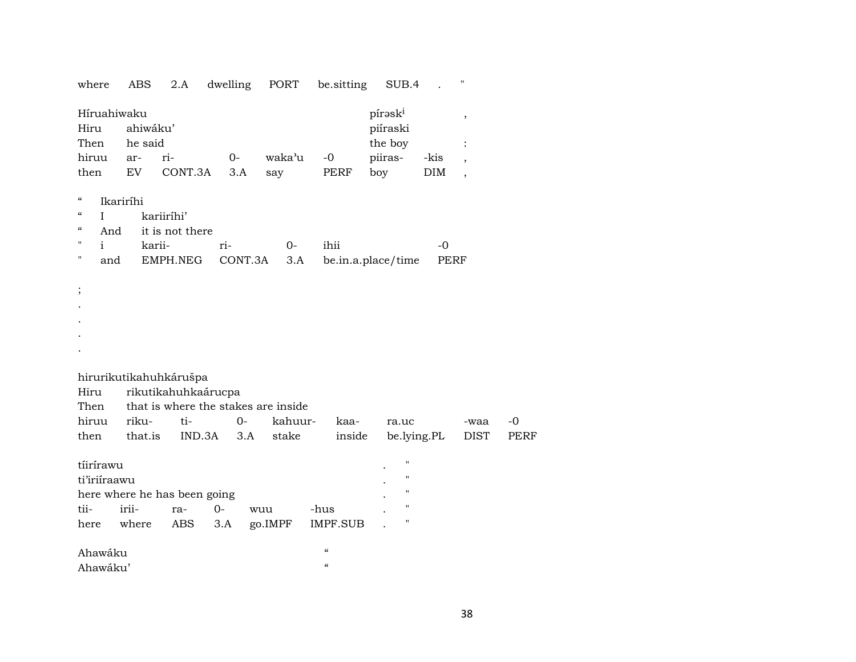| where                                               | ABS                 | 2.A                          | dwelling                            | PORT    | be.sitting         | SUB.4               |             | "                        |                     |
|-----------------------------------------------------|---------------------|------------------------------|-------------------------------------|---------|--------------------|---------------------|-------------|--------------------------|---------------------|
| Híruahiwaku<br>Hiru<br>Then                         | ahiwáku'<br>he said |                              |                                     |         |                    | píraski<br>piíraski |             | $^\mathrm{^\mathrm{o}}$  |                     |
|                                                     |                     |                              |                                     |         |                    | the boy             |             |                          |                     |
| hiruu                                               | ar-                 | ri-                          | $0-$                                | waka'u  | $-0$               | piiras-             | -kis        |                          |                     |
| then                                                | EV                  | CONT.3A                      | 3.A                                 | say     | PERF               | boy                 | DIM         | $\overline{\phantom{a}}$ |                     |
| $\boldsymbol{\zeta}\boldsymbol{\zeta}$              | Ikariríhi           |                              |                                     |         |                    |                     |             |                          |                     |
| $\boldsymbol{\varsigma}\boldsymbol{\varsigma}$<br>L |                     | kariiríhi'                   |                                     |         |                    |                     |             |                          |                     |
| $\boldsymbol{\zeta}\boldsymbol{\zeta}$<br>And       |                     | it is not there              |                                     |         |                    |                     |             |                          |                     |
| $\blacksquare$<br>i.                                | karii-              |                              | ri-                                 | $O -$   | ihii               |                     | $-0$        |                          |                     |
| П<br>and                                            |                     | EMPH.NEG                     | CONT.3A                             | 3.A     |                    | be.in.a.place/time  | <b>PERF</b> |                          |                     |
|                                                     |                     |                              |                                     |         |                    |                     |             |                          |                     |
| $\vdots$                                            |                     |                              |                                     |         |                    |                     |             |                          |                     |
|                                                     |                     |                              |                                     |         |                    |                     |             |                          |                     |
|                                                     |                     |                              |                                     |         |                    |                     |             |                          |                     |
|                                                     |                     |                              |                                     |         |                    |                     |             |                          |                     |
|                                                     |                     |                              |                                     |         |                    |                     |             |                          |                     |
|                                                     |                     |                              |                                     |         |                    |                     |             |                          |                     |
|                                                     |                     | hirurikutikahuhkárušpa       |                                     |         |                    |                     |             |                          |                     |
| Hiru                                                |                     | rikutikahuhkaárucpa          | that is where the stakes are inside |         |                    |                     |             |                          |                     |
| Then<br>hiruu                                       | riku-               | ti-                          | $O -$                               | kahuur- | kaa-               |                     |             |                          |                     |
| then                                                | that.is             | IND.3A                       |                                     |         |                    | ra.uc               |             | -waa                     | $-0$<br><b>PERF</b> |
|                                                     |                     |                              | 3.A                                 | stake   | inside             |                     | be.lying.PL | DIST                     |                     |
| tíirírawu                                           |                     |                              |                                     |         |                    | п                   |             |                          |                     |
| ti'iriiraawu                                        |                     |                              |                                     |         |                    | п                   |             |                          |                     |
|                                                     |                     | here where he has been going |                                     |         |                    | $\pmb{\mathsf{H}}$  |             |                          |                     |
| tii-                                                | irii-               | ra-                          | $O -$                               | wuu     | -hus               | $\pmb{\mathsf{H}}$  |             |                          |                     |
| here                                                | where               | ABS                          | 3.A                                 | go.IMPF | IMPF.SUB           | п                   |             |                          |                     |
|                                                     |                     |                              |                                     |         | $\mathcal{C}$      |                     |             |                          |                     |
| Ahawáku                                             |                     |                              |                                     |         | $\epsilon\epsilon$ |                     |             |                          |                     |
| Ahawáku'                                            |                     |                              |                                     |         |                    |                     |             |                          |                     |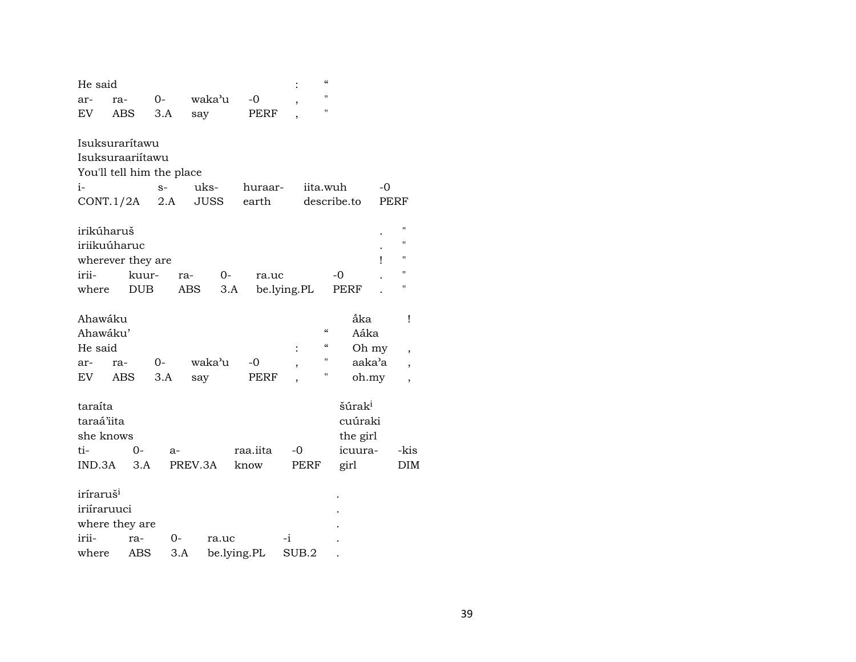| He said                   |     |            |      |         |             |             |             | $\alpha$                               |                    |      |      |
|---------------------------|-----|------------|------|---------|-------------|-------------|-------------|----------------------------------------|--------------------|------|------|
| ar-                       | ra- |            | $0-$ |         | waka'u      | -0          |             | $\mathbf{u}$                           |                    |      |      |
| ${\rm EV}$                | ABS |            | 3.A  | say     |             | PERF        |             | П                                      |                    |      |      |
|                           |     |            |      |         |             |             |             |                                        |                    |      |      |
| Isuksurarítawu            |     |            |      |         |             |             |             |                                        |                    |      |      |
| Isuksuraariitawu          |     |            |      |         |             |             |             |                                        |                    |      |      |
| You'll tell him the place |     |            |      |         |             |             |             |                                        |                    |      |      |
| $i-$                      |     |            | $S-$ |         | uks-        | huraar-     |             | iita.wuh                               |                    | -0   |      |
| CONT.1/2A                 |     |            | 2.A  |         | <b>JUSS</b> | earth       |             | describe.to                            |                    | PERF |      |
| irikúharuš                |     |            |      |         |             |             |             |                                        |                    |      | п    |
| iriikuúharuc              |     |            |      |         |             |             |             |                                        |                    |      | п    |
|                           |     |            |      |         |             |             |             |                                        |                    | ı    | п    |
| wherever they are         |     |            |      |         |             |             |             |                                        | $-0$               |      | п    |
| irii-                     |     | kuur-      |      | ra-     | $0-$        | ra.uc       |             |                                        |                    |      | н    |
| where                     |     | <b>DUB</b> |      | ABS     | 3.A         |             | be.lying.PL |                                        | <b>PERF</b>        |      |      |
| Ahawáku                   |     |            |      |         |             |             |             |                                        | áka                |      | Ţ    |
| Ahawáku'                  |     |            |      |         |             |             |             | $\boldsymbol{\zeta}\boldsymbol{\zeta}$ | Aáka               |      |      |
| He said                   |     |            |      |         |             |             |             | $\epsilon$                             | Oh my              |      |      |
|                           |     |            |      |         | waka'u      |             |             | П                                      | aaka'a             |      | ,    |
| ar-                       | ra- |            | 0-   |         |             | -0          | ,           | Н                                      |                    |      |      |
| EV.                       | ABS |            | 3.A  | say     |             | PERF        |             |                                        | oh.my              |      | ,    |
| taraíta                   |     |            |      |         |             |             |             |                                        | šúrak <sup>i</sup> |      |      |
| taraá'iita                |     |            |      |         |             |             |             |                                        | cuúraki            |      |      |
| she knows                 |     |            |      |         |             |             |             |                                        | the girl           |      |      |
| ti-                       |     | 0-         | $a-$ |         |             | raa.iita    | -0          |                                        | icuura-            |      | -kis |
| IND.3A                    |     | 3.A        |      | PREV.3A |             | know        | PERF        |                                        | girl               |      | DIM  |
|                           |     |            |      |         |             |             |             |                                        |                    |      |      |
| iríraruš <sup>i</sup>     |     |            |      |         |             |             |             |                                        |                    |      |      |
| iriíraruuci               |     |            |      |         |             |             |             |                                        |                    |      |      |
| where they are            |     |            |      |         |             |             |             |                                        |                    |      |      |
| irii-                     |     | ra-        | 0-   |         | ra.uc       |             | -i          |                                        |                    |      |      |
| where                     |     | <b>ABS</b> |      | 3.A     |             | be.lying.PL | SUB.2       |                                        |                    |      |      |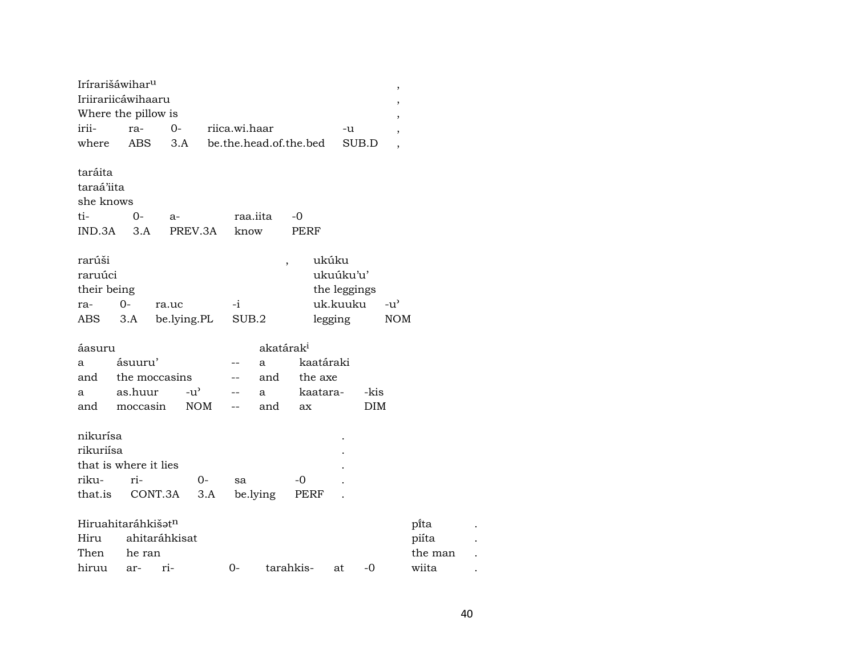| Irírarišáwihar <sup>u</sup>                         |                                         |                      |           |               |                       |                        |                                                           |               | $\,$                     |  |
|-----------------------------------------------------|-----------------------------------------|----------------------|-----------|---------------|-----------------------|------------------------|-----------------------------------------------------------|---------------|--------------------------|--|
|                                                     | Iriirariicáwihaaru                      |                      |           |               |                       |                        |                                                           |               | $\,$                     |  |
|                                                     | Where the pillow is                     |                      |           |               |                       |                        |                                                           |               | $\overline{\phantom{a}}$ |  |
| irii-                                               | ra-                                     | $O -$                |           | riica.wi.haar |                       |                        | -u                                                        |               | $\overline{\phantom{a}}$ |  |
| where                                               | <b>ABS</b>                              | 3.A                  |           |               |                       | be.the.head.of.the.bed |                                                           | SUB.D         | $\overline{ }$           |  |
| taráita<br>taraá'iita<br>she knows<br>ti-<br>IND.3A | 0-<br>3.A                               | $a-$<br>PREV.3A      |           | know          | raa.iita              | -0<br><b>PERF</b>      |                                                           |               |                          |  |
| rarúši<br>raruúci<br>their being<br>ra-<br>ABS      | $0-$<br>3.A                             | ra.uc<br>be.lying.PL |           | $-i$<br>SUB.2 | ,                     |                        | ukúku<br>ukuúku'u'<br>the leggings<br>uk.kuuku<br>legging | $-u^{\prime}$ | <b>NOM</b>               |  |
| áasuru                                              |                                         |                      |           |               | akatárak <sup>i</sup> |                        |                                                           |               |                          |  |
| a                                                   | ásuuru'                                 |                      |           |               | a                     | kaatáraki              |                                                           |               |                          |  |
| and                                                 | the moccasins                           |                      |           |               | and                   | the axe                |                                                           |               |                          |  |
| a                                                   | as.huur                                 | $-u^{\prime}$        |           |               | a                     | kaatara-               |                                                           | -kis          |                          |  |
| and                                                 | moccasin                                | NOM                  |           | $-$           | and                   | ax                     |                                                           | <b>DIM</b>    |                          |  |
| nikurísa<br>rikuriísa<br>riku-<br>that.is           | that is where it lies<br>ri-<br>CONT.3A |                      | 0-<br>3.A | sa            | be.lying              | -0<br>PERF             |                                                           |               |                          |  |
|                                                     | Hiruahitaráhkišat <sup>n</sup>          |                      |           |               |                       |                        |                                                           |               | pi̇̃ta                   |  |
| Hiru                                                | ahitaráhkisat                           |                      |           |               |                       |                        |                                                           |               | piíta                    |  |
| Then                                                | he ran                                  |                      |           |               |                       |                        |                                                           |               | the man                  |  |
| hiruu                                               | ar-                                     | ri-                  |           | $0-$          |                       | tarahkis-              | at                                                        | -0            | wiita                    |  |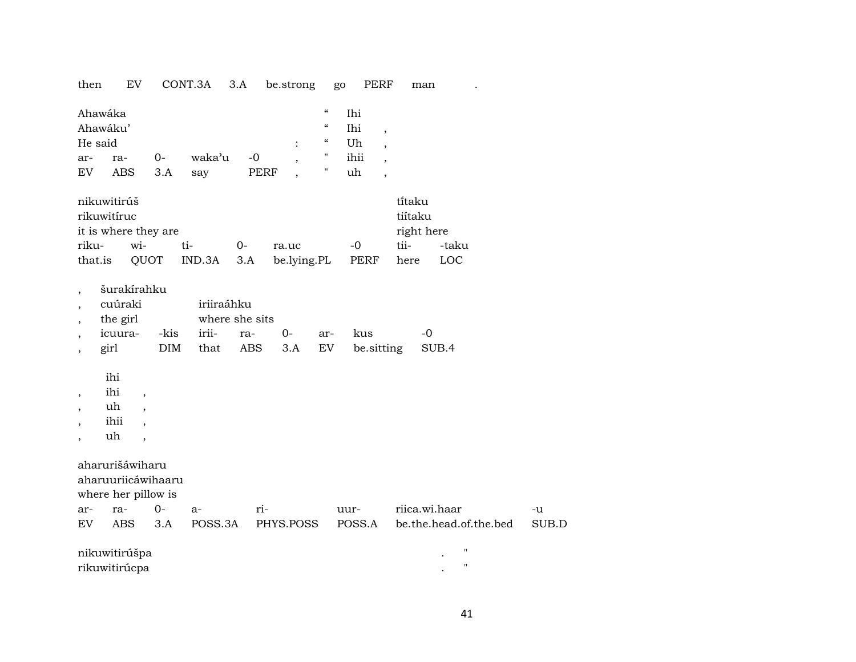then EV CONT.3A 3.A be.strong go PERF man .

| Ahawáka<br>Ahawáku'<br>He said<br>ar-                                                                        | ra-                                                                                                                                            | $0-$         | waka'u                                        | $-0$        | $\overline{\phantom{a}}$ | $\boldsymbol{\mathcal{C}}$<br>$\boldsymbol{\zeta}\boldsymbol{\zeta}$<br>$\boldsymbol{\mathcal{C}}$<br>н. | Ihi<br>Ihi<br>Uh<br>ihii | $\overline{\phantom{a}}$<br>$\overline{\phantom{a}}$<br>$\overline{\phantom{a}}$ |                                                 |                             |             |
|--------------------------------------------------------------------------------------------------------------|------------------------------------------------------------------------------------------------------------------------------------------------|--------------|-----------------------------------------------|-------------|--------------------------|----------------------------------------------------------------------------------------------------------|--------------------------|----------------------------------------------------------------------------------|-------------------------------------------------|-----------------------------|-------------|
| <b>EV</b>                                                                                                    | <b>ABS</b>                                                                                                                                     | 3.A          | say                                           | <b>PERF</b> |                          | Ħ                                                                                                        | uh                       | $\overline{\phantom{a}}$                                                         |                                                 |                             |             |
| riku-<br>that.is                                                                                             | nikuwitirúš<br>rikuwitíruc<br>it is where they are<br>wi-                                                                                      | QUOT         | ti-<br>IND.3A                                 | $0-$<br>3.A | ra.uc<br>be.lying.PL     |                                                                                                          | $-0$<br><b>PERF</b>      |                                                                                  | titaku<br>tiítaku<br>right here<br>tii-<br>here | -taku<br>LOC                |             |
| $\overline{\phantom{a}}$<br>$\overline{ }$<br>$\overline{\phantom{a}}$<br>$\, ,$<br>$\overline{\phantom{a}}$ | šurakírahku<br>cuúraki<br>the girl<br>icuura-<br>girl                                                                                          | -kis<br>DIM  | iriiraáhku<br>where she sits<br>irii-<br>that | ra-<br>ABS  | $O -$<br>3.A             | ar-<br>EV                                                                                                | kus<br>be sitting        |                                                                                  | $-0$                                            | SUB.4                       |             |
| $\, ,$<br>$\overline{\phantom{a}}$<br>,<br>$\overline{ }$                                                    | ihi<br>ihi<br>$\overline{\phantom{a}}$<br>uh<br>$\overline{\phantom{a}}$<br>ihii<br>$\overline{\phantom{a}}$<br>uh<br>$\overline{\phantom{a}}$ |              |                                               |             |                          |                                                                                                          |                          |                                                                                  |                                                 |                             |             |
|                                                                                                              | aharurišáwiharu<br>aharuuriicáwihaaru<br>where her pillow is                                                                                   |              |                                               |             |                          |                                                                                                          |                          |                                                                                  |                                                 |                             |             |
| ar-<br>EV                                                                                                    | ra-<br>ABS                                                                                                                                     | $O -$<br>3.A | $a-$<br>POSS.3A                               | ri-         | PHYS.POSS                |                                                                                                          | uur-<br>POSS.A           |                                                                                  | riica.wi.haar                                   | be.the.head.of.the.bed      | -u<br>SUB.D |
|                                                                                                              | nikuwitirúšpa<br>rikuwitirúcpa                                                                                                                 |              |                                               |             |                          |                                                                                                          |                          |                                                                                  |                                                 | $\mathbf H$<br>$\mathbf{H}$ |             |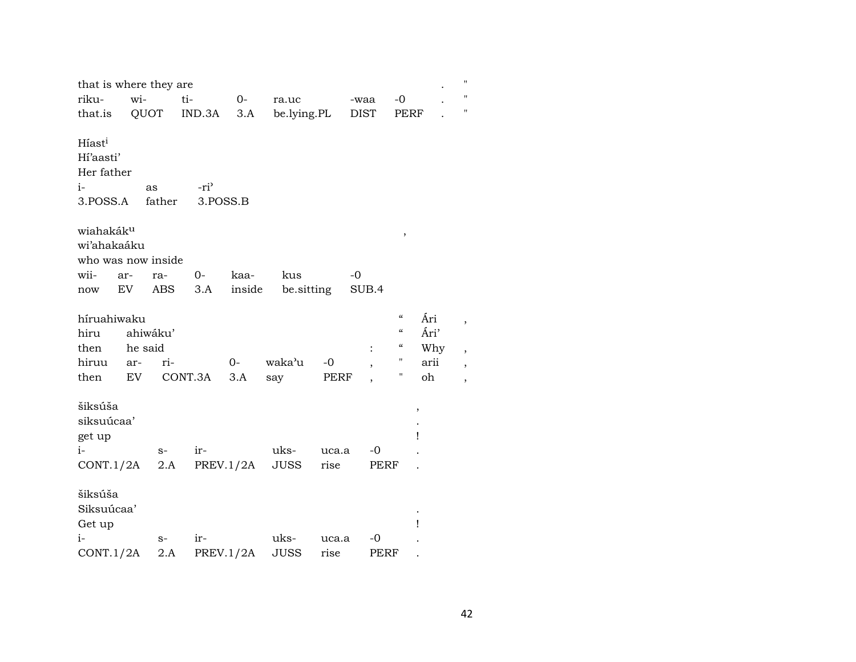| that is where they are<br>riku-<br>that.is                        | wi-                              | QUOT              | ti-<br>IND.3A                | $0-$<br>3.A    | ra.uc<br>be.lying.PL |               | -waa<br><b>DIST</b> | $-0$<br>PERF                                               |                                  | $^{\prime}$<br>Ħ<br>11 |
|-------------------------------------------------------------------|----------------------------------|-------------------|------------------------------|----------------|----------------------|---------------|---------------------|------------------------------------------------------------|----------------------------------|------------------------|
| Híast <sup>i</sup><br>Hi'aasti'<br>Her father<br>$i-$<br>3.POSS.A |                                  | as<br>father      | -ri <sup>3</sup><br>3.POSS.B |                |                      |               |                     |                                                            |                                  |                        |
| wiahakáku<br>wi'ahakaáku<br>who was now inside<br>wii-<br>now     | ar-<br>EV                        | ra-<br><b>ABS</b> | 0-<br>3.A                    | kaa-<br>inside | kus<br>be.sitting    |               | $-0$<br>SUB.4       | $\, ,$                                                     |                                  |                        |
| híruahiwaku<br>hiru<br>then<br>hiruu<br>then                      | ahiwáku'<br>he said<br>ar-<br>EV | ri-               | CONT.3A                      | $0-$<br>3.A    | waka'u<br>say        | $-0$<br>PERF  |                     | $\boldsymbol{\zeta}\boldsymbol{\zeta}$<br>"<br>"<br>Н<br>Н | Ári<br>Ári'<br>Why<br>arii<br>oh |                        |
| šiksúša<br>siksuúcaa'<br>get up<br>$i-$<br>CONT.1/2A              |                                  | $S-$<br>2.A       | ir-                          | PREV.1/2A      | uks-<br><b>JUSS</b>  | uca.a<br>rise | -0<br>PERF          | ,<br>Ţ                                                     |                                  |                        |
| šiksúša<br>Siksuúcaa'<br>Get up<br>$i-$<br>CONT.1/2A              |                                  | $S-$<br>2.A       | ir-                          | PREV.1/2A      | uks-<br><b>JUSS</b>  | uca.a<br>rise | -0<br>PERF          | Ţ                                                          |                                  |                        |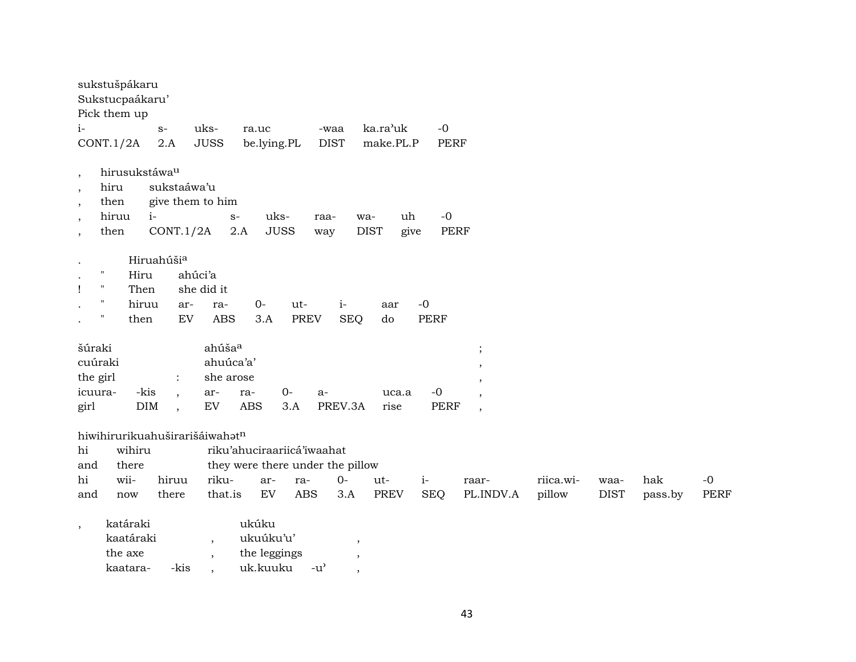| sukstušpákaru<br>Sukstucpaákaru'<br>Pick them up                                                                                                               |                                                                                                                                                                                                                                                                                       |
|----------------------------------------------------------------------------------------------------------------------------------------------------------------|---------------------------------------------------------------------------------------------------------------------------------------------------------------------------------------------------------------------------------------------------------------------------------------|
| $i-$<br>$S-$<br>2.A                                                                                                                                            | $-0$<br>ka.ra'uk<br>uks-<br>ra.uc<br>-waa<br><b>JUSS</b><br><b>DIST</b><br>make.PL.P<br>PERF                                                                                                                                                                                          |
| CONT.1/2A                                                                                                                                                      | be.lying.PL                                                                                                                                                                                                                                                                           |
| hirusukstáwa <sup>u</sup><br>$\,$<br>sukstaáwa'u<br>hiru<br>$\cdot$<br>give them to him<br>then<br>,<br>hiruu<br>$i-$<br>CONT.1/2A<br>then                     | $-0$<br>uks-<br>uh<br>$S-$<br>raa-<br>wa-<br><b>JUSS</b><br><b>DIST</b><br>PERF<br>2.A<br>give<br>way                                                                                                                                                                                 |
| Hiruahúši <sup>a</sup><br>$\pmb{\Pi}$<br>ahúci'a<br>Hiru<br>$\pmb{\mathsf{H}}$<br>Then<br>Ţ<br>$\pmb{\Pi}$<br>hiruu<br>ar-<br>$\pmb{\mathsf{H}}$<br>EV<br>then | she did it<br>$i-$<br>$-0$<br>$0-$<br>ut-<br>ra-<br>aar<br><b>ABS</b><br><b>PREV</b><br><b>PERF</b><br>3.A<br><b>SEQ</b><br>do                                                                                                                                                        |
| šúraki<br>cuúraki<br>the girl<br>$\ddot{\cdot}$<br>-kis<br>icuura-<br>$\ddot{\phantom{0}}$<br>DIM<br>girl<br>$\cdot$                                           | ahúša <sup>a</sup><br>$\cdot$<br>ahuúca'a'<br>,<br>she arose<br>,<br>$O -$<br>$-0$<br>ar-<br>ra-<br>uca.a<br>a-<br>$\overline{\phantom{a}}$<br>${\rm EV}$<br><b>ABS</b><br>PREV.3A<br><b>PERF</b><br>3.A<br>rise<br>$\overline{\phantom{a}}$                                          |
| hiwihirurikuahuširarišáiwahatn<br>hi<br>wihiru<br>and<br>there<br>wii-<br>hi<br>hiruu<br>and<br>there<br>now                                                   | riku'ahuciraariicá'iwaahat<br>they were there under the pillow<br>riku-<br>$0-$<br>$i-$<br>riica.wi-<br>hak<br>$-0$<br>ar-<br>ra-<br>ut-<br>raar-<br>waa-<br>EV<br><b>ABS</b><br><b>SEQ</b><br>that.is<br>3.A<br><b>PREV</b><br>PL.INDV.A<br>pillow<br><b>DIST</b><br>PERF<br>pass.by |
| katáraki<br>$\cdot$<br>kaatáraki<br>the axe                                                                                                                    | ukúku<br>ukuúku'u'<br>$\overline{\phantom{a}}$<br>$\overline{\phantom{a}}$<br>the leggings<br>$\overline{\phantom{a}}$<br>$\,$                                                                                                                                                        |

kaatara- -kis , uk.kuuku -u" ,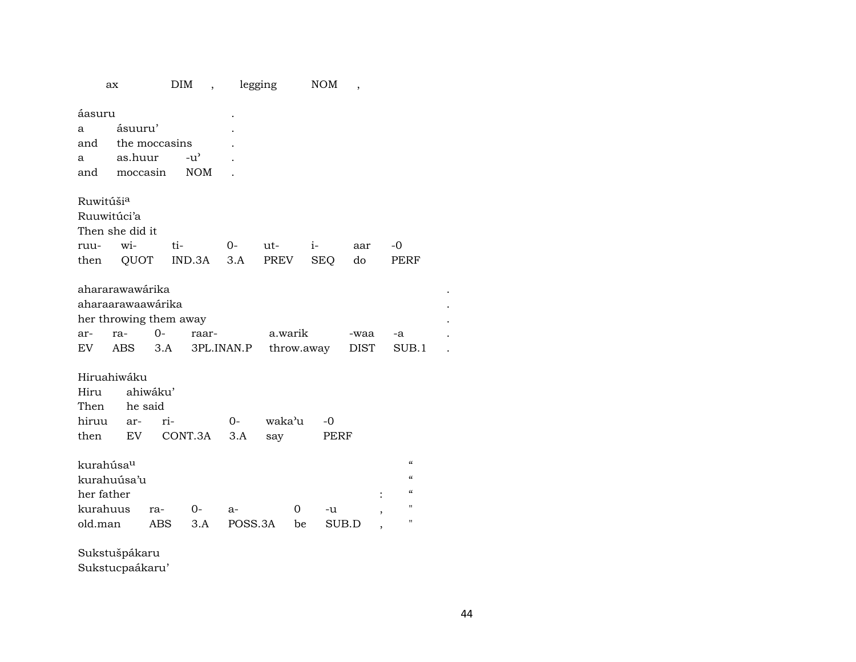|                       | ax                                 |          | DIM<br>$\overline{\phantom{a}}$ |            | legging |            | <b>NOM</b> | $\overline{\phantom{a}}$ |                          |  |  |
|-----------------------|------------------------------------|----------|---------------------------------|------------|---------|------------|------------|--------------------------|--------------------------|--|--|
| áasuru                |                                    |          |                                 |            |         |            |            |                          |                          |  |  |
| a                     | ásuuru'                            |          |                                 |            |         |            |            |                          |                          |  |  |
| and                   | the moccasins                      |          |                                 |            |         |            |            |                          |                          |  |  |
| a                     | as.huur                            |          | $-u^{\prime}$                   |            |         |            |            |                          |                          |  |  |
| and                   | moccasin                           |          | <b>NOM</b>                      |            |         |            |            |                          |                          |  |  |
|                       |                                    |          |                                 |            |         |            |            |                          |                          |  |  |
| Ruwitúši <sup>a</sup> |                                    |          |                                 |            |         |            |            |                          |                          |  |  |
| Ruuwitúci'a           |                                    |          |                                 |            |         |            |            |                          |                          |  |  |
| Then she did it       |                                    |          |                                 |            |         |            |            |                          |                          |  |  |
| ruu-                  | wi-                                |          | ti-                             | 0-         | ut-     | $i-$       |            | aar                      | -0                       |  |  |
| then                  |                                    |          | QUOT IND.3A                     | 3.A        | PREV    |            | SEQ        | do                       | PERF                     |  |  |
|                       |                                    |          |                                 |            |         |            |            |                          |                          |  |  |
| ahararawawárika       |                                    |          |                                 |            |         |            |            |                          |                          |  |  |
| aharaarawaawárika     |                                    |          |                                 |            |         |            |            |                          |                          |  |  |
|                       | her throwing them away             |          |                                 |            |         |            |            |                          |                          |  |  |
| ar-                   | ra-                                | $0-$     | raar-                           |            | a.warik |            |            | -waa                     | -a                       |  |  |
| EV                    | ABS                                | 3.A      |                                 | 3PL.INAN.P |         | throw.away |            | <b>DIST</b>              | SUB.1                    |  |  |
|                       |                                    |          |                                 |            |         |            |            |                          |                          |  |  |
| Hiruahiwáku           |                                    |          |                                 |            |         |            |            |                          |                          |  |  |
| Hiru                  |                                    | ahiwáku' |                                 |            |         |            |            |                          |                          |  |  |
| Then                  |                                    | he said  |                                 |            | waka'u  |            |            |                          |                          |  |  |
| hiruu                 | ar-                                | ri-      |                                 | $0-$       |         |            | $-0$       |                          |                          |  |  |
| then                  | EV                                 |          | CONT.3A                         | 3.A        | say     |            | PERF       |                          |                          |  |  |
| kurahúsa <sup>u</sup> |                                    |          |                                 |            |         |            |            |                          | $\mathcal{C}\mathcal{C}$ |  |  |
| kurahuúsa'u           |                                    |          |                                 |            |         |            |            |                          | $\mathcal{C}\mathcal{C}$ |  |  |
| her father            |                                    |          |                                 |            |         |            |            |                          | $\epsilon$               |  |  |
| kurahuus              |                                    | ra-      | $0 -$                           | a-         |         | 0          | -u         |                          | "                        |  |  |
| old.man               |                                    | ABS      | 3.A                             | POSS.3A    |         | be         | SUB.D      |                          | $\pmb{\mathsf{H}}$       |  |  |
|                       |                                    |          |                                 |            |         |            |            |                          |                          |  |  |
|                       | $\sim$ $\sim$ $\sim$ $\sim$ $\sim$ |          |                                 |            |         |            |            |                          |                          |  |  |

Sukstušpákaru

Sukstucpaákaru'

 $\sim 10^{11}$  km s  $^{-1}$  $\sim 100$  km s  $^{-1}$  $\sim 10^{-10}$  km  $^{-1}$  $\sim 1000$  km s  $^{-1}$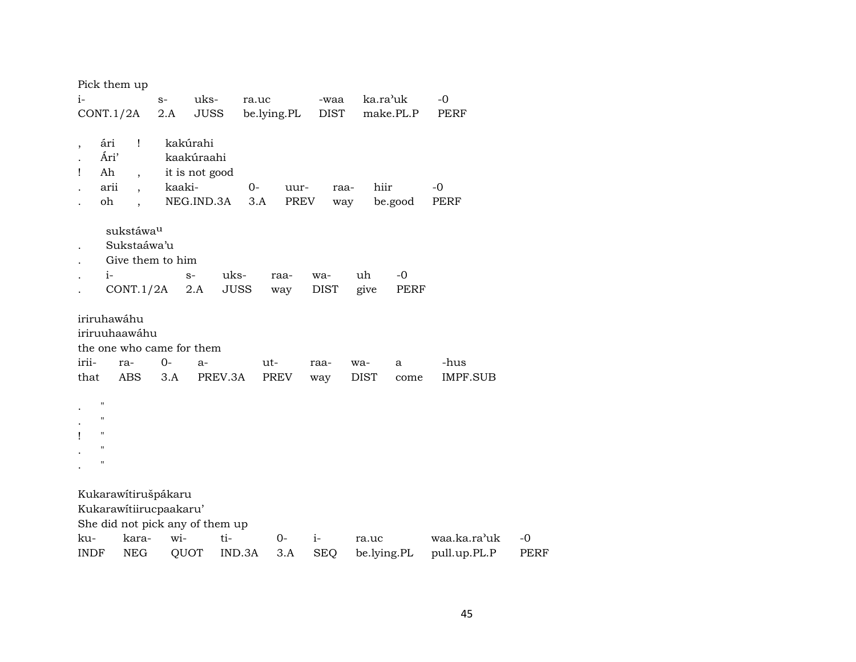|             | Pick them up       |                          |                           |                                 |             |      |             |             |           |                 |      |
|-------------|--------------------|--------------------------|---------------------------|---------------------------------|-------------|------|-------------|-------------|-----------|-----------------|------|
| $i-$        |                    |                          | $S-$                      | uks-                            | ra.uc       |      | -waa        | ka.ra'uk    |           | $-0$            |      |
|             | CONT.1/2A          |                          | 2.A                       | <b>JUSS</b>                     | be.lying.PL |      | <b>DIST</b> |             | make.PL.P | PERF            |      |
|             |                    |                          |                           |                                 |             |      |             |             |           |                 |      |
|             | ári                | Ţ                        | kakúrahi                  |                                 |             |      |             |             |           |                 |      |
|             | Ári'               |                          |                           | kaakúraahi                      |             |      |             |             |           |                 |      |
| I           | Ah                 | $\overline{\phantom{a}}$ |                           | it is not good                  |             |      |             |             |           |                 |      |
|             | arii               | $\ddot{\phantom{0}}$     | kaaki-                    |                                 | $0-$        | uur- | raa-        | hiir        |           | $-0$            |      |
|             | oh                 |                          |                           | NEG.IND.3A                      | 3.A         | PREV | way         |             | be.good   | PERF            |      |
|             |                    |                          |                           |                                 |             |      |             |             |           |                 |      |
|             |                    | sukstáwa <sup>u</sup>    |                           |                                 |             |      |             |             |           |                 |      |
|             |                    | Sukstaáwa'u              |                           |                                 |             |      |             |             |           |                 |      |
|             |                    |                          | Give them to him          |                                 |             |      |             |             |           |                 |      |
|             | $i-$               |                          |                           | uks-<br>$S-$                    |             | raa- | wa-         | uh          | $-0$      |                 |      |
|             |                    | CONT.1/2A                |                           | <b>JUSS</b><br>2.A              |             | way  | <b>DIST</b> | give        | PERF      |                 |      |
|             | iriruhawáhu        |                          |                           |                                 |             |      |             |             |           |                 |      |
|             | iriruuhaawáhu      |                          |                           |                                 |             |      |             |             |           |                 |      |
|             |                    |                          | the one who came for them |                                 |             |      |             |             |           |                 |      |
| irii-       |                    | ra-                      | $0-$                      | a-                              | ut-         |      | raa-        | wa-         | a         | -hus            |      |
| that        |                    | <b>ABS</b>               | 3.A                       | PREV.3A                         |             | PREV | way         | <b>DIST</b> | come      | <b>IMPF.SUB</b> |      |
|             |                    |                          |                           |                                 |             |      |             |             |           |                 |      |
|             | $\pmb{\mathsf{H}}$ |                          |                           |                                 |             |      |             |             |           |                 |      |
|             | $\blacksquare$     |                          |                           |                                 |             |      |             |             |           |                 |      |
|             | $\mathbf{H}$       |                          |                           |                                 |             |      |             |             |           |                 |      |
|             | $^{\prime}$        |                          |                           |                                 |             |      |             |             |           |                 |      |
|             | $^{\prime}$        |                          |                           |                                 |             |      |             |             |           |                 |      |
|             |                    |                          |                           |                                 |             |      |             |             |           |                 |      |
|             |                    |                          | Kukarawítirušpákaru       |                                 |             |      |             |             |           |                 |      |
|             |                    |                          | Kukarawitiirucpaakaru'    |                                 |             |      |             |             |           |                 |      |
|             |                    |                          |                           | She did not pick any of them up |             |      |             |             |           |                 |      |
| ku-         |                    | kara-                    | wi-                       | ti-                             |             | $0-$ | $i-$        | ra.uc       |           | waa.ka.ra'uk    | $-0$ |
| <b>INDF</b> |                    | <b>NEG</b>               | QUOT                      |                                 | IND.3A      | 3.A  | <b>SEQ</b>  | be.lying.PL |           | pull.up.PL.P    | PERF |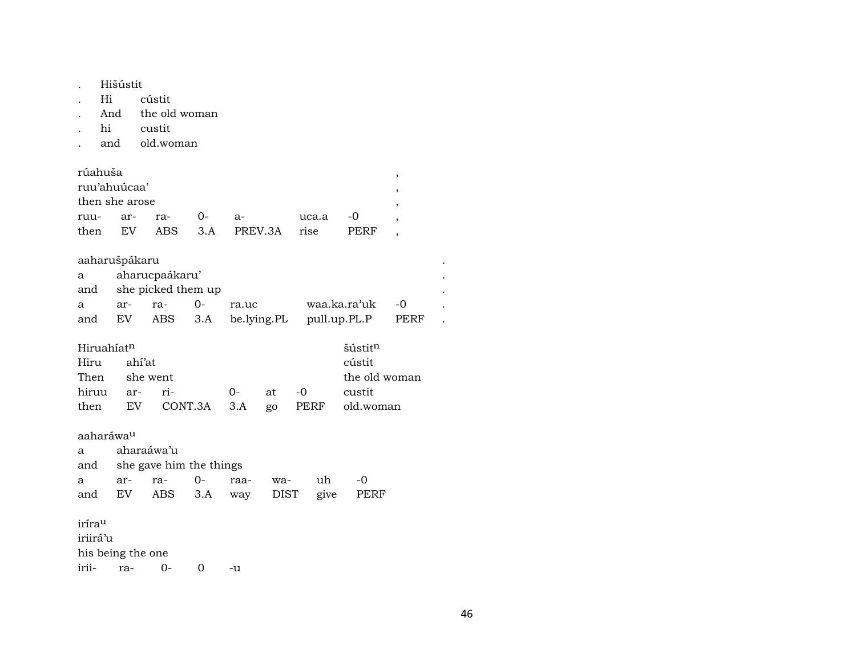| Hišústit |  |
|----------|--|
|          |  |

- cústit  $Hi$  $\mathcal{L}^{\pm}$
- And the old woman  $\ddot{\phantom{a}}$
- hi custit  $\ddot{\phantom{a}}$
- and old.woman  $\bullet$

| rúahuša        |     |         |    |         |          |             |  |
|----------------|-----|---------|----|---------|----------|-------------|--|
| ruu'ahuúcaa'   |     |         |    |         |          |             |  |
| then she arose |     |         |    |         |          |             |  |
| ruu- ar-       |     | ra-     | () | -а      | uca.a -0 |             |  |
| then           | EV. | ABS 3.A |    | PREV.3A | rise     | <b>PEKE</b> |  |

## aaharušpákaru

| a | aharucpaákaru'         |  |       |                                              |  |  |  |  |  |  |  |
|---|------------------------|--|-------|----------------------------------------------|--|--|--|--|--|--|--|
|   | and she picked them up |  |       |                                              |  |  |  |  |  |  |  |
| a |                        |  | ra.uc | waa.ka.ra'uk -0                              |  |  |  |  |  |  |  |
|   |                        |  |       | and EV ABS 3.A be.lying.PL pull.up.PL.P PERF |  |  |  |  |  |  |  |

| Hiruahíat <sup>n</sup> |  |               |       | šústit <sup>n</sup>                   |
|------------------------|--|---------------|-------|---------------------------------------|
| Hiru ahi'at            |  |               |       | cústit                                |
| Then she went          |  | the old woman |       |                                       |
| hiruu ar- ri-          |  | $\Omega$      | at -0 | custit                                |
|                        |  |               |       | then EV CONT.3A 3.A go PERF old.woman |

| aaharáwa <sup>u</sup> |  |              |  |                             |    |                                   |  |  |  |  |  |
|-----------------------|--|--------------|--|-----------------------------|----|-----------------------------------|--|--|--|--|--|
|                       |  |              |  |                             |    |                                   |  |  |  |  |  |
|                       |  |              |  |                             |    |                                   |  |  |  |  |  |
|                       |  |              |  |                             | uh | $-0$                              |  |  |  |  |  |
|                       |  |              |  |                             |    |                                   |  |  |  |  |  |
|                       |  | a aharaáwa'u |  | and she gave him the things |    | and EV ABS 3.A way DIST give PERF |  |  |  |  |  |

#### $\mbox{iríra}^{\mbox{\scriptsize u}}$ iriirá'u his being the one irii- $0$ ra- $\overline{0}$  $-u$

 $\mathcal{L}_{\mathcal{A}}$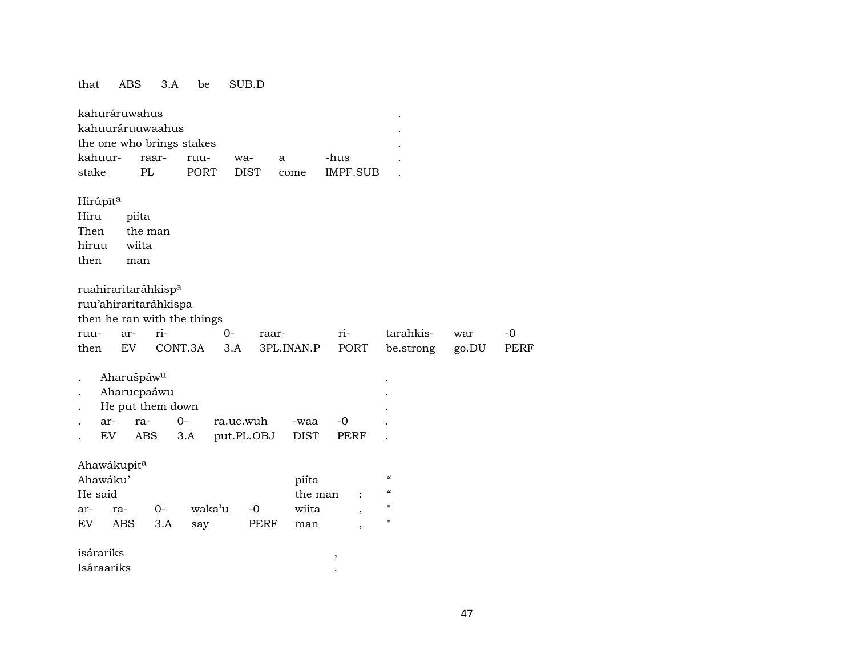#### that ABS 3.A be SUB.D

|         | kahuráruwahus          |         |                                                          |             |        |             |             |         |                          |                                        |       |             |
|---------|------------------------|---------|----------------------------------------------------------|-------------|--------|-------------|-------------|---------|--------------------------|----------------------------------------|-------|-------------|
|         |                        |         | kahuuráruuwaahus                                         |             |        |             |             |         |                          |                                        |       |             |
|         |                        |         | the one who brings stakes                                |             |        |             |             |         |                          |                                        |       |             |
|         | kahuur-                |         | raar-                                                    | ruu-        |        | wa-         | a           |         | -hus                     |                                        |       |             |
| stake   |                        | PL      |                                                          | <b>PORT</b> |        | <b>DIST</b> | come        |         | <b>IMPF.SUB</b>          |                                        |       |             |
|         | Hirúpīta               |         |                                                          |             |        |             |             |         |                          |                                        |       |             |
| Hiru    |                        | piíta   |                                                          |             |        |             |             |         |                          |                                        |       |             |
| Then    |                        | the man |                                                          |             |        |             |             |         |                          |                                        |       |             |
| hiruu   |                        | wiita   |                                                          |             |        |             |             |         |                          |                                        |       |             |
| then    |                        | man     |                                                          |             |        |             |             |         |                          |                                        |       |             |
|         |                        |         | ruahiraritaráhkisp <sup>a</sup><br>ruu'ahiraritaráhkispa |             |        |             |             |         |                          |                                        |       |             |
|         |                        |         | then he ran with the things                              |             |        |             |             |         |                          |                                        |       |             |
| ruu-    |                        | ar-     | ri-                                                      |             | $0-$   |             | raar-       |         | ri-                      | tarahkis-                              | war   | -0          |
| then    |                        | EV      |                                                          | CONT.3A     | 3.A    |             | 3PL.INAN.P  |         | PORT                     | be.strong                              | go.DU | <b>PERF</b> |
|         | Aharušpáw <sup>u</sup> |         |                                                          |             |        |             |             |         |                          |                                        |       |             |
|         |                        |         | Aharucpaáwu                                              |             |        |             |             |         |                          |                                        |       |             |
|         |                        |         | He put them down                                         |             |        |             |             |         |                          |                                        |       |             |
|         | ar-                    | ra-     |                                                          | $0-$        |        | ra.uc.wuh   | -waa        |         | $-0$                     |                                        |       |             |
|         | EV                     | ABS     |                                                          | 3.A         |        | put.PL.OBJ  | <b>DIST</b> |         | PERF                     |                                        |       |             |
|         | Ahawákupita            |         |                                                          |             |        |             |             |         |                          |                                        |       |             |
|         | Ahawáku'               |         |                                                          |             |        |             | piíta       |         |                          | $\boldsymbol{\mathcal{C}}$             |       |             |
| He said |                        |         |                                                          |             |        |             |             | the man |                          | $\boldsymbol{\zeta}\boldsymbol{\zeta}$ |       |             |
| ar-     | ra-                    |         | $0-$                                                     |             | waka'u | $-0$        |             | wiita   | $\overline{\phantom{a}}$ | $\pmb{\mathsf{H}}$                     |       |             |
| EV      | ABS                    |         | 3.A                                                      | say         |        | PERF        | man         |         |                          | $\pmb{\mathsf{H}}$                     |       |             |
|         | isárariks              |         |                                                          |             |        |             |             |         | ,                        |                                        |       |             |
|         | Isáraariks             |         |                                                          |             |        |             |             |         |                          |                                        |       |             |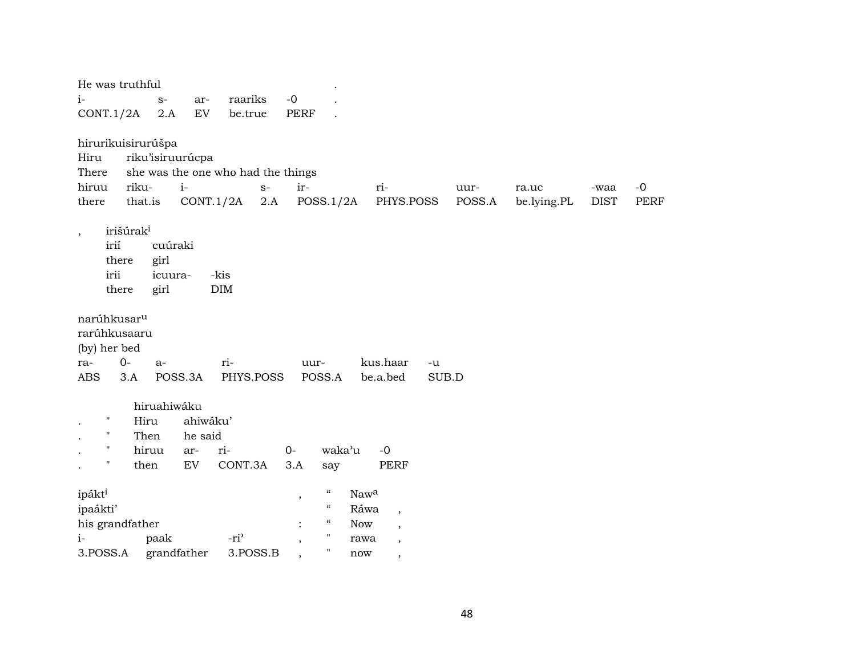| He was truthful                |                  |                                    |                          |                                          |                          |        |             |             |             |
|--------------------------------|------------------|------------------------------------|--------------------------|------------------------------------------|--------------------------|--------|-------------|-------------|-------------|
| $i-$                           | $S-$<br>ar-      | raariks                            | $-0$                     |                                          |                          |        |             |             |             |
| CONT.1/2A                      | EV<br>2.A        | be.true                            | PERF                     |                                          |                          |        |             |             |             |
|                                |                  |                                    |                          |                                          |                          |        |             |             |             |
| hirurikuisirurúšpa             |                  |                                    |                          |                                          |                          |        |             |             |             |
| Hiru                           | riku'isiruurúcpa |                                    |                          |                                          |                          |        |             |             |             |
| There                          |                  | she was the one who had the things |                          |                                          |                          |        |             |             |             |
| riku-<br>hiruu                 | $i-$             | $S-$                               | ir-                      |                                          | ri-                      | uur-   | ra.uc       | -waa        | $-0$        |
| there<br>that.is               |                  | CONT.1/2A<br>2.A                   |                          | POSS.1/2A                                | PHYS.POSS                | POSS.A | be.lying.PL | <b>DIST</b> | <b>PERF</b> |
|                                |                  |                                    |                          |                                          |                          |        |             |             |             |
| irišúrak <sup>i</sup><br>$\,$  |                  |                                    |                          |                                          |                          |        |             |             |             |
| irií                           | cuúraki          |                                    |                          |                                          |                          |        |             |             |             |
| there                          | girl             |                                    |                          |                                          |                          |        |             |             |             |
| irii                           | icuura-          | -kis                               |                          |                                          |                          |        |             |             |             |
| there                          | girl             | DIM                                |                          |                                          |                          |        |             |             |             |
| narúhkusar <sup>u</sup>        |                  |                                    |                          |                                          |                          |        |             |             |             |
| rarúhkusaaru                   |                  |                                    |                          |                                          |                          |        |             |             |             |
| (by) her bed                   |                  |                                    |                          |                                          |                          |        |             |             |             |
| $0-$<br>ra-                    | a-               | ri-                                | uur-                     |                                          | kus.haar<br>-u           |        |             |             |             |
| <b>ABS</b><br>3.A              | POSS.3A          | PHYS.POSS                          |                          | POSS.A                                   | be.a.bed<br>SUB.D        |        |             |             |             |
|                                |                  |                                    |                          |                                          |                          |        |             |             |             |
|                                | hiruahiwáku      |                                    |                          |                                          |                          |        |             |             |             |
| н<br>Hiru                      | ahiwáku'         |                                    |                          |                                          |                          |        |             |             |             |
| н<br>Then                      | he said          |                                    |                          |                                          |                          |        |             |             |             |
| н<br>hiruu                     | ar-              | ri-                                | $O -$                    | waka'u                                   | $-0$                     |        |             |             |             |
| $^{\prime}$<br>then            | ${\rm EV}$       | CONT.3A                            | 3.A                      | say                                      | PERF                     |        |             |             |             |
|                                |                  |                                    |                          | $\boldsymbol{\mathcal{U}}$<br>Nawa       |                          |        |             |             |             |
| ipákt <sup>i</sup><br>ipaákti' |                  |                                    | $\,$                     | $\boldsymbol{\mathcal{C}}$<br>Ráwa       |                          |        |             |             |             |
| his grandfather                |                  |                                    |                          | $\boldsymbol{\mathcal{C}}$<br><b>Now</b> | $\overline{\phantom{a}}$ |        |             |             |             |
| $i-$                           | paak             | -ri <sup>3</sup>                   |                          | $\pmb{\mathsf{H}}$<br>rawa               | $\overline{\phantom{a}}$ |        |             |             |             |
| 3.POSS.A                       | grandfather      | 3.POSS.B                           |                          | $\pmb{\mathsf{H}}$<br>now                | $\overline{\phantom{a}}$ |        |             |             |             |
|                                |                  |                                    | $\overline{\phantom{a}}$ |                                          | $\overline{\phantom{a}}$ |        |             |             |             |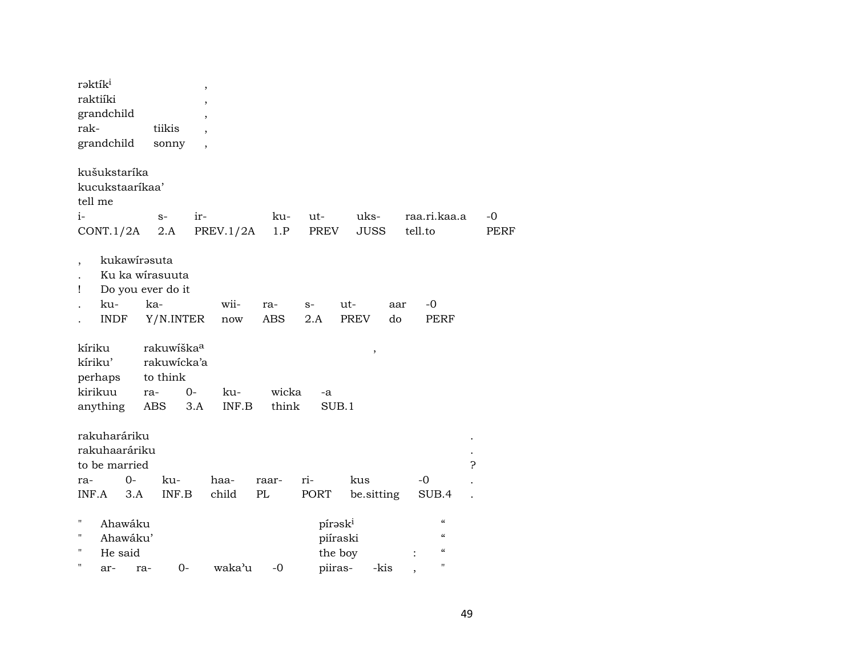| rəktik <sup>i</sup><br>raktiíki<br>grandchild<br>rak-<br>grandchild         | tiikis<br>sonny                                                 | ,<br>$\overline{\phantom{a}}$ |                   |                                                       |                                 |                                                                                         |            |
|-----------------------------------------------------------------------------|-----------------------------------------------------------------|-------------------------------|-------------------|-------------------------------------------------------|---------------------------------|-----------------------------------------------------------------------------------------|------------|
| kušukstaríka<br>kucukstaarikaa'<br>tell me                                  |                                                                 |                               |                   |                                                       |                                 |                                                                                         |            |
| $i-$<br>CONT.1/2A                                                           | $S-$<br>2.A                                                     | ir-<br>PREV.1/2A              | ku-<br>1.P        | ut-<br>PREV                                           | uks-<br><b>JUSS</b>             | raa.ri.kaa.a<br>tell.to                                                                 | -0<br>PERF |
| kukawirasuta<br>$\overline{\phantom{a}}$<br>Ţ<br>ku-<br><b>INDF</b>         | Ku ka wirasuuta<br>Do you ever do it<br>ka-<br>Y/N.INTER        | wii-<br>now                   | ra-<br><b>ABS</b> | $S-$<br>2.A                                           | ut-<br>aar<br><b>PREV</b><br>do | $-0$<br><b>PERF</b>                                                                     |            |
| kíriku<br>kíriku'<br>perhaps<br>kirikuu<br>anything                         | rakuwiška <sup>a</sup><br>rakuwicka'a<br>to think<br>ra-<br>ABS | $0-$<br>ku-<br>INF.B<br>3.A   | wicka<br>think    | -a<br>SUB.1                                           | $\,$                            |                                                                                         |            |
| rakuharáriku<br>rakuhaaráriku<br>to be married<br>$0-$<br>ra-               | ku-                                                             | haa-                          | raar-             | ri-                                                   | kus                             | -0                                                                                      | 5.         |
| INF.A<br>3.A                                                                | INF.B                                                           | child                         | PL                | PORT                                                  | be.sitting                      | SUB.4                                                                                   |            |
| $\pmb{\mathsf{H}}$<br>Ahawáku<br>п<br>Ahawáku'<br>П<br>He said<br>11<br>ar- | $0-$<br>ra-                                                     | waka'u                        | $-0$              | pírask <sup>i</sup><br>piíraski<br>the boy<br>piiras- | -kis                            | $\mathcal{C}$<br>$\boldsymbol{\zeta}\boldsymbol{\zeta}$<br>$\epsilon$<br>$\blacksquare$ |            |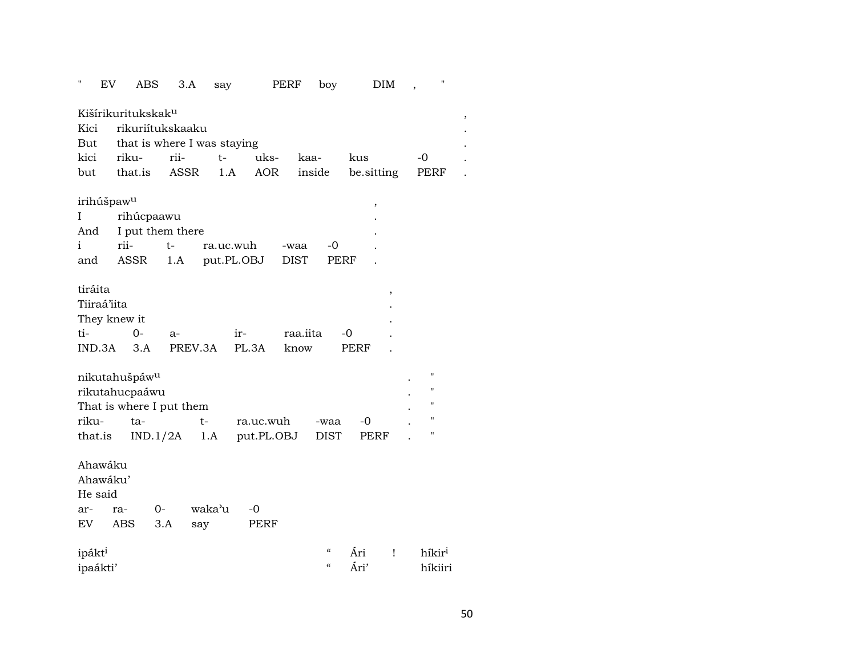| н                  | EV | ABS                            |          | 3.A<br>say                  |       | PERF       |             | boy         |            | <b>DIM</b> |    | п                  |  |
|--------------------|----|--------------------------------|----------|-----------------------------|-------|------------|-------------|-------------|------------|------------|----|--------------------|--|
|                    |    | Kišírikuritukskak <sup>u</sup> |          |                             |       |            |             |             |            |            |    |                    |  |
| Kici               |    | rikuriítukskaaku               |          |                             |       |            |             |             |            |            |    |                    |  |
| But                |    |                                |          | that is where I was staying |       |            |             |             |            |            |    |                    |  |
| kici               |    | riku-                          | rii-     | $t-$                        |       | uks-       | kaa-        |             | kus        |            | -0 |                    |  |
| but                |    | that.is                        |          | ASSR<br>1.A                 |       | AOR        |             | inside      | be sitting |            |    | PERF               |  |
|                    |    |                                |          |                             |       |            |             |             |            |            |    |                    |  |
|                    |    | irihúšpaw <sup>u</sup>         |          |                             |       |            |             |             | ,          |            |    |                    |  |
| I                  |    | rihúcpaawu                     |          |                             |       |            |             |             |            |            |    |                    |  |
| And                |    | I put them there               |          |                             |       |            |             |             |            |            |    |                    |  |
| i                  |    | rii-                           | $t-$     | ra.uc.wuh                   |       |            | -waa        | -0          |            |            |    |                    |  |
| and                |    | ASSR                           | 1.A      | put.PL.OBJ                  |       |            | <b>DIST</b> | PERF        |            |            |    |                    |  |
|                    |    |                                |          |                             |       |            |             |             |            |            |    |                    |  |
| tiráita            |    |                                |          |                             |       |            |             |             |            | ,          |    |                    |  |
| Tiiraá'iita        |    |                                |          |                             |       |            |             |             |            |            |    |                    |  |
|                    |    | They knew it                   |          |                             |       |            |             |             |            |            |    |                    |  |
| ti-                |    | $O -$                          | $a-$     |                             | ir-   |            | raa.iita    |             | -0         |            |    |                    |  |
| IND.3A             |    | 3.A                            |          | PREV.3A                     | PL.3A |            | know        |             | PERF       |            |    |                    |  |
|                    |    |                                |          |                             |       |            |             |             |            |            |    |                    |  |
|                    |    | nikutahušpáw <sup>u</sup>      |          |                             |       |            |             |             |            |            |    | "                  |  |
|                    |    | rikutahucpaáwu                 |          |                             |       |            |             |             |            |            |    | 11                 |  |
|                    |    | That is where I put them       |          |                             |       |            |             |             |            |            |    | $\pmb{\mathsf{H}}$ |  |
| riku-              |    | ta-                            |          | $t-$                        |       | ra.uc.wuh  |             | -waa        | -0         |            |    | $\pmb{\mathsf{H}}$ |  |
| that.is            |    |                                | IND.1/2A | 1.A                         |       | put.PL.OBJ |             | <b>DIST</b> | PERF       |            |    | $\pmb{\mathsf{H}}$ |  |
|                    |    |                                |          |                             |       |            |             |             |            |            |    |                    |  |
| Ahawáku            |    |                                |          |                             |       |            |             |             |            |            |    |                    |  |
| Ahawáku'           |    |                                |          |                             |       |            |             |             |            |            |    |                    |  |
| He said            |    |                                |          |                             |       |            |             |             |            |            |    |                    |  |
| ar-                |    | ra-                            | $0-$     | waka'u                      | -0    |            |             |             |            |            |    |                    |  |
| EV                 |    | ABS                            | 3.A      | say                         |       | PERF       |             |             |            |            |    |                    |  |
|                    |    |                                |          |                             |       |            |             |             |            |            |    |                    |  |
| ipákt <sup>i</sup> |    |                                |          |                             |       |            |             | $\alpha$    | Āri        | Ţ          |    | híkir <sup>i</sup> |  |
| ipaákti'           |    |                                |          |                             |       |            |             | $\alpha$    | Ári'       |            |    | híkiiri            |  |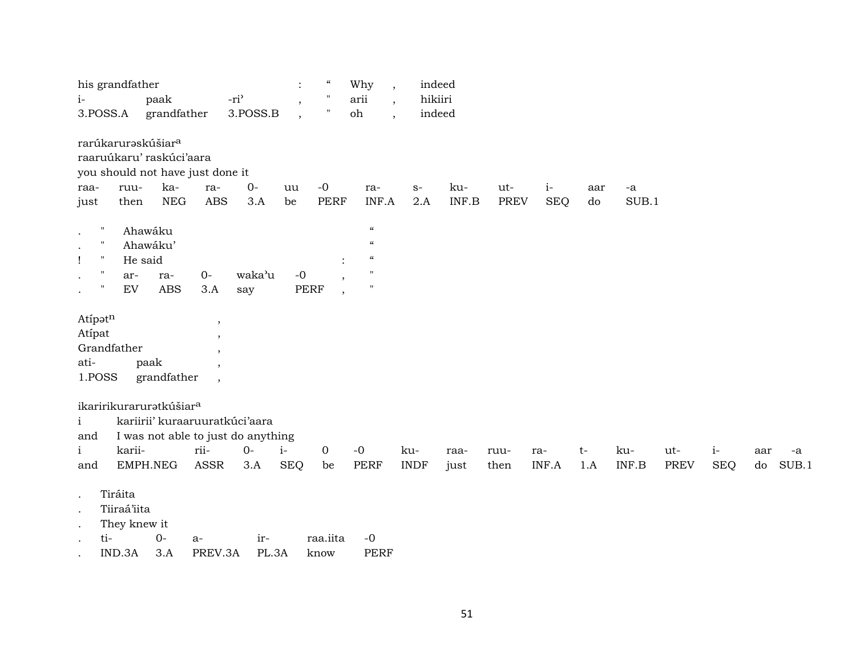| his grandfather                                                                                                                                                                                                                                 |                                                                                  |                                                                                     |                               | $\ddot{\cdot}$                                       | $\boldsymbol{\zeta}\boldsymbol{\zeta}$ | Why<br>$\overline{\phantom{a}}$                                                                                                              |                    | indeed       |                    |                    |             |               |                    |                    |                          |
|-------------------------------------------------------------------------------------------------------------------------------------------------------------------------------------------------------------------------------------------------|----------------------------------------------------------------------------------|-------------------------------------------------------------------------------------|-------------------------------|------------------------------------------------------|----------------------------------------|----------------------------------------------------------------------------------------------------------------------------------------------|--------------------|--------------|--------------------|--------------------|-------------|---------------|--------------------|--------------------|--------------------------|
| $i-$<br>3.POSS.A                                                                                                                                                                                                                                | paak<br>grandfather                                                              | -ri <sup>3</sup>                                                                    | 3.POSS.B                      | $\overline{\phantom{a}}$<br>$\overline{\phantom{a}}$ |                                        | arii<br>$\overline{\phantom{a}}$<br>oh<br>$\ddot{\phantom{0}}$                                                                               | hikiiri            | indeed       |                    |                    |             |               |                    |                    |                          |
| rarúkaruraskúšiar <sup>a</sup><br>raaruúkaru' raskúci'aara<br>you should not have just done it<br>ruu-<br>raa-<br>then<br>just<br>$\mathbf{H}$<br>$\bullet$<br>$\mathbf{H}$<br>$\bullet$<br>н.<br>Ţ<br>п<br>ar-<br>$\bullet$<br>EV<br>$\bullet$ | ka-<br>${\rm NEG}$<br>Ahawáku<br>Ahawáku'<br>He said<br>ra-<br><b>ABS</b>        | ra-<br><b>ABS</b><br>$0-$<br>3.A                                                    | $O -$<br>3.A<br>waka'u<br>say | uu<br>be<br>$-0$<br><b>PERF</b>                      | $-0$<br><b>PERF</b>                    | ra-<br>INF.A<br>$\boldsymbol{\mathcal{C}}$<br>$\boldsymbol{\mathcal{C}}$<br>$\boldsymbol{\mathcal{C}}$<br>$\pmb{\mathsf{H}}$<br>$\mathbf{H}$ | $S-$<br>2.A        | ku-<br>INF.B | ut-<br><b>PREV</b> | $i-$<br><b>SEQ</b> | aar<br>do   | $-a$<br>SUB.1 |                    |                    |                          |
| Atipatn<br>Atipat<br>Grandfather<br>ati-<br>1.POSS                                                                                                                                                                                              | paak<br>grandfather                                                              | $\,$<br>$\overline{\phantom{a}}$<br>,<br>$\overline{ }$<br>$\overline{\phantom{a}}$ |                               |                                                      |                                        |                                                                                                                                              |                    |              |                    |                    |             |               |                    |                    |                          |
| ikaririkuraruratkúšiar <sup>a</sup><br>$\mathbf{i}$<br>and<br>karii-<br>$\mathbf{i}$<br>and                                                                                                                                                     | kariirii' kuraaruuratkúci'aara<br>I was not able to just do anything<br>EMPH.NEG | rii-<br><b>ASSR</b>                                                                 | $0-$<br>3.A                   | $i-$<br><b>SEQ</b>                                   | $\mathbf 0$<br>be                      | $-0$<br>PERF                                                                                                                                 | ku-<br><b>INDF</b> | raa-<br>just | ruu-<br>then       | ra-<br>INF.A       | $t-$<br>1.A | ku-<br>INF.B  | ut-<br><b>PREV</b> | $i-$<br><b>SEQ</b> | aar<br>-a<br>SUB.1<br>do |
| Tiráita<br>$\cdot$<br>Tiiraá'iita<br>$\bullet$<br>They knew it<br>$\,$ .<br>ti-<br>IND.3A                                                                                                                                                       | $0-$<br>3.A                                                                      | $a-$<br>PREV.3A                                                                     | ir-<br>PL.3A                  |                                                      | raa.iita<br>know                       | $-0$<br><b>PERF</b>                                                                                                                          |                    |              |                    |                    |             |               |                    |                    |                          |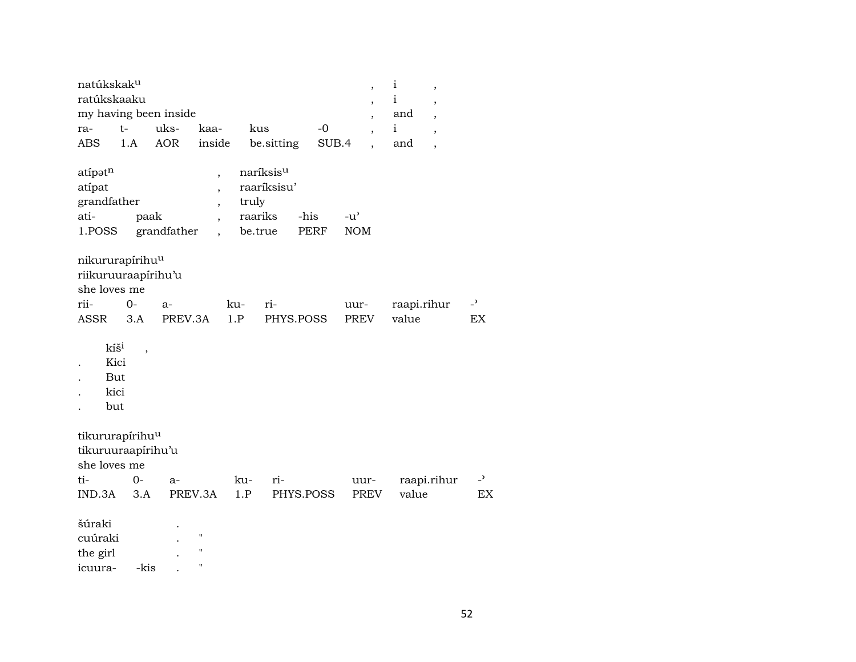| natúkskak <sup>u</sup><br>ratúkskaaku                              |                          |                 |                                                                |                             |                          |                     |       | $\overline{\phantom{a}}$<br>$\overline{\phantom{a}}$ | i<br>$\mathbf{i}$   | $\overline{\phantom{a}}$<br>$\overline{\phantom{a}}$ |                                |
|--------------------------------------------------------------------|--------------------------|-----------------|----------------------------------------------------------------|-----------------------------|--------------------------|---------------------|-------|------------------------------------------------------|---------------------|------------------------------------------------------|--------------------------------|
| my having been inside<br>ra-                                       | $t-$                     | uks-            | kaa-                                                           | kus                         |                          |                     | $-0$  | $\overline{\phantom{a}}$<br>$\overline{\phantom{a}}$ | and<br>$\mathbf{i}$ | $\overline{\phantom{a}}$<br>$\overline{ }$           |                                |
| <b>ABS</b>                                                         | 1.A                      | <b>AOR</b>      | inside                                                         |                             | be.sitting               |                     | SUB.4 |                                                      | and                 | $\overline{\phantom{a}}$                             |                                |
| atípatn<br>atípat<br>grandfather<br>ati-<br>1.POSS                 | paak                     | grandfather     | $\overline{\phantom{a}}$<br>$\overline{ }$<br>$\overline{ }$   | truly<br>raariks<br>be.true | naríksisu<br>raaríksisu' | -his<br><b>PERF</b> |       | $-u$ <sup><math>\prime</math></sup><br><b>NOM</b>    |                     |                                                      |                                |
| nikururapírihu <sup>u</sup><br>riikuruuraapirihu'u<br>she loves me |                          |                 |                                                                |                             |                          |                     |       |                                                      |                     |                                                      |                                |
| rii-<br><b>ASSR</b>                                                | $0-$<br>3.A              | $a-$<br>PREV.3A |                                                                | ku-<br>1.P                  | ri-<br>PHYS.POSS         |                     |       | uur-<br>PREV                                         | value               | raapi.rihur                                          | $\overline{a}$<br>EX           |
| kíš <sup>i</sup><br>Kici<br>But<br>kici<br>but                     | $\overline{\phantom{a}}$ |                 |                                                                |                             |                          |                     |       |                                                      |                     |                                                      |                                |
| tikururapírihu <sup>u</sup><br>tikuruuraapírihu'u<br>she loves me  |                          |                 |                                                                |                             |                          |                     |       |                                                      |                     |                                                      |                                |
| ti-<br>IND.3A                                                      | $0 -$<br>3.A             | $a-$            | PREV.3A                                                        | ku-<br>1.P                  | ri-                      | PHYS.POSS           |       | uur-<br><b>PREV</b>                                  | value               | raapi.rihur                                          | $\overline{\phantom{0}}$<br>EX |
| šúraki<br>cuúraki<br>the girl<br>icuura-                           | -kis                     |                 | $\pmb{\mathsf{H}}$<br>$\pmb{\mathsf{H}}$<br>$\pmb{\mathsf{H}}$ |                             |                          |                     |       |                                                      |                     |                                                      |                                |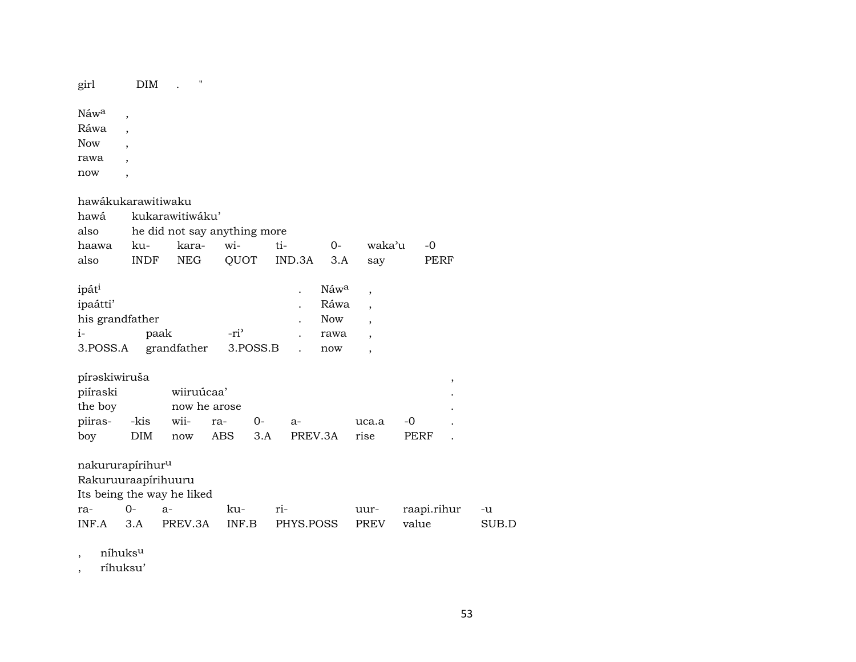girl DIM . "

 $\hbox{N\'{a}w^a} \quad ,$ Ráwa , Now , rawa ,

now ,

| hawákukarawitiwaku           |             |                              |     |          |     |           |                  |                |             |                          |       |
|------------------------------|-------------|------------------------------|-----|----------|-----|-----------|------------------|----------------|-------------|--------------------------|-------|
| hawá                         |             | kukarawitiwáku'              |     |          |     |           |                  |                |             |                          |       |
| also                         |             | he did not say anything more |     |          |     |           |                  |                |             |                          |       |
| haawa                        | ku-         | kara-                        | wi- |          | ti- |           | 0-               | waka'u         | $-0$        |                          |       |
| also                         | <b>INDF</b> | <b>NEG</b>                   |     | QUOT     |     | IND.3A    | 3.A              | say            |             | PERF                     |       |
| ipát <sup>i</sup>            |             |                              |     |          |     |           | Náw <sup>a</sup> | $\overline{ }$ |             |                          |       |
| ipaátti'                     |             |                              |     |          |     |           | Ráwa             | $\overline{ }$ |             |                          |       |
| his grandfather              |             |                              |     |          |     |           | Now              | $\overline{ }$ |             |                          |       |
| $i-$                         |             | paak                         |     | -ri'     |     |           | rawa             | $\overline{ }$ |             |                          |       |
| 3.POSS.A                     |             | grandfather                  |     | 3.POSS.B |     |           | now              | $\cdot$        |             |                          |       |
| pírəskiwiruša                |             |                              |     |          |     |           |                  |                |             | $\overline{\phantom{a}}$ |       |
| piíraski                     |             | wiiruúcaa'                   |     |          |     |           |                  |                |             |                          |       |
| the boy                      |             | now he arose                 |     |          |     |           |                  |                |             |                          |       |
| piiras- -kis                 |             | wii-                         | ra- | 0-       |     | $a-$      |                  | uca.a          | -0          |                          |       |
| boy                          | <b>DIM</b>  | now                          | ABS | 3.A      |     | PREV.3A   |                  | rise           | PERF        |                          |       |
| nakururapírihur <sup>u</sup> |             |                              |     |          |     |           |                  |                |             |                          |       |
| Rakuruuraapirihuuru          |             |                              |     |          |     |           |                  |                |             |                          |       |
|                              |             | Its being the way he liked   |     |          |     |           |                  |                |             |                          |       |
| ra-                          | $0-$        | $a-$                         | ku- |          | ri- |           |                  | uur-           | raapi.rihur |                          | -u    |
| INF.A                        | 3.A         | PREV.3A                      |     | INF.B    |     | PHYS.POSS |                  | <b>PREV</b>    | value       |                          | SUB.D |

, níhuks $^{\rm u}$ 

, ríhuksu'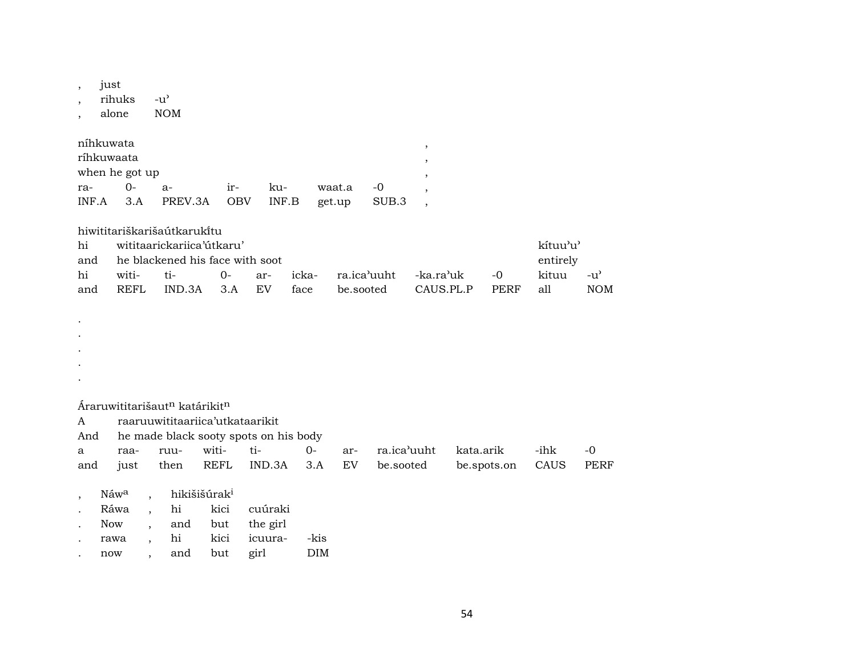just  $\overline{\phantom{a}}$ rihuks  $-u^{\prime}$ alone **NOM** níhkuwata  $\cdot$ ríhkuwaata when he got up  $O -0$ ra $a$ irkuwaat.a  $\overline{\phantom{a}}$  $\textsf{INF}.\textsf{B}$ INF.A  $3.A$ PREV.3A **OBV** SUB.3 get.up  $\ddot{\phantom{0}}$ hiwititariškarišaútkarukitu kítuu'u' wititaarickariica'útkaru' hi he blackened his face with soot entirely and -ka.ra'uk kituu hi wititi- $0$ arickara.ica'uuht  $-0$ face be.sooted CAUS.PL.P  $\mathop{\rm all}\nolimits$ REFL IND.3A  $3.A$  ${\rm EV}$ PERF and Áraruwititarišaut<sup>n</sup> katárikit<sup>n</sup>  $\mathbf{A}$ raaruuwititaariica'utkataarikit he made black sooty spots on his body And wititi- $O$ ra.ica'uuht kata.arik  $-ihk$  $\mathbf{a}$ raaruuarbe.sooted then **REFL** IND.3A  $3.A$ EV be.spots.on CAUS and just hikišišúrak<sup>i</sup> Náw<sup>a</sup>  $\overline{a}$ 

|        | Ráwa . | hi  |     | kici cuúraki         |            |
|--------|--------|-----|-----|----------------------|------------|
| $\sim$ | Now    |     |     | and but the girl     |            |
|        | rawa   |     |     | hi kici icuura- -kis |            |
|        | now    | and | but | girl                 | <b>DIM</b> |

 $-u^{\prime}$ 

 $-0$ 

**PERF** 

**NOM**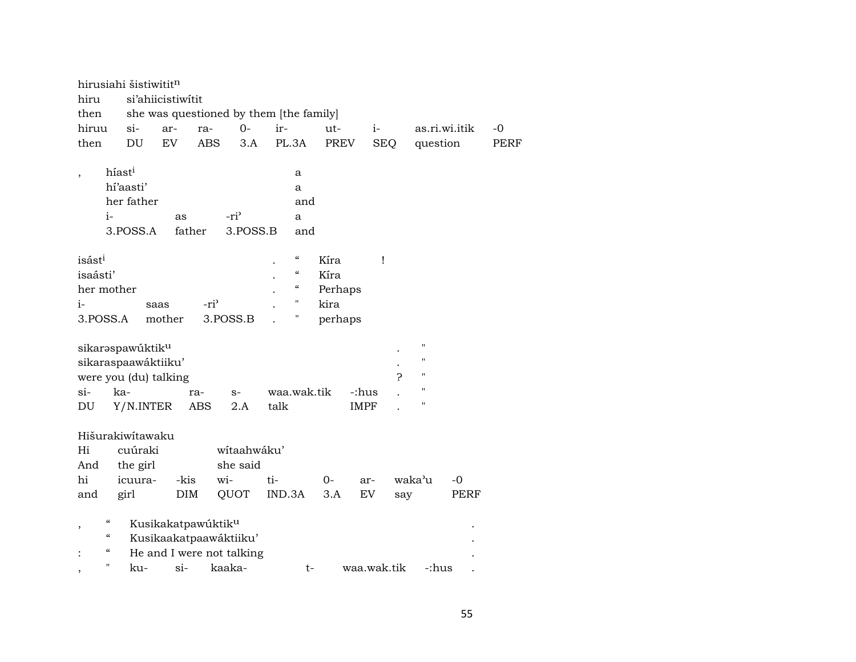|                                        | hirusiahi šistiwititn        |                                         |                  |                  |             |                            |         |             |            |     |                    |               |             |
|----------------------------------------|------------------------------|-----------------------------------------|------------------|------------------|-------------|----------------------------|---------|-------------|------------|-----|--------------------|---------------|-------------|
| hiru                                   |                              | si'ahiicistiwitit                       |                  |                  |             |                            |         |             |            |     |                    |               |             |
| then                                   |                              | she was questioned by them [the family] |                  |                  |             |                            |         |             |            |     |                    |               |             |
| hiruu                                  | $si$ -                       | ar-                                     | ra-              | $O -$            | ir-         |                            | ut-     |             | $i-$       |     |                    | as.ri.wi.itik | $-0$        |
| then                                   | DU                           | EV                                      | <b>ABS</b>       | 3.A              | PL.3A       |                            | PREV    |             | <b>SEQ</b> |     | question           |               | <b>PERF</b> |
|                                        | híast <sup>i</sup>           |                                         |                  |                  |             | a                          |         |             |            |     |                    |               |             |
|                                        | hí'aasti'                    |                                         |                  |                  |             | a                          |         |             |            |     |                    |               |             |
|                                        | her father                   |                                         |                  |                  |             | and                        |         |             |            |     |                    |               |             |
| $i-$                                   |                              | as                                      |                  | -ri <sup>3</sup> |             | a                          |         |             |            |     |                    |               |             |
|                                        | 3.POSS.A                     | father                                  |                  | 3.POSS.B         |             | and                        |         |             |            |     |                    |               |             |
| isást <sup>i</sup>                     |                              |                                         |                  |                  |             | $\boldsymbol{\mathcal{C}}$ | Kíra    |             | 1          |     |                    |               |             |
| isaásti'                               |                              |                                         |                  |                  |             | $\boldsymbol{\mathcal{C}}$ | Kíra    |             |            |     |                    |               |             |
| her mother                             |                              |                                         |                  |                  |             | $\epsilon\epsilon$         | Perhaps |             |            |     |                    |               |             |
| $i-$                                   |                              | saas                                    | -ri <sup>3</sup> |                  |             | $\pmb{\mathsf{H}}$         | kira    |             |            |     |                    |               |             |
| 3.POSS.A                               |                              | mother                                  |                  | 3.POSS.B         |             | Н                          | perhaps |             |            |     |                    |               |             |
|                                        |                              |                                         |                  |                  |             |                            |         |             |            |     |                    |               |             |
|                                        | sikaraspawúktik <sup>u</sup> |                                         |                  |                  |             |                            |         |             |            |     | п                  |               |             |
|                                        | sikaraspaawáktiiku'          |                                         |                  |                  |             |                            |         |             |            |     | "                  |               |             |
|                                        | were you (du) talking        |                                         |                  |                  |             |                            |         |             |            | ς   | $\pmb{\mathsf{H}}$ |               |             |
| si-                                    | ka-                          |                                         | ra-              | $S-$             | waa.wak.tik |                            |         | -:hus       |            |     | н                  |               |             |
| DU                                     | Y/N.INTER                    |                                         | <b>ABS</b>       | 2.A              | talk        |                            |         | <b>IMPF</b> |            |     | п                  |               |             |
|                                        |                              |                                         |                  |                  |             |                            |         |             |            |     |                    |               |             |
|                                        | Hišurakiwítawaku             |                                         |                  |                  |             |                            |         |             |            |     |                    |               |             |
| Hi                                     | cuúraki                      |                                         |                  | wítaahwáku'      |             |                            |         |             |            |     |                    |               |             |
| And                                    | the girl                     |                                         |                  | she said         |             |                            |         |             |            |     |                    |               |             |
| hi                                     | icuura-                      | -kis                                    | wi-              |                  | ti-         |                            | $0-$    | ar-         |            |     | waka'u             | $-0$          |             |
| and                                    | girl                         | DIM                                     |                  | QUOT             | IND.3A      |                            | 3.A     | EV          |            | say |                    | PERF          |             |
| $\boldsymbol{\zeta}\boldsymbol{\zeta}$ |                              | Kusikakatpawúktik <sup>u</sup>          |                  |                  |             |                            |         |             |            |     |                    |               |             |
| $\boldsymbol{\zeta}\boldsymbol{\zeta}$ |                              | Kusikaakatpaawáktiiku'                  |                  |                  |             |                            |         |             |            |     |                    |               |             |
| $\boldsymbol{\zeta}\boldsymbol{\zeta}$ |                              | He and I were not talking               |                  |                  |             |                            |         |             |            |     |                    |               |             |
| $\pmb{\mathsf{H}}$<br>,                | ku-                          | $si-$                                   |                  | kaaka-           |             | $t-$                       |         | waa.wak.tik |            |     | -:hus              |               |             |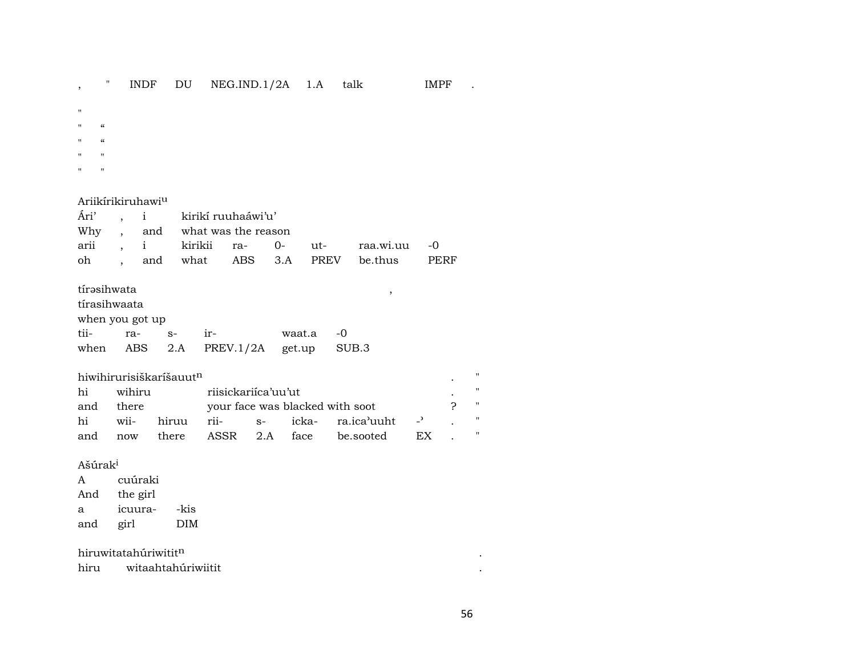INDF DU NEG.IND.1/2A 1.A talk IMPF .  $\theta$  $\overline{\phantom{a}}$ 

- $\boldsymbol{\mathsf{H}}$
- $\pmb{\mathcal{C}}$  $\mathbf{u}$
- $\boldsymbol{\mathcal{U}}$  $\mathbf{H}$
- $\boldsymbol{\mathsf{H}}$  $\mathbf{u}$
- $\mathbf{u}$  $\mathbf{u}$

#### Ariikírikiruhawi<sup>u</sup>

|  | Ári', i kirikí ruuhaáwi'u' |                              |  |  |                                          |  |  |  |  |  |
|--|----------------------------|------------------------------|--|--|------------------------------------------|--|--|--|--|--|
|  |                            | Why, and what was the reason |  |  |                                          |  |  |  |  |  |
|  |                            |                              |  |  | arii , i kirikii ra- 0- ut- raa.wi.uu -0 |  |  |  |  |  |
|  |                            |                              |  |  | oh , and what ABS 3.A PREV be.thus PERF  |  |  |  |  |  |

 $\,$ 

# tírəsihwata

| tírasihwaata |  |
|--------------|--|
|              |  |
|              |  |

| when you got up |  |  |                                     |           |  |  |  |  |  |  |  |
|-----------------|--|--|-------------------------------------|-----------|--|--|--|--|--|--|--|
| tii- ra- s-     |  |  |                                     | waat.a -0 |  |  |  |  |  |  |  |
|                 |  |  | when ABS 2.A PREV.1/2A get.up SUB.3 |           |  |  |  |  |  |  |  |

## hiwihirurisiškaríšauut<sup>n</sup>

| hi  | wihiru |            | riisickariica'uu'ut             |  |                                        |  |  |  |  |  |
|-----|--------|------------|---------------------------------|--|----------------------------------------|--|--|--|--|--|
| and | there  |            | your face was blacked with soot |  |                                        |  |  |  |  |  |
| hi  |        | wii- hiruu |                                 |  | rii- s- icka- ra.ica'uuht -'           |  |  |  |  |  |
| and |        |            |                                 |  | now there ASSR 2.A face be.sooted EX . |  |  |  |  |  |

### Ašúrak<sup>i</sup>

 $\mathbf{A}$ cuúraki And the girl icuura--kis  $\mathbf{a}$ and girl  $\rm{DIM}$ 

#### hiruwitatahúriwititn

| hiru | witaahtahúriwiitit |
|------|--------------------|
|------|--------------------|

 $\langle \cdot \rangle$  $\mathcal{L}$ 

 $\mathbb{R}^{n\times n}$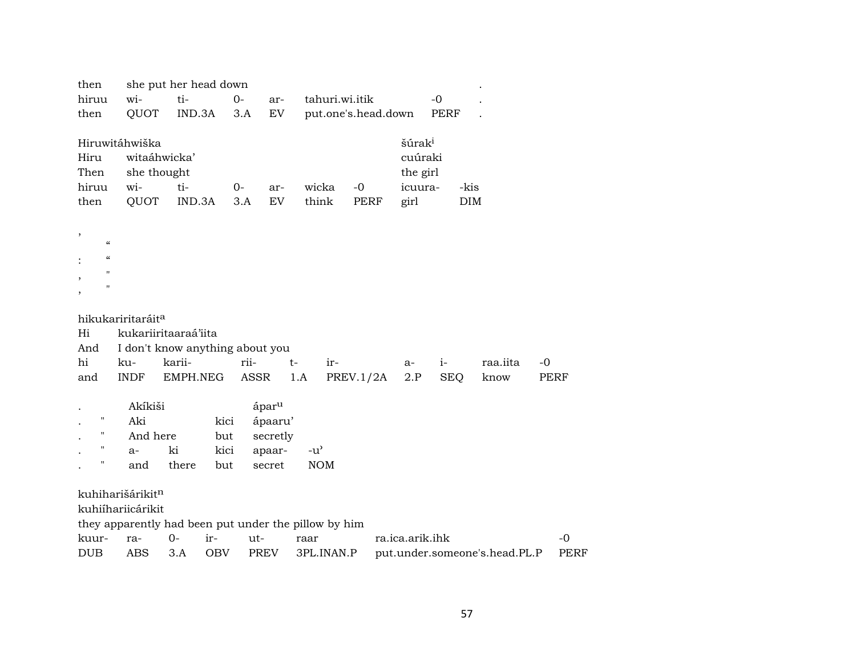| then                               | she put her head down                                |              |            |                   |      |                                     |                     |                    |            |                               |      |  |
|------------------------------------|------------------------------------------------------|--------------|------------|-------------------|------|-------------------------------------|---------------------|--------------------|------------|-------------------------------|------|--|
| hiruu                              | wi-                                                  | ti-          | $0-$       |                   | ar-  | tahuri.wi.itik                      |                     |                    | $-0$       |                               |      |  |
| then                               | QUOT                                                 | IND.3A       |            | 3.A               | EV   |                                     | put.one's.head.down |                    | PERF       |                               |      |  |
|                                    |                                                      |              |            |                   |      |                                     |                     |                    |            |                               |      |  |
|                                    | Hiruwitáhwiška                                       |              |            |                   |      |                                     |                     | šúrak <sup>i</sup> |            |                               |      |  |
| Hiru                               |                                                      | witaáhwicka' |            |                   |      |                                     |                     | cuúraki            |            |                               |      |  |
| Then                               | she thought                                          |              |            |                   |      |                                     |                     | the girl           |            |                               |      |  |
| hiruu                              | wi-                                                  | ti-          | $0-$       |                   | ar-  | wicka                               | $-0$                | icuura-            | -kis       |                               |      |  |
| then                               | QUOT                                                 | IND.3A       |            | 3.A               | EV   | think                               | <b>PERF</b>         | girl               | DIM        |                               |      |  |
|                                    |                                                      |              |            |                   |      |                                     |                     |                    |            |                               |      |  |
| $\,$<br>$\boldsymbol{\mathcal{C}}$ |                                                      |              |            |                   |      |                                     |                     |                    |            |                               |      |  |
| $\mathcal{C}$                      |                                                      |              |            |                   |      |                                     |                     |                    |            |                               |      |  |
| $\pmb{\mathsf{H}}$                 |                                                      |              |            |                   |      |                                     |                     |                    |            |                               |      |  |
| ,<br>11                            |                                                      |              |            |                   |      |                                     |                     |                    |            |                               |      |  |
| $\overline{\phantom{a}}$           |                                                      |              |            |                   |      |                                     |                     |                    |            |                               |      |  |
|                                    | hikukariritaráit <sup>a</sup>                        |              |            |                   |      |                                     |                     |                    |            |                               |      |  |
| Hi                                 | kukariiritaaraá'iita                                 |              |            |                   |      |                                     |                     |                    |            |                               |      |  |
| And                                | I don't know anything about you                      |              |            |                   |      |                                     |                     |                    |            |                               |      |  |
| hi                                 | ku-                                                  | karii-       |            | rii-              | $t-$ | ir-                                 |                     | a-                 | $i-$       | raa.iita                      | $-0$ |  |
| and                                | <b>INDF</b>                                          | EMPH.NEG     |            | ASSR              | 1.A  |                                     | PREV.1/2A           | 2.P                | <b>SEQ</b> | know                          | PERF |  |
|                                    |                                                      |              |            |                   |      |                                     |                     |                    |            |                               |      |  |
|                                    | Akíkiši                                              |              |            | ápar <sup>u</sup> |      |                                     |                     |                    |            |                               |      |  |
| п                                  | Aki                                                  |              | kici       | ápaaru'           |      |                                     |                     |                    |            |                               |      |  |
| $\pmb{\mathsf{H}}$                 | And here                                             |              | but        | secretly          |      |                                     |                     |                    |            |                               |      |  |
| $\pmb{\mathsf{H}}$                 | $a-$                                                 | ki           | kici       | apaar-            |      | $-u$ <sup><math>\prime</math></sup> |                     |                    |            |                               |      |  |
| н                                  | and                                                  | there        | but        | secret            |      | <b>NOM</b>                          |                     |                    |            |                               |      |  |
|                                    |                                                      |              |            |                   |      |                                     |                     |                    |            |                               |      |  |
|                                    | kuhiharišárikitn                                     |              |            |                   |      |                                     |                     |                    |            |                               |      |  |
|                                    | kuhiíhariicárikit                                    |              |            |                   |      |                                     |                     |                    |            |                               |      |  |
|                                    | they apparently had been put under the pillow by him |              |            |                   |      |                                     |                     |                    |            |                               |      |  |
| kuur-                              | ra-                                                  | $0-$         | ir-        | ut-               |      | raar                                |                     | ra.ica.arik.ihk    |            |                               | -0   |  |
| <b>DUB</b>                         | <b>ABS</b>                                           | 3.A          | <b>OBV</b> | PREV              |      | 3PL.INAN.P                          |                     |                    |            | put.under.someone's.head.PL.P | PERF |  |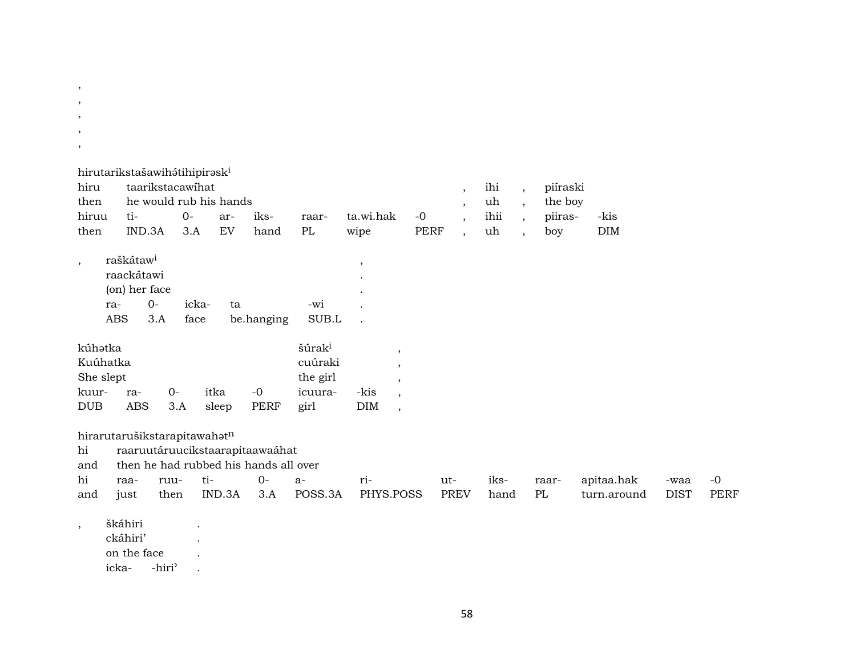| $\, ,$                                           |                                                                     |                                 |                                                                                           |                     |                                                              |                   |                                                                                       |                     |                                                |                         |                                                                                                |                                       |                           |                     |                     |
|--------------------------------------------------|---------------------------------------------------------------------|---------------------------------|-------------------------------------------------------------------------------------------|---------------------|--------------------------------------------------------------|-------------------|---------------------------------------------------------------------------------------|---------------------|------------------------------------------------|-------------------------|------------------------------------------------------------------------------------------------|---------------------------------------|---------------------------|---------------------|---------------------|
| $\overline{\phantom{a}}$                         |                                                                     |                                 |                                                                                           |                     |                                                              |                   |                                                                                       |                     |                                                |                         |                                                                                                |                                       |                           |                     |                     |
| $\cdot$                                          |                                                                     |                                 |                                                                                           |                     |                                                              |                   |                                                                                       |                     |                                                |                         |                                                                                                |                                       |                           |                     |                     |
| $\,$                                             |                                                                     |                                 |                                                                                           |                     |                                                              |                   |                                                                                       |                     |                                                |                         |                                                                                                |                                       |                           |                     |                     |
| hiru<br>then<br>hiruu<br>then                    | hirutarikstašawihátihipirask <sup>i</sup><br>ti-<br>IND.3A          | taarikstacawihat<br>$0-$<br>3.A | he would rub his hands<br>ar-<br>EV                                                       | iks-<br>hand        | raar-<br>PL                                                  | ta.wi.hak<br>wipe |                                                                                       | $-0$<br><b>PERF</b> | $\overline{\phantom{a}}$<br>$\cdot$<br>$\cdot$ | ihi<br>uh<br>ihii<br>uh | $\overline{\phantom{a}}$<br>$\overline{ }$<br>$\overline{\phantom{a}}$<br>$\ddot{\phantom{0}}$ | piíraski<br>the boy<br>piiras-<br>boy | -kis<br>DIM               |                     |                     |
| $\cdot$<br>ra-<br><b>ABS</b>                     | raškátaw <sup>i</sup><br>raackátawi<br>(on) her face<br>$0-$<br>3.A | icka-<br>face                   | ta                                                                                        | be.hanging          | -wi<br>SUB.L                                                 | $\cdot$           |                                                                                       |                     |                                                |                         |                                                                                                |                                       |                           |                     |                     |
| kúhatka<br>Kuúhatka<br>She slept<br>kuur-<br>DUB | ra-<br><b>ABS</b>                                                   | $0-$<br>3.A                     | itka<br>sleep                                                                             | $-0$<br><b>PERF</b> | šúrak <sup>i</sup><br>cuúraki<br>the girl<br>icuura-<br>girl | -kis<br>DIM       | $\cdot$<br>$\overline{\phantom{a}}$<br>$\cdot$<br>$\cdot$<br>$\overline{\phantom{a}}$ |                     |                                                |                         |                                                                                                |                                       |                           |                     |                     |
| hi<br>and<br>hi<br>and                           | hirarutarušikstarapitawahatn<br>raa-<br>just                        | ruu-<br>then                    | raaruutáruucikstaarapitaawaáhat<br>then he had rubbed his hands all over<br>ti-<br>IND.3A | $0-$<br>3.A         | $a-$<br>POSS.3A                                              | ri-<br>PHYS.POSS  |                                                                                       | ut-                 | <b>PREV</b>                                    | iks-<br>hand            |                                                                                                | raar-<br>PL                           | apitaa.hak<br>turn.around | -waa<br><b>DIST</b> | $-0$<br><b>PERF</b> |
| $\cdot$                                          | škáhiri<br>ckáhiri'<br>on the face<br>icka-                         | -hiri'                          |                                                                                           |                     |                                                              |                   |                                                                                       |                     |                                                |                         |                                                                                                |                                       |                           |                     |                     |

,

58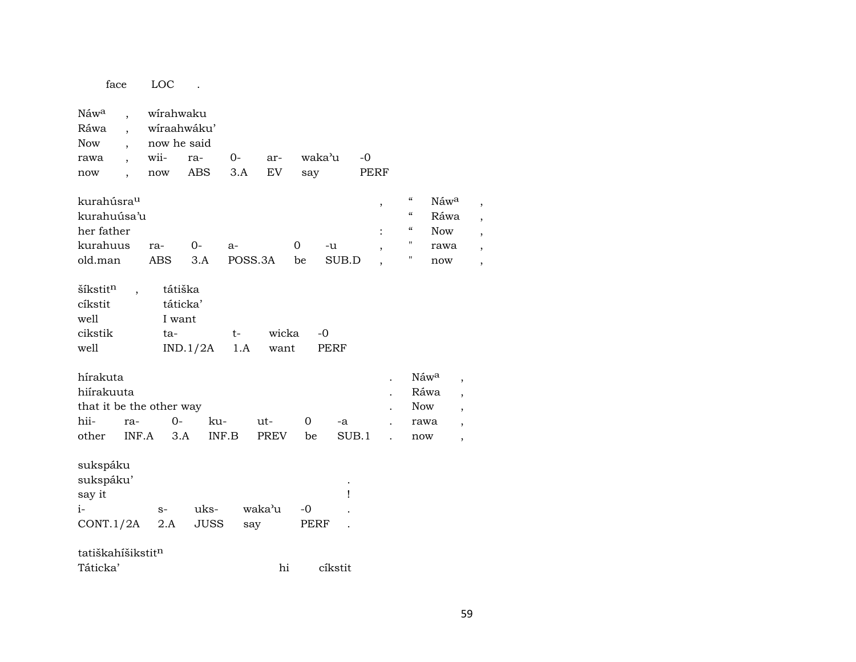| face                                                                              |                | LOC                                                    |                     |                 |                    |                   |                     |              |                          |                                                                                 |                                           |                                                                                  |
|-----------------------------------------------------------------------------------|----------------|--------------------------------------------------------|---------------------|-----------------|--------------------|-------------------|---------------------|--------------|--------------------------|---------------------------------------------------------------------------------|-------------------------------------------|----------------------------------------------------------------------------------|
| Náw <sup>a</sup><br>Ráwa<br><b>Now</b><br>rawa<br>now<br>$\overline{\phantom{a}}$ |                | wirahwaku<br>wíraahwáku'<br>now he said<br>wii-<br>now | ra-<br><b>ABS</b>   | $0-$<br>3.A     | ar-<br>EV          | say               | waka'u              | $-0$<br>PERF |                          |                                                                                 |                                           |                                                                                  |
| kurahúsra <sup>u</sup><br>kurahuúsa'u<br>her father<br>kurahuus<br>old.man        |                | ra-<br>ABS                                             | $0-$<br>3.A         | $a-$<br>POSS.3A |                    | 0<br>be           | -u<br>SUB.D         |              | $\, ,$<br>$\ddot{\cdot}$ | $\mathcal{C}\mathcal{C}$<br>$\mathcal{C}\mathcal{C}$<br>$\mathcal{C}$<br>п<br>п | Náwa<br>Ráwa<br><b>Now</b><br>rawa<br>now | ,                                                                                |
| šíkstitn<br>cíkstit<br>well<br>cikstik<br>well                                    | $\overline{ }$ | tátiška<br>táticka'<br>I want<br>ta-                   | IND.1/2A            | t-<br>1.A       | wicka<br>want      |                   | $-0$<br><b>PERF</b> |              |                          |                                                                                 |                                           |                                                                                  |
| hírakuta<br>hiírakuuta<br>that it be the other way<br>hii-<br>other               | ra-<br>INF.A   | $O -$<br>3.A                                           | ku-<br>INF.B        |                 | ut-<br><b>PREV</b> | 0<br>be           | -a                  | SUB.1        |                          | <b>Now</b><br>rawa<br>now                                                       | Náwa<br>Ráwa                              | $\overline{\phantom{a}}$<br>,<br>,<br>$\overline{ }$<br>$\overline{\phantom{a}}$ |
| sukspáku<br>sukspáku'<br>say it<br>i-<br>CONT.1/2A                                |                | $S-$<br>2.A                                            | uks-<br><b>JUSS</b> | say             | waka'u             | -0<br><b>PERF</b> | Ţ                   |              |                          |                                                                                 |                                           |                                                                                  |
| tatiškahíšikstit <sup>n</sup><br>Táticka'                                         |                |                                                        |                     |                 | hi                 |                   | cíkstit             |              |                          |                                                                                 |                                           |                                                                                  |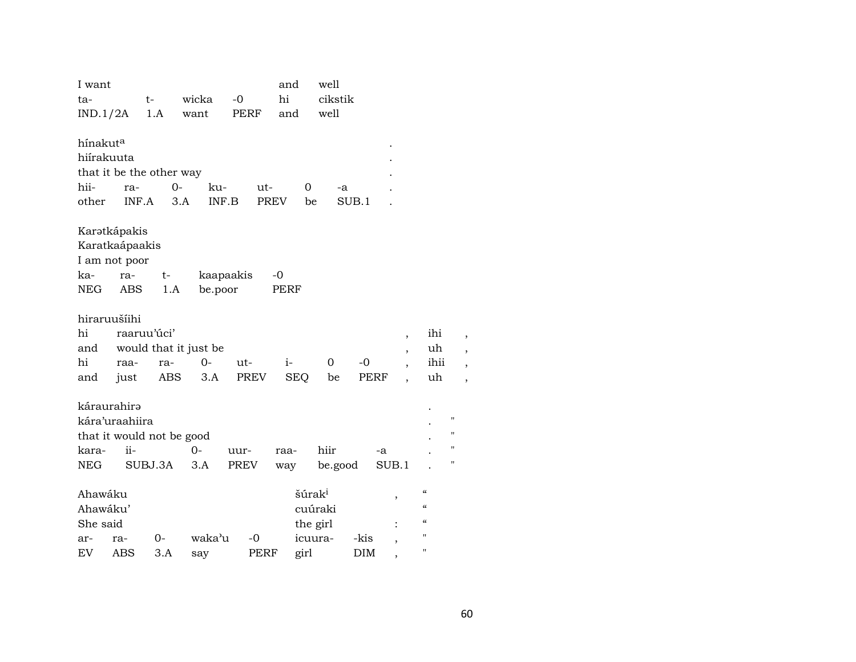| I want<br>ta-                              |                                                               | t-                                   | wicka                                | $-0$         | and<br>hi                                 | well<br>cikstik |              |                                                                                   |                                                                                                |                                   |
|--------------------------------------------|---------------------------------------------------------------|--------------------------------------|--------------------------------------|--------------|-------------------------------------------|-----------------|--------------|-----------------------------------------------------------------------------------|------------------------------------------------------------------------------------------------|-----------------------------------|
| IND.1/2A                                   |                                                               | 1.A                                  | want                                 | PERF         | and                                       | well            |              |                                                                                   |                                                                                                |                                   |
| hínakut <sup>a</sup><br>hiírakuuta<br>hii- | ra-                                                           | that it be the other way<br>$0-$     | ku-                                  | ut-          | $\overline{0}$                            | -a              |              |                                                                                   |                                                                                                |                                   |
| other                                      | INF.A                                                         | 3.A                                  | INF.B                                | <b>PREV</b>  | be                                        |                 | SUB.1        |                                                                                   |                                                                                                |                                   |
| ka-<br>NEG                                 | Karətkápakis<br>Karatkaápaakis<br>I am not poor<br>ra-<br>ABS | t-<br>1.A                            | be.poor                              | kaapaakis    | -0<br><b>PERF</b>                         |                 |              |                                                                                   |                                                                                                |                                   |
| hi<br>and<br>hi<br>and                     | hiraruušíihi<br>raa-<br>just                                  | raaruu'úci'<br>ra-<br><b>ABS</b>     | would that it just be<br>$0-$<br>3.A | ut-<br>PREV  | $i-$<br><b>SEQ</b>                        | 0<br>be         | $-0$<br>PERF | ,<br>$\overline{\phantom{a}}$<br>$\overline{\phantom{a}}$<br>$\ddot{\phantom{0}}$ | ihi<br>uh<br>ihii<br>uh                                                                        | ,<br>$\overline{\phantom{a}}$     |
| kara-<br>NEG                               | káraurahirə<br>kára'uraahiira<br>$ii -$                       | that it would not be good<br>SUBJ.3A | 0-<br>3.A                            | uur-<br>PREV | raa-<br>way                               | hiir<br>be.good | -a           | SUB.1                                                                             |                                                                                                | п<br>п<br>$\pmb{\mathsf{H}}$<br>п |
| Ahawáku<br>Ahawáku'<br>She said            |                                                               |                                      |                                      |              | šúrak <sup>i</sup><br>cuúraki<br>the girl |                 |              | ,                                                                                 | $\boldsymbol{\zeta}\boldsymbol{\zeta}$<br>$\pmb{\zeta}\pmb{\zeta}$<br>$\pmb{\zeta}\pmb{\zeta}$ |                                   |
| ar-<br>EV                                  | ra-<br>ABS                                                    | 0-<br>3.A                            | waka'u<br>say                        | $-0$<br>PERF | icuura-<br>girl                           |                 | -kis<br>DIM  | ,                                                                                 | $\pmb{\mathsf{H}}$<br>$\pmb{\mathsf{H}}$                                                       |                                   |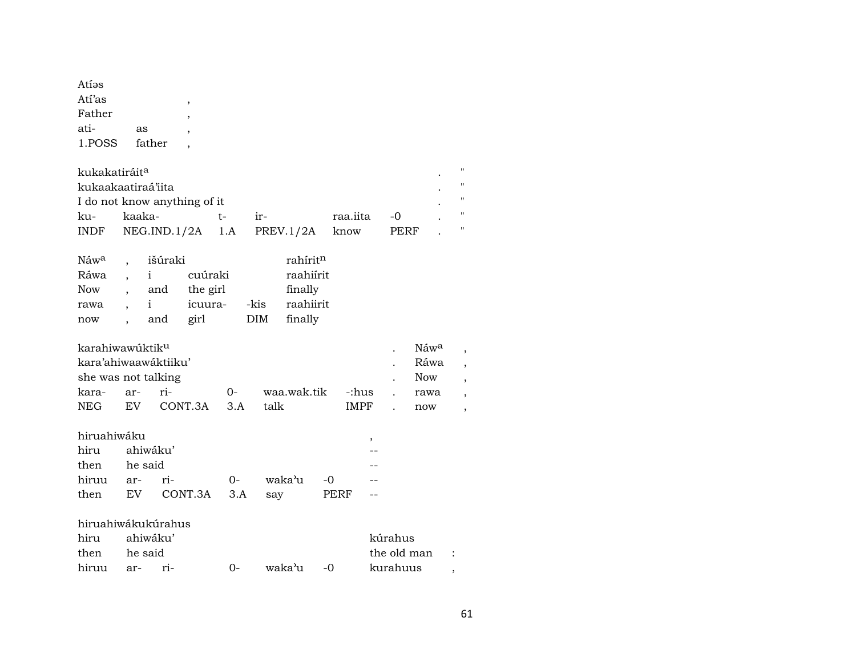| Atíəs<br>Atí'as<br>Father<br>ati-<br>1.POSS    | as                         | father                | $\overline{\phantom{a}}$               |     |                    |                                                          |    |             |             |                     |             |                  |   |                    |
|------------------------------------------------|----------------------------|-----------------------|----------------------------------------|-----|--------------------|----------------------------------------------------------|----|-------------|-------------|---------------------|-------------|------------------|---|--------------------|
| kukakatiráit <sup>a</sup>                      |                            |                       |                                        |     |                    |                                                          |    |             |             |                     |             |                  |   | $\pmb{\mathsf{H}}$ |
| kukaakaatiraá'iita                             |                            |                       |                                        |     |                    |                                                          |    |             |             |                     |             |                  |   | $^{\prime}$        |
| I do not know anything of it                   |                            |                       |                                        |     |                    |                                                          |    |             |             |                     |             |                  |   | $^{\prime\prime}$  |
| ku-                                            | kaaka-                     |                       |                                        | t-  | $ir-$              |                                                          |    | raa.iita    |             |                     | $-0$        |                  |   | $^{\prime\prime}$  |
| <b>INDF</b>                                    |                            | NEG.IND.1/2A          |                                        | 1.A |                    | PREV.1/2A                                                |    | know        |             |                     | <b>PERF</b> |                  |   | $^{\prime}$        |
| Náw <sup>a</sup><br>Ráwa<br>Now<br>rawa<br>now | i<br>$\mathbf{i}$          | išúraki<br>and<br>and | cuúraki<br>the girl<br>icuura-<br>girl |     | -kis<br><b>DIM</b> | rahíritn<br>raahiírit<br>finally<br>raahiirit<br>finally |    |             |             |                     |             |                  |   |                    |
| karahiwawúktik <sup>u</sup>                    |                            |                       |                                        |     |                    |                                                          |    |             |             |                     |             | Náw <sup>a</sup> |   |                    |
| kara'ahiwaawáktiiku'                           |                            |                       |                                        |     |                    |                                                          |    |             |             |                     |             | Ráwa             |   | $\overline{ }$     |
| she was not talking                            |                            |                       |                                        |     |                    |                                                          |    |             |             |                     |             | <b>Now</b>       |   |                    |
| kara-                                          | ar-                        | ri-                   |                                        | 0-  |                    | waa.wak.tik                                              |    |             | -:hus       |                     |             | rawa             |   |                    |
| <b>NEG</b>                                     | EV <sub></sub>             |                       | CONT.3A                                | 3.A | talk               |                                                          |    |             | <b>IMPF</b> |                     |             | now              |   |                    |
| hiruahiwáku<br>hiru<br>then                    | ahiwáku'<br>he said        |                       |                                        |     |                    |                                                          |    |             | ,           |                     |             |                  |   |                    |
| hiruu                                          | ar-                        | ri-                   |                                        | 0-  |                    | waka'u                                                   | -0 |             |             |                     |             |                  |   |                    |
| then                                           | EV                         |                       | CONT.3A                                | 3.A | say                |                                                          |    | <b>PERF</b> |             |                     |             |                  |   |                    |
| hiruahiwákukúrahus<br>hiru<br>then<br>hiruu    | ahiwáku'<br>he said<br>ar- | ri-                   |                                        | 0-  |                    | waka'u                                                   | -0 |             |             | kúrahus<br>kurahuus |             | the old man      | , |                    |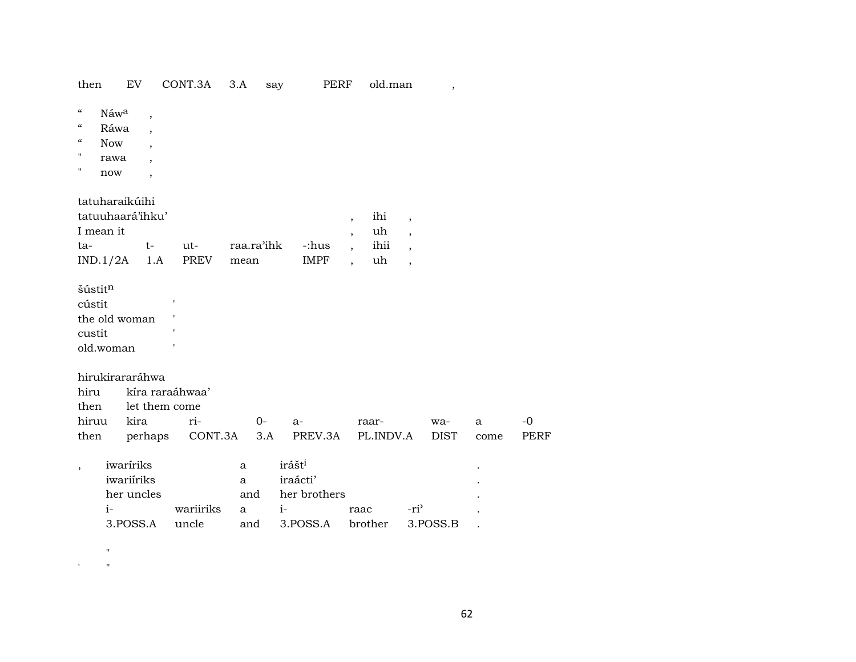| then                                                                                          |                                           | EV                                                                     | CONT.3A            | 3.A         | say         |      | PERF                                                       |                                                                              | old.man                 |                                                                                       | $\overline{ }$     |           |                     |
|-----------------------------------------------------------------------------------------------|-------------------------------------------|------------------------------------------------------------------------|--------------------|-------------|-------------|------|------------------------------------------------------------|------------------------------------------------------------------------------|-------------------------|---------------------------------------------------------------------------------------|--------------------|-----------|---------------------|
| $\boldsymbol{\zeta}\boldsymbol{\zeta}$<br>$\mathcal{C}\mathcal{C}$<br>$\mathcal{C}$<br>п<br>Ħ | Náwa<br>Ráwa<br><b>Now</b><br>rawa<br>now | $\overline{\phantom{a}}$                                               |                    |             |             |      |                                                            |                                                                              |                         |                                                                                       |                    |           |                     |
| I mean it<br>ta-<br>IND.1/2A                                                                  |                                           | tatuharaikúihi<br>tatuuhaará'ihku'<br>$t-$<br>1.A                      | ut-<br>PREV        | mean        | raa.ra'ihk  |      | -:hus<br><b>IMPF</b>                                       | $\overline{\phantom{a}}$<br>$\overline{\phantom{a}}$<br>$\ddot{\phantom{0}}$ | ihi<br>uh<br>ihii<br>uh | $\overline{\phantom{a}}$<br>,<br>$\overline{\phantom{a}}$<br>$\overline{\phantom{a}}$ |                    |           |                     |
| šústitn<br>cústit<br>custit<br>old.woman                                                      |                                           | the old woman                                                          |                    |             |             |      |                                                            |                                                                              |                         |                                                                                       |                    |           |                     |
| hiru<br>then<br>hiruu<br>then                                                                 |                                           | hirukirararáhwa<br>kíra raraáhwaa'<br>let them come<br>kira<br>perhaps | ri-<br>CONT.3A     |             | $0-$<br>3.A |      | $a-$<br>PREV.3A                                            |                                                                              | raar-<br>PL.INDV.A      |                                                                                       | wa-<br><b>DIST</b> | a<br>come | $-0$<br><b>PERF</b> |
| $\overline{\phantom{a}}$                                                                      | $i-$                                      | iwaríriks<br>iwariiriks<br>her uncles<br>3.POSS.A                      | wariiriks<br>uncle | a<br>a<br>a | and<br>and  | $i-$ | irášt <sup>i</sup><br>iraácti'<br>her brothers<br>3.POSS.A |                                                                              | raac<br>brother         | $-ri'$                                                                                | 3.POSS.B           |           |                     |

 $\mathbf{u} = \mathbf{u}$  , and  $\mathbf{u} = \mathbf{u}$ 

 $\alpha$  ,  $\alpha$  ,  $\alpha$  ,  $\alpha$  ,  $\alpha$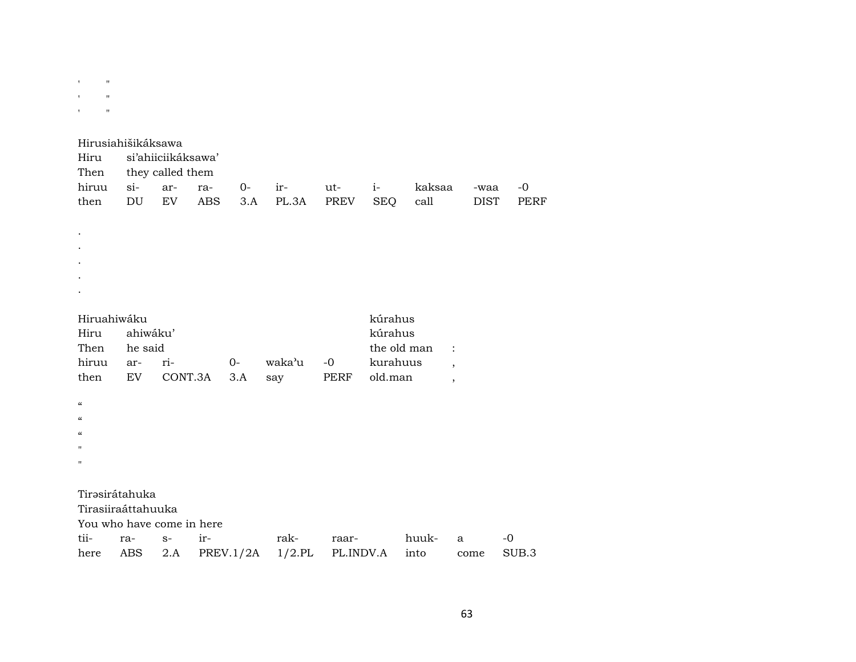' "

|  | Hiru si'ahiiciikáksawa' |  |  |  |  |  |                                                  |  |  |  |  |
|--|-------------------------|--|--|--|--|--|--------------------------------------------------|--|--|--|--|
|  | Then they called them   |  |  |  |  |  |                                                  |  |  |  |  |
|  |                         |  |  |  |  |  | hiruu si- ar- ra- 0- ir- ut- i- kaksaa -waa -0   |  |  |  |  |
|  |                         |  |  |  |  |  | then DU EV ABS 3.A PL.3A PREV SEO call DIST PERF |  |  |  |  |

- .
- .
- .
- .
- .

| Hiruahiwáku |  |  |
|-------------|--|--|
|             |  |  |

| Hiruahiwáku   |  | kúrahus                              |  |               |                    |         |
|---------------|--|--------------------------------------|--|---------------|--------------------|---------|
| Hiru ahiwáku' |  |                                      |  | kúrahus       |                    |         |
| Then he said  |  |                                      |  | the old man : |                    |         |
| hiruu ar- ri- |  | $O-$                                 |  |               | waka'u -0 kurahuus |         |
|               |  | then EV CONT.3A 3.A say PERF old.man |  |               |                    | $\cdot$ |
|               |  |                                      |  |               |                    |         |
| $\epsilon$    |  |                                      |  |               |                    |         |

- $\alpha$
- $\alpha$
- $\bar{\mathbf{u}}$
- $^{\prime\prime}$

## Tirəsirátahuka

Tirasiiraáttahuuka

You who have come in here

|  | here ABS 2.A PREV.1/2A 1/2.PL PL.INDV.A into come SUB.3 |  |  |  |
|--|---------------------------------------------------------|--|--|--|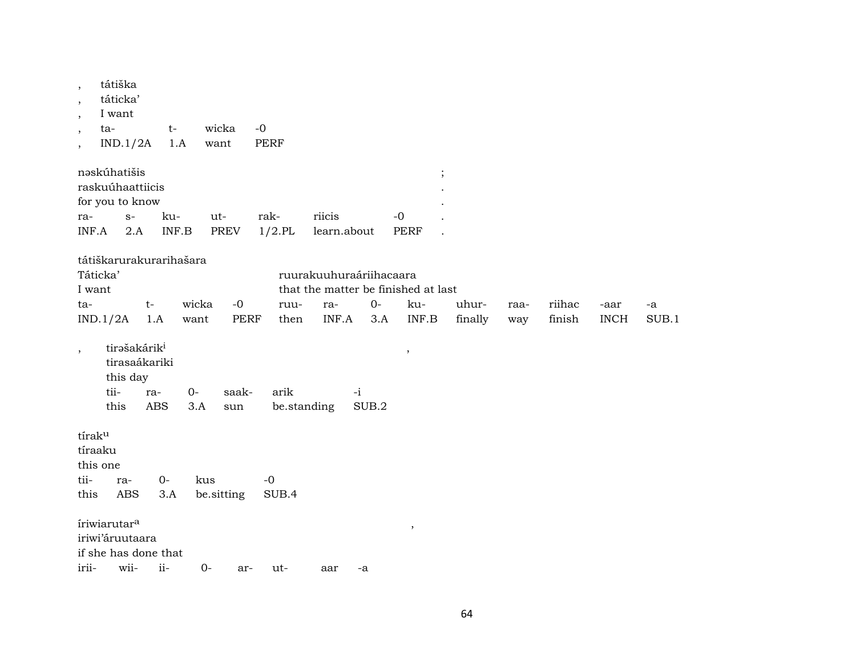| $\, ,$<br>$\cdot$<br>$\overline{\phantom{a}}$<br>ta-<br>$\overline{ }$<br>$\cdot$ | tátiška<br>táticka'<br>I want<br>IND.1/2A                                    | $t-$<br>1.A                                         | wicka<br>want | $-0$<br><b>PERF</b> |                                            |               |                           |         |      |        |             |       |
|-----------------------------------------------------------------------------------|------------------------------------------------------------------------------|-----------------------------------------------------|---------------|---------------------|--------------------------------------------|---------------|---------------------------|---------|------|--------|-------------|-------|
|                                                                                   | nəskúhatišis<br>raskuúhaattiicis<br>for you to know                          |                                                     |               |                     |                                            |               | $\vdots$                  |         |      |        |             |       |
| ra-                                                                               | $S-$                                                                         | ku-                                                 | ut-           | rak-                | riicis                                     |               | $-0$                      |         |      |        |             |       |
| INF.A                                                                             | 2.A                                                                          | $\ensuremath{\mathsf{INF}}.\ensuremath{\mathsf{B}}$ | PREV          | $1/2$ .PL           | learn.about                                |               | <b>PERF</b>               |         |      |        |             |       |
| Táticka'                                                                          | tátiškarurakurarihašara                                                      |                                                     |               |                     | ruurakuuhuraáriihacaara                    |               |                           |         |      |        |             |       |
| I want<br>ta-                                                                     | $t-$                                                                         |                                                     | wicka<br>$-0$ | ruu-                | that the matter be finished at last<br>ra- | $O -$         | ku-                       | uhur-   | raa- | riihac | -aar        | -a    |
| IND.1/2A                                                                          | 1.A                                                                          | want                                                | <b>PERF</b>   | then                | INF.A                                      | 3.A           | $\textsf{INF}.\textsf{B}$ | finally | way  | finish | <b>INCH</b> | SUB.1 |
| $\cdot$                                                                           | tirašakárik <sup>i</sup><br>tirasaákariki<br>this day<br>tii-<br>ra-<br>this | $O -$<br><b>ABS</b><br>3.A                          | saak-<br>sun  | arik<br>be.standing |                                            | $-i$<br>SUB.2 | $\, ,$                    |         |      |        |             |       |
| tíraku<br>tíraaku<br>this one                                                     |                                                                              |                                                     |               |                     |                                            |               |                           |         |      |        |             |       |
| tii-                                                                              | ra-                                                                          | $0-$                                                | kus           | $-0$                |                                            |               |                           |         |      |        |             |       |
| this                                                                              | <b>ABS</b>                                                                   | 3.A                                                 | be.sitting    | SUB.4               |                                            |               |                           |         |      |        |             |       |
|                                                                                   | íriwiarutar <sup>a</sup><br>iriwi'áruutaara<br>if she has done that          |                                                     |               |                     |                                            |               | $\, ,$                    |         |      |        |             |       |
| irii-                                                                             | wii-                                                                         | ii-                                                 | $0-$<br>ar-   | ut-                 | aar                                        | -a            |                           |         |      |        |             |       |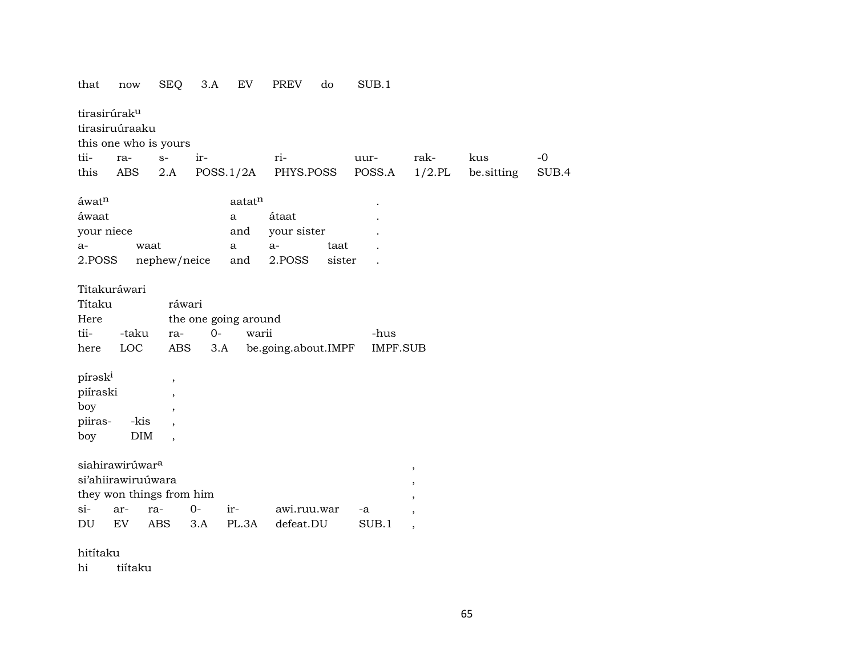| that                           | now                                                                                        | <b>SEQ</b>               | 3.A         | EV                            | <b>PREV</b>              | do     | SUB.1            |                                                         |            |       |
|--------------------------------|--------------------------------------------------------------------------------------------|--------------------------|-------------|-------------------------------|--------------------------|--------|------------------|---------------------------------------------------------|------------|-------|
| tirasirúrak <sup>u</sup>       |                                                                                            |                          |             |                               |                          |        |                  |                                                         |            |       |
|                                | tirasiruúraaku                                                                             |                          |             |                               |                          |        |                  |                                                         |            |       |
|                                | this one who is yours                                                                      |                          |             |                               |                          |        |                  |                                                         |            |       |
| tii-                           | ra-                                                                                        | $S-$                     | ir-         |                               | ri-                      |        | uur-             | rak-                                                    | kus        | $-0$  |
| this                           | <b>ABS</b>                                                                                 | 2.A                      |             | POSS.1/2A                     | PHYS.POSS                |        | POSS.A           | $1/2$ .PL                                               | be.sitting | SUB.4 |
| áwat <sup>n</sup>              |                                                                                            |                          |             | aatatn                        |                          |        |                  |                                                         |            |       |
| áwaat                          |                                                                                            |                          |             | $\mathbf{a}$                  | átaat                    |        |                  |                                                         |            |       |
| your niece                     |                                                                                            |                          |             | and                           | your sister              |        |                  |                                                         |            |       |
| $a-$                           | waat                                                                                       |                          |             | a                             | a-                       | taat   |                  |                                                         |            |       |
| 2.POSS                         |                                                                                            | nephew/neice             |             | and                           | 2.POSS                   | sister |                  |                                                         |            |       |
| Títaku<br>Here<br>tii-<br>here | Titakuráwari<br>-taku<br>LOC                                                               | ráwari<br>ra-<br>ABS     | $0-$<br>3.A | the one going around<br>warii | be.going.about.IMPF      |        | -hus<br>IMPF.SUB |                                                         |            |       |
| pírask <sup>i</sup>            |                                                                                            | $\overline{\phantom{a}}$ |             |                               |                          |        |                  |                                                         |            |       |
| piíraski                       |                                                                                            | $\overline{\phantom{a}}$ |             |                               |                          |        |                  |                                                         |            |       |
| boy                            |                                                                                            | $\overline{\phantom{a}}$ |             |                               |                          |        |                  |                                                         |            |       |
| piiras-                        | -kis                                                                                       |                          |             |                               |                          |        |                  |                                                         |            |       |
| boy                            | <b>DIM</b>                                                                                 |                          |             |                               |                          |        |                  |                                                         |            |       |
| $si-$<br>DU                    | siahirawirúwar <sup>a</sup><br>si'ahiirawiruúwara<br>they won things from him<br>ar-<br>EV | ra-<br><b>ABS</b>        | $0-$<br>3.A | ir-<br>PL.3A                  | awi.ruu.war<br>defeat.DU |        | -a<br>SUB.1      | $\, ,$<br>$\, ,$<br>$\cdot$<br>$\overline{\phantom{a}}$ |            |       |

hitítaku

hi tiítaku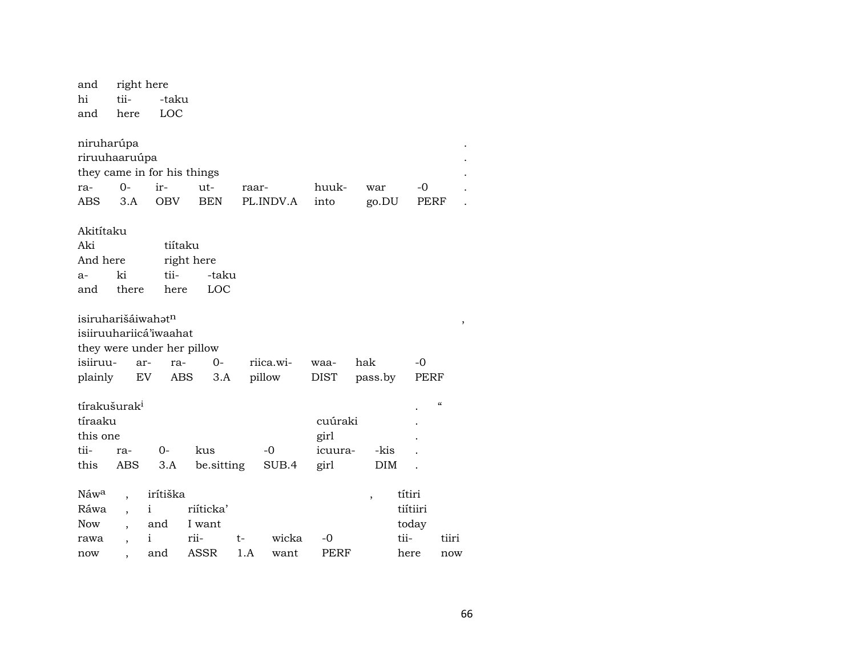| and              | right here               |                             |            |       |           |             |                          |          |                            |
|------------------|--------------------------|-----------------------------|------------|-------|-----------|-------------|--------------------------|----------|----------------------------|
| hi               | tii-                     | -taku                       |            |       |           |             |                          |          |                            |
| and              | here                     | LOC                         |            |       |           |             |                          |          |                            |
|                  |                          |                             |            |       |           |             |                          |          |                            |
|                  | niruharúpa               |                             |            |       |           |             |                          |          |                            |
|                  | riruuhaaruúpa            |                             |            |       |           |             |                          |          |                            |
|                  |                          | they came in for his things |            |       |           |             |                          |          |                            |
| ra-              | $O -$                    | ir-                         | $ut-$      | raar- |           | huuk-       | war                      | -0       |                            |
| <b>ABS</b>       | 3.A                      | <b>OBV</b>                  | <b>BEN</b> |       | PL.INDV.A | into        | go.DU                    | PERF     |                            |
| Akitítaku        |                          |                             |            |       |           |             |                          |          |                            |
| Aki              |                          | tiítaku                     |            |       |           |             |                          |          |                            |
| And here         |                          |                             | right here |       |           |             |                          |          |                            |
| $a-$             | ki                       | tii-                        | -taku      |       |           |             |                          |          |                            |
| and              | there                    | here                        | LOC        |       |           |             |                          |          |                            |
|                  |                          |                             |            |       |           |             |                          |          |                            |
|                  | isiruharišáiwahatn       |                             |            |       |           |             |                          |          |                            |
|                  |                          | isiiruuhariicá'iwaahat      |            |       |           |             |                          |          |                            |
|                  |                          | they were under her pillow  |            |       |           |             |                          |          |                            |
| isiiruu-         | ar-                      | ra-                         | 0-         |       | riica.wi- | waa-        | hak                      | $-0$     |                            |
| plainly          | EV                       | ABS                         | 3.A        |       | pillow    | <b>DIST</b> | pass.by                  | PERF     |                            |
|                  | tírakušurak <sup>i</sup> |                             |            |       |           |             |                          |          | $\boldsymbol{\mathcal{C}}$ |
| tíraaku          |                          |                             |            |       |           | cuúraki     |                          |          |                            |
| this one         |                          |                             |            |       |           | girl        |                          |          |                            |
| tii-             | ra-                      | $O -$                       | kus        |       | $-0$      | icuura-     | -kis                     |          |                            |
| this             | ABS                      | 3.A                         | be.sitting |       | SUB.4     | girl        | DIM                      |          |                            |
| Náw <sup>a</sup> |                          | irítiška                    |            |       |           |             |                          | títiri   |                            |
| Ráwa             |                          | i                           | riíticka'  |       |           |             | $\overline{\phantom{a}}$ | tiítiiri |                            |
| Now              |                          | and                         | I want     |       |           |             |                          | today    |                            |
| rawa             | $\overline{\phantom{a}}$ | i                           | rii-       | t-    | wicka     | $-0$        |                          | tii-     | tiiri                      |
| now              |                          | and                         | ASSR       | 1.A   | want      | PERF        |                          | here     | now                        |
|                  |                          |                             |            |       |           |             |                          |          |                            |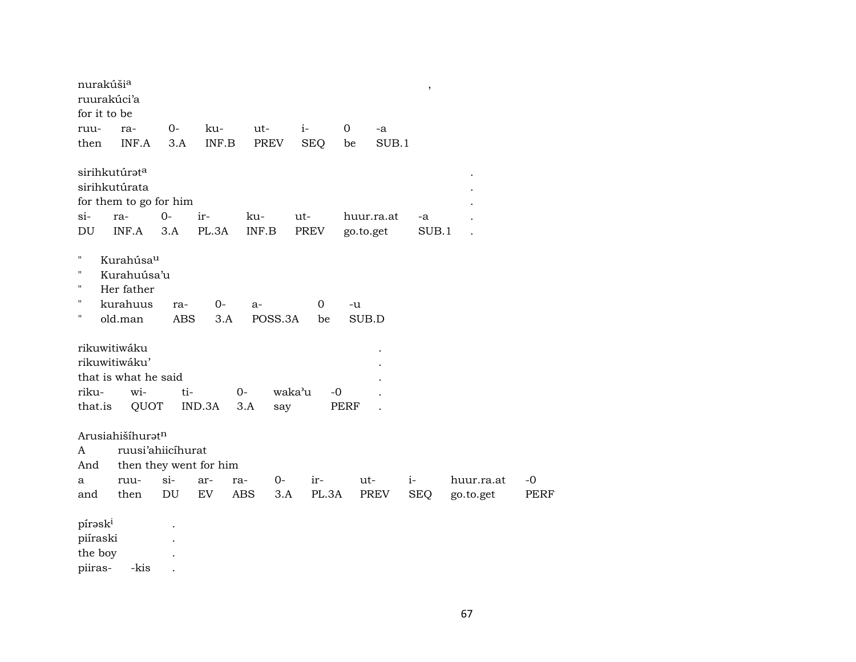| nurakúšia<br>ruurakúci'a<br>for it to be  |                                                                          |             |                        |                     |                   |                |            | $\, ,$      |            |             |
|-------------------------------------------|--------------------------------------------------------------------------|-------------|------------------------|---------------------|-------------------|----------------|------------|-------------|------------|-------------|
| ruu-                                      | ra-                                                                      | $0-$        | ku-                    | ut-                 | $i-$              | $\overline{0}$ | -a         |             |            |             |
| then                                      | INF.A                                                                    | 3.A         | INF.B                  | <b>PREV</b>         | <b>SEQ</b>        | be             | SUB.1      |             |            |             |
| $si-$<br>DU                               | sirihkutúrata<br>sirihkutúrata<br>for them to go for him<br>ra-<br>INF.A | $0-$<br>3.A | ir-<br>PL.3A           | ku-<br>INF.B        | ut-<br>PREV       | go.to.get      | huur.ra.at | -a<br>SUB.1 |            |             |
| п<br>П<br>п<br>п<br>11                    | Kurahúsau<br>Kurahuúsa'u<br>Her father<br>kurahuus<br>old.man            | ra-<br>ABS  | $0-$<br>3.A            | a-<br>POSS.3A       | $\mathbf 0$<br>be | -u<br>SUB.D    |            |             |            |             |
| riku-<br>that.is                          | rikuwitiwáku<br>rikuwitiwáku'<br>that is what he said<br>wi-<br>QUOT     | ti-         | IND.3A                 | $O -$<br>3.A<br>say | waka'u<br>$-0$    | PERF           |            |             |            |             |
| A<br>And                                  | Arusiahišíhuratn<br>ruusi'ahiicíhurat                                    |             | then they went for him |                     |                   |                |            |             |            |             |
| a                                         | ruu-                                                                     | $si-$       | ar-<br>ra-             | 0-                  | ir-               | ut-            |            | $i-$        | huur.ra.at | $-0$        |
| and                                       | then                                                                     | DU          | EV                     | <b>ABS</b><br>3.A   | PL.3A             |                | PREV       | <b>SEQ</b>  | go.to.get  | <b>PERF</b> |
| píraski<br>piíraski<br>the boy<br>piiras- | -kis                                                                     |             |                        |                     |                   |                |            |             |            |             |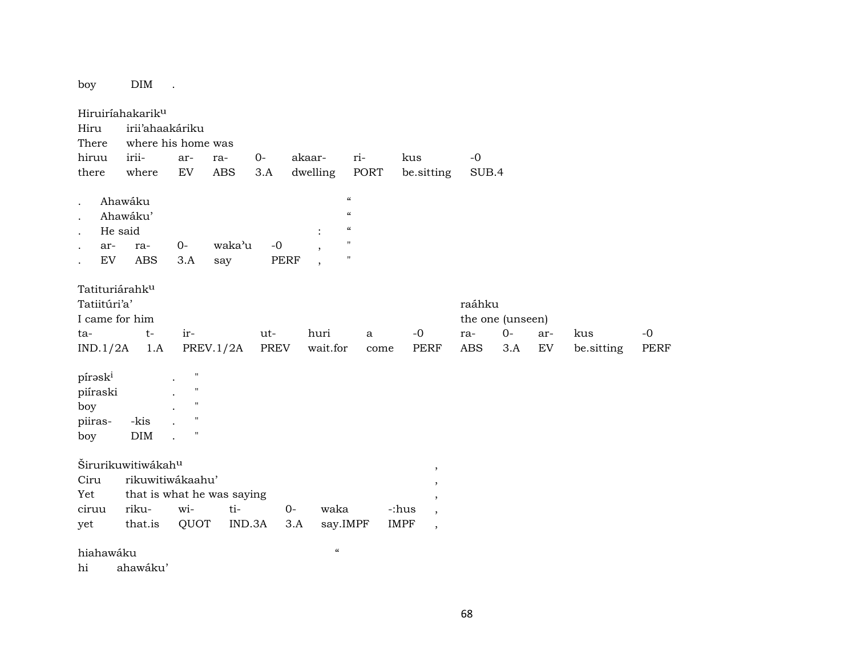boy DIM .

Hiruiríahakarikµ Hiru irii'ahaakáriku There where his home was hiruu irii- ar- ra- 0- akaar- ri- kus -0 there where EV ABS 3.A dwelling PORT be.sitting SUB.4 . Ahawáku " . Ahawáku' " . He said : . ar- ra- 0- waka"u -0 , " EV ABS 3.A say PERF Tatituriárahk<sup>u</sup> Tatiitúri'a' raáhku I came for him the one (unseen) ta- t- ir- ut- huri a -0 ra- 0- ar- kus -0 IND.1/2A 1.A PREV.1/2A PREV wait.for come PERF ABS 3.A EV be.sitting PERF  $p$ írəsk $^i$ piíraski  $\mathbf{b}$ oy piiras- -kis boy DIM  $\check{\textrm{S}}$ irurikuwitiwákah $^{\textrm{u}}$ Ciru rikuwitiwákaahu' Yet that is what he was saying ciruu riku- wi- ti- 0- waka -:hus , yet that.is QUOT IND.3A 3.A say.IMPF IMPF , hiahawáku "

hi ahawáku'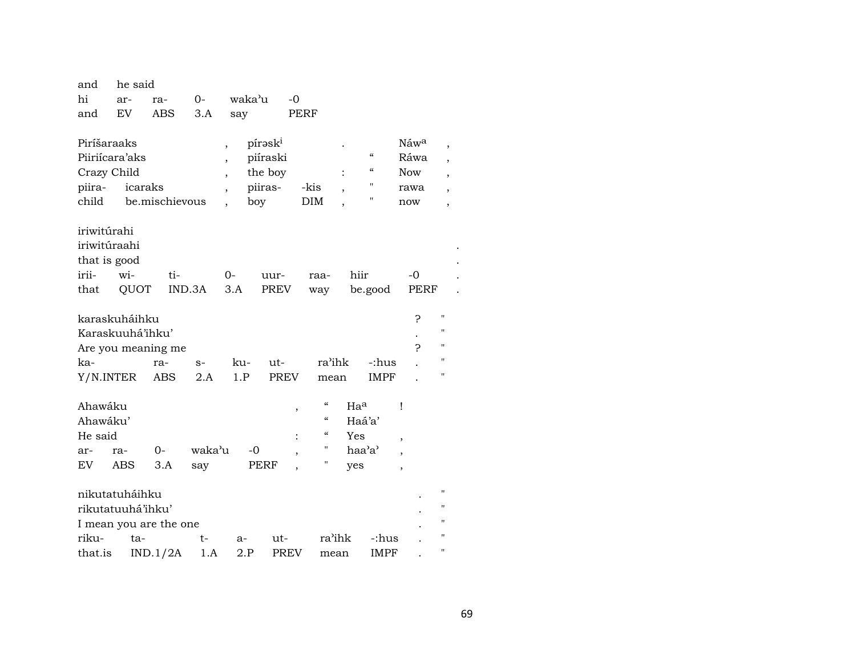| and            |           | he said                |                |                          |        |             |      |                          |                 |                            |                          |                    |  |
|----------------|-----------|------------------------|----------------|--------------------------|--------|-------------|------|--------------------------|-----------------|----------------------------|--------------------------|--------------------|--|
| hi             | ar-       | ra-                    | $0-$           |                          | waka'u |             | -0   |                          |                 |                            |                          |                    |  |
| and            | <b>EV</b> | ABS                    | 3.A            |                          | say    |             | PERF |                          |                 |                            |                          |                    |  |
| Piríšaraaks    |           |                        |                | $\overline{\phantom{a}}$ |        | píraski     |      |                          |                 |                            | Náw <sup>a</sup>         | ,                  |  |
| Piiriícara'aks |           |                        |                | $\overline{\phantom{a}}$ |        | piíraski    |      |                          |                 | $\pmb{\zeta}\pmb{\zeta}$   | Ráwa                     |                    |  |
| Crazy Child    |           |                        |                | $\overline{\phantom{a}}$ |        | the boy     |      |                          |                 | $\boldsymbol{\mathcal{C}}$ | <b>Now</b>               |                    |  |
| piira-         |           | icaraks                |                | $\overline{\phantom{a}}$ |        | piiras-     | -kis |                          |                 | 11                         | rawa                     |                    |  |
| child          |           |                        | be.mischievous |                          | boy    |             |      | DIM                      |                 | $^{\prime\prime}$          | now                      | ,                  |  |
| iriwitúrahi    |           |                        |                |                          |        |             |      |                          |                 |                            |                          |                    |  |
| iriwitúraahi   |           |                        |                |                          |        |             |      |                          |                 |                            |                          |                    |  |
| that is good   |           |                        |                |                          |        |             |      |                          |                 |                            |                          |                    |  |
| irii-          | wi-       |                        | ti-            | $O -$                    |        | uur-        |      | raa-                     | hiir            |                            | $-0$                     |                    |  |
| that           |           | QUOT                   | IND.3A         | 3.A                      |        | PREV        |      | way                      |                 | be.good                    | PERF                     |                    |  |
| karaskuháihku  |           |                        |                |                          |        |             |      |                          |                 |                            | P                        | $\pmb{\mathsf{H}}$ |  |
|                |           | Karaskuuhá'ihku'       |                |                          |        |             |      |                          |                 |                            |                          | $^{\prime\prime}$  |  |
|                |           | Are you meaning me     |                |                          |        |             |      |                          |                 |                            | ς                        | $\pmb{\mathsf{H}}$ |  |
| ka-            |           | ra-                    | $S-$           |                          | ku-    | ut-         |      | ra'ihk                   |                 | -:hus                      |                          | п                  |  |
| Y/N.INTER      |           | ABS                    | 2.A            |                          | 1.P    | <b>PREV</b> |      | mean                     |                 | IMPF                       |                          | п                  |  |
| Ahawáku        |           |                        |                |                          |        |             | ,    | $\mathcal{C}\mathcal{C}$ | Ha <sup>a</sup> |                            | Ţ                        |                    |  |
| Ahawáku'       |           |                        |                |                          |        |             |      | $\mathcal{C}\mathcal{C}$ | Haá'a'          |                            |                          |                    |  |
| He said        |           |                        |                |                          |        |             |      | $\mathcal{C}\mathcal{C}$ | Yes             |                            | $\overline{\phantom{a}}$ |                    |  |
| ar-            | ra-       | $O -$                  |                | waka'u                   | -0     |             |      | 11                       | haa'a'          |                            | $\overline{ }$           |                    |  |
| EV             | ABS       | 3.A                    | say            |                          |        | PERF        |      | $\pmb{\mathsf{H}}$       | yes             |                            | $\overline{\phantom{a}}$ |                    |  |
| nikutatuháihku |           |                        |                |                          |        |             |      |                          |                 |                            |                          | п                  |  |
|                |           | rikutatuuhá'ihku'      |                |                          |        |             |      |                          |                 |                            |                          | п                  |  |
|                |           | I mean you are the one |                |                          |        |             |      |                          |                 |                            |                          | п                  |  |
| riku-          |           | ta-                    | t-             |                          | $a-$   | ut-         |      | ra'ihk                   |                 | -:hus                      |                          | н                  |  |
| that.is        |           | IND.1/2A               |                | 1.A                      | 2.P    | <b>PREV</b> |      | mean                     |                 | <b>IMPF</b>                |                          | п                  |  |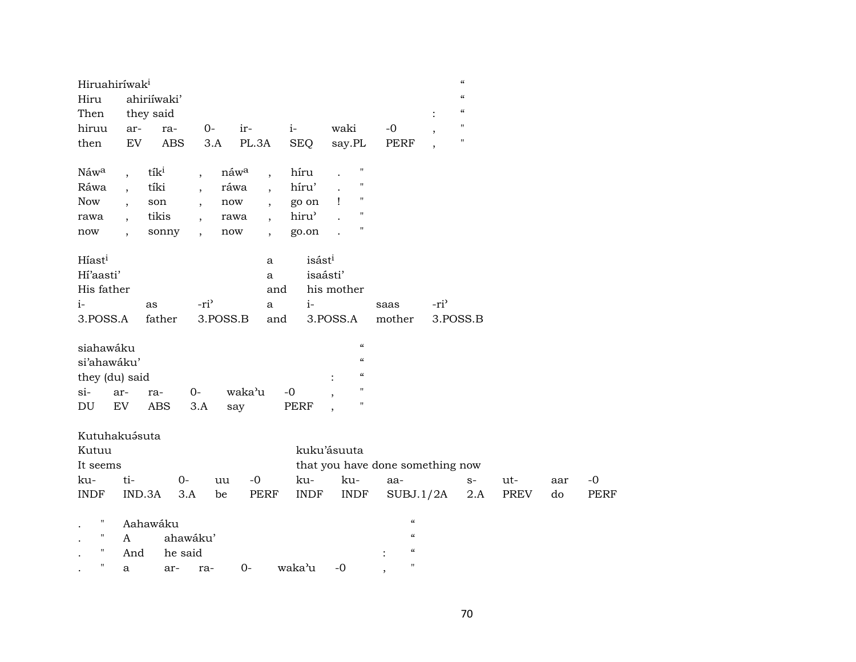| Hiruahiríwak <sup>i</sup>  |                                          |                          |                                                  |                    |                    |                                        |                  | $\mathcal{C}$      |      |     |             |
|----------------------------|------------------------------------------|--------------------------|--------------------------------------------------|--------------------|--------------------|----------------------------------------|------------------|--------------------|------|-----|-------------|
| Hiru                       | ahiriíwaki'                              |                          |                                                  |                    |                    |                                        |                  | $\mathcal{C}$      |      |     |             |
| Then                       | they said                                |                          |                                                  |                    |                    |                                        |                  | $\mathcal{C}$      |      |     |             |
| hiruu                      | ar-<br>ra-                               | $0-$                     | ir-                                              | $i-$               | waki               | $-0$                                   |                  | $\mathbf{H}$       |      |     |             |
| then                       | <b>ABS</b><br>$\mathop{\rm EV}\nolimits$ | 3.A                      | PL.3A                                            | <b>SEQ</b>         | say.PL             | <b>PERF</b>                            |                  | $\pmb{\mathsf{H}}$ |      |     |             |
|                            |                                          |                          |                                                  |                    | $\pmb{\mathsf{H}}$ |                                        |                  |                    |      |     |             |
| Náwa                       | tík <sup>i</sup><br>$\overline{ }$       | $\overline{ }$           | náwa<br>$\overline{\phantom{a}}$                 | híru               | $\pmb{\mathsf{H}}$ |                                        |                  |                    |      |     |             |
| Ráwa                       | tíki<br>$\overline{\phantom{a}}$         | $\overline{\phantom{a}}$ | ráwa<br>$\ddot{\phantom{0}}$                     | híru'              | 11                 |                                        |                  |                    |      |     |             |
| <b>Now</b>                 | son<br>$\ddot{\phantom{0}}$              | $\overline{\phantom{a}}$ | $\operatorname{now}$<br>$\overline{\phantom{a}}$ | go on              | $\mathbf{I}$       |                                        |                  |                    |      |     |             |
| rawa                       | tikis                                    |                          | rawa                                             | hiru <sup>3</sup>  | $\pmb{\mathsf{H}}$ |                                        |                  |                    |      |     |             |
| now                        | sonny<br>$\overline{\phantom{a}}$        | $\overline{\phantom{a}}$ | now<br>$\overline{\phantom{a}}$                  | go.on              | $\pmb{\mathsf{H}}$ |                                        |                  |                    |      |     |             |
| Híast <sup>i</sup>         |                                          |                          | a                                                | isást <sup>i</sup> |                    |                                        |                  |                    |      |     |             |
| Hi'aasti'                  |                                          |                          | a                                                | isaásti'           |                    |                                        |                  |                    |      |     |             |
| His father                 |                                          |                          | and                                              |                    | his mother         |                                        |                  |                    |      |     |             |
|                            |                                          |                          |                                                  |                    |                    |                                        |                  |                    |      |     |             |
| $i-$                       | as                                       | -ri <sup>3</sup>         | a                                                | $i-$               |                    | saas                                   | -ri <sup>3</sup> |                    |      |     |             |
| 3.POSS.A                   | father                                   | 3.POSS.B                 | and                                              |                    | 3.POSS.A           | mother                                 |                  | 3.POSS.B           |      |     |             |
| siahawáku                  |                                          |                          |                                                  |                    | $\epsilon\epsilon$ |                                        |                  |                    |      |     |             |
| si'ahawáku'                |                                          |                          |                                                  |                    | $\epsilon\epsilon$ |                                        |                  |                    |      |     |             |
| they (du) said             |                                          |                          |                                                  |                    | $\epsilon\epsilon$ |                                        |                  |                    |      |     |             |
| $si-$                      | ar-<br>ra-                               | $O -$                    | waka'u                                           | $-0$               | н                  |                                        |                  |                    |      |     |             |
| $\mathop{\rm DU}\nolimits$ | EV<br><b>ABS</b>                         | 3.A                      |                                                  | <b>PERF</b>        | п                  |                                        |                  |                    |      |     |             |
|                            |                                          |                          | say                                              |                    |                    |                                        |                  |                    |      |     |             |
|                            | Kutuhakuásuta                            |                          |                                                  |                    |                    |                                        |                  |                    |      |     |             |
| Kutuu                      |                                          |                          |                                                  |                    | kuku'ásuuta        |                                        |                  |                    |      |     |             |
| It seems                   |                                          |                          |                                                  |                    |                    | that you have done something now       |                  |                    |      |     |             |
| ku-                        | ti-                                      | $0 -$<br>uu              | $-0$                                             | ku-                | ku-                | aa-                                    |                  | $S-$               | ut-  | aar | $-0$        |
| <b>INDF</b>                | IND.3A                                   | 3.A<br>be                | <b>PERF</b>                                      | <b>INDF</b>        | <b>INDF</b>        |                                        |                  |                    | PREV | do  | <b>PERF</b> |
|                            |                                          |                          |                                                  |                    |                    | SUBJ.1/2A                              |                  | 2.A                |      |     |             |
| $\pmb{\mathsf{H}}$         | Aahawáku                                 |                          |                                                  |                    |                    | $\pmb{\zeta}\pmb{\zeta}$               |                  |                    |      |     |             |
| $\blacksquare$             | A                                        | ahawáku'                 |                                                  |                    |                    | $\boldsymbol{\zeta}\boldsymbol{\zeta}$ |                  |                    |      |     |             |
| $\pmb{\mathsf{H}}$         | And                                      | he said                  |                                                  |                    |                    | $\boldsymbol{\zeta}\boldsymbol{\zeta}$ |                  |                    |      |     |             |
| $\mathbf{H}$               | a<br>ar-                                 | ra-                      | $0-$                                             | waka'u             | $-0$               | $\pmb{\mathsf{H}}$                     |                  |                    |      |     |             |
|                            |                                          |                          |                                                  |                    |                    | $\cdot$                                |                  |                    |      |     |             |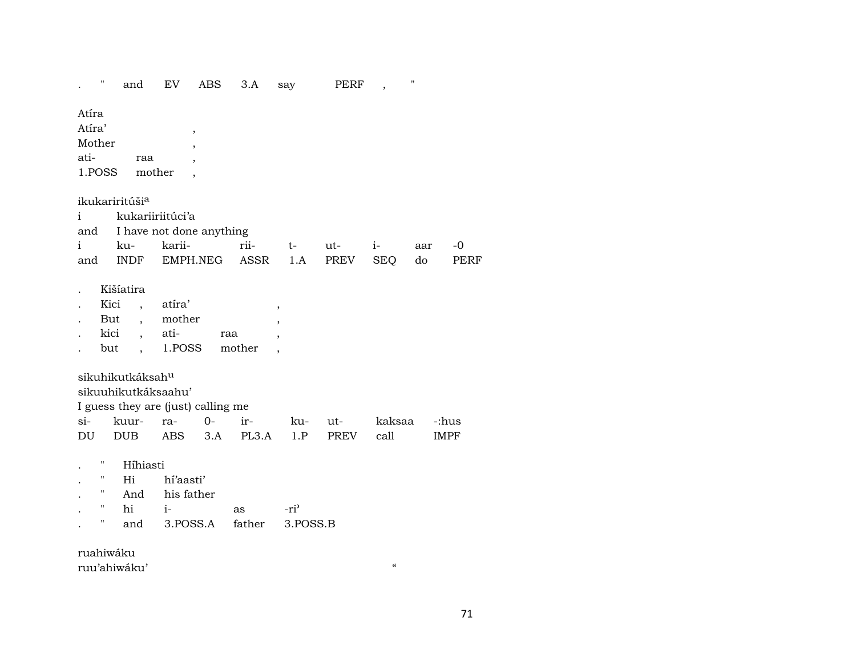$\mathbb{R}^{n\times n}$  ${\rm EV}$ ABS  $3.A$ PERF  $\mathbf{u}$ and say  $\overline{\phantom{a}}$ 

Atíra

Atíra'  $\overline{\phantom{a}}$ Mother atiraa 1.POSS mother

ikukariritúši<sup>a</sup>

kukariiriitúci'a  $\mathbf{i}$ I have not done anything and  $\mathbf{i}$ kukariirii $t$  $i -0$ utaar **INDF** EMPH.NEG ASSR  $1.A$ PREV SEQ **PERF** and do

 $\overline{\phantom{a}}$ 

ŀ,

Kišíatira  $\ddot{\phantom{a}}$ 

- atíra' Kici  $\overline{\phantom{a}}$  $\cdot$
- mother But  $\overline{\phantom{a}}$  $\ddot{\phantom{a}}$
- kici atiraa  $\overline{a}$  $\cdot$ ,
- 1.POSS mother but  $\overline{\phantom{a}}$  $\ddot{\phantom{a}}$

sikuhikutkáksah<sup>u</sup>

sikuuhikutkáksaahu'

I guess they are (just) calling me

|  |  |  | si- kuur- ra- 0- ir-  ku- ut-  kaksaa -:hus |  |
|--|--|--|---------------------------------------------|--|
|  |  |  | DU DUB ABS 3.A PL3.A 1.P PREV call IMPF     |  |

- Híhiasti  $\mathbf{u}$  $\overline{a}$
- $Hi$ hí'aasti'  $\pmb{\mathsf{H}}$  $\overline{a}$
- $\mathbf{u}$ And his father  $\bullet$
- $i \boldsymbol{\mathsf{H}}$ hi -ri<sup>3</sup>  $\rm as$  $\bullet$ 3.POSS.A  $\pmb{\mathsf{H}}$ father 3.POSS.B and  $\sim$

ruahiwáku

ruu'ahiwáku'

 $\alpha$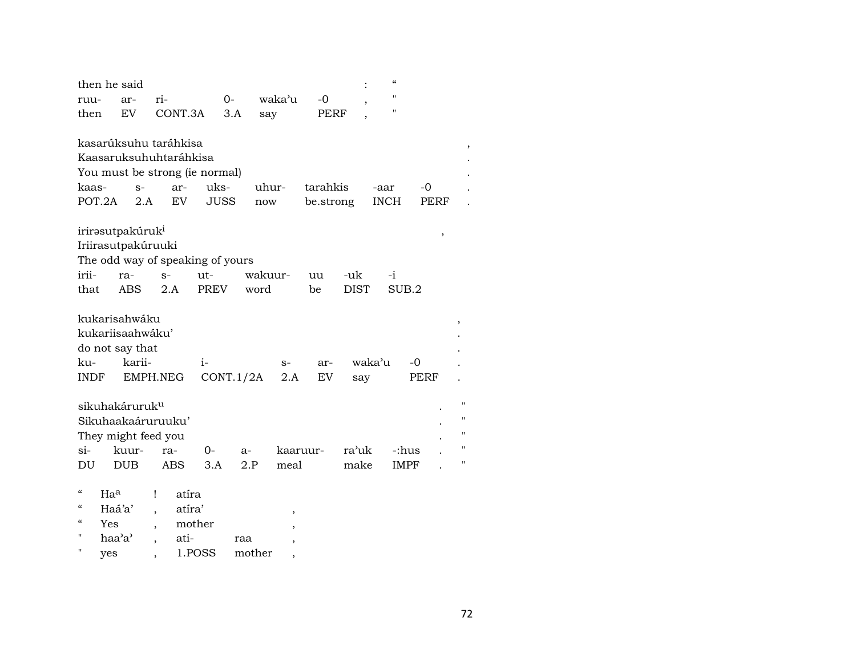|                                                                                                                                           | then he said                                                   |                                                                                                |                     |              |             |                       |             | $\epsilon$          |              |             |
|-------------------------------------------------------------------------------------------------------------------------------------------|----------------------------------------------------------------|------------------------------------------------------------------------------------------------|---------------------|--------------|-------------|-----------------------|-------------|---------------------|--------------|-------------|
| ruu-                                                                                                                                      | ar-                                                            | ri-                                                                                            | $O-$                |              | waka'u      | $-0$                  |             | Н                   |              |             |
| then                                                                                                                                      | EV                                                             | CONT.3A                                                                                        | 3.A                 | say          |             | PERF                  |             | п                   |              |             |
| kaas-<br>POT.2A                                                                                                                           | $S-$<br>2.A                                                    | kasarúksuhu taráhkisa<br>Kaasaruksuhuhtaráhkisa<br>You must be strong (ie normal)<br>ar-<br>EV | uks-<br><b>JUSS</b> | uhur-<br>now |             | tarahkis<br>be.strong |             | -aar<br><b>INCH</b> | $-0$<br>PERF |             |
|                                                                                                                                           | irirəsutpakúruk <sup>i</sup>                                   |                                                                                                |                     |              |             |                       |             |                     | ,            |             |
|                                                                                                                                           | Iriirasutpakúruuki                                             |                                                                                                |                     |              |             |                       |             |                     |              |             |
|                                                                                                                                           |                                                                | The odd way of speaking of yours                                                               |                     |              |             |                       |             |                     |              |             |
| irii-                                                                                                                                     | ra-                                                            | $S-$                                                                                           | $ut -$              | wakuur-      |             | uu                    | -uk         | $-i$                |              |             |
| that                                                                                                                                      | ABS.                                                           | 2.A                                                                                            | <b>PREV</b>         | word         |             | be                    | <b>DIST</b> | SUB.2               |              |             |
| ku-<br><b>INDF</b>                                                                                                                        | kukarisahwáku<br>kukariisaahwáku'<br>do not say that<br>karii- | EMPH.NEG                                                                                       | $i-$<br>CONT.1/2A   |              | $S-$<br>2.A | ar-<br>EV             | say         | waka'u              | -0<br>PERF   | ,           |
|                                                                                                                                           | sikuhakáruruk <sup>u</sup>                                     |                                                                                                |                     |              |             |                       |             |                     |              | $^{\prime}$ |
|                                                                                                                                           | Sikuhaakaáruruuku'                                             |                                                                                                |                     |              |             |                       |             |                     |              | 11          |
|                                                                                                                                           | They might feed you                                            |                                                                                                |                     |              |             |                       |             |                     |              | 11          |
| $\sin$                                                                                                                                    | kuur-                                                          | ra-                                                                                            | $O -$               | $a-$         | kaaruur-    |                       | ra'uk       | -:hus               |              | 11          |
| DU                                                                                                                                        | <b>DUB</b>                                                     | ABS                                                                                            | 3.A                 | 2.P          | meal        |                       | make        | <b>IMPF</b>         |              | 11          |
| $\boldsymbol{\varsigma}\boldsymbol{\varsigma}$<br>$\boldsymbol{\zeta}\boldsymbol{\zeta}$<br>$\boldsymbol{\zeta}\boldsymbol{\zeta}$<br>Yes | Haa<br>Haá'a'                                                  | atíra<br>Ţ<br>atíra'                                                                           | mother              |              | ,           |                       |             |                     |              |             |

" haa'a' , ati- raa ,<br>" yes , 1.POSS mother , " yes , 1.POSS mother ,